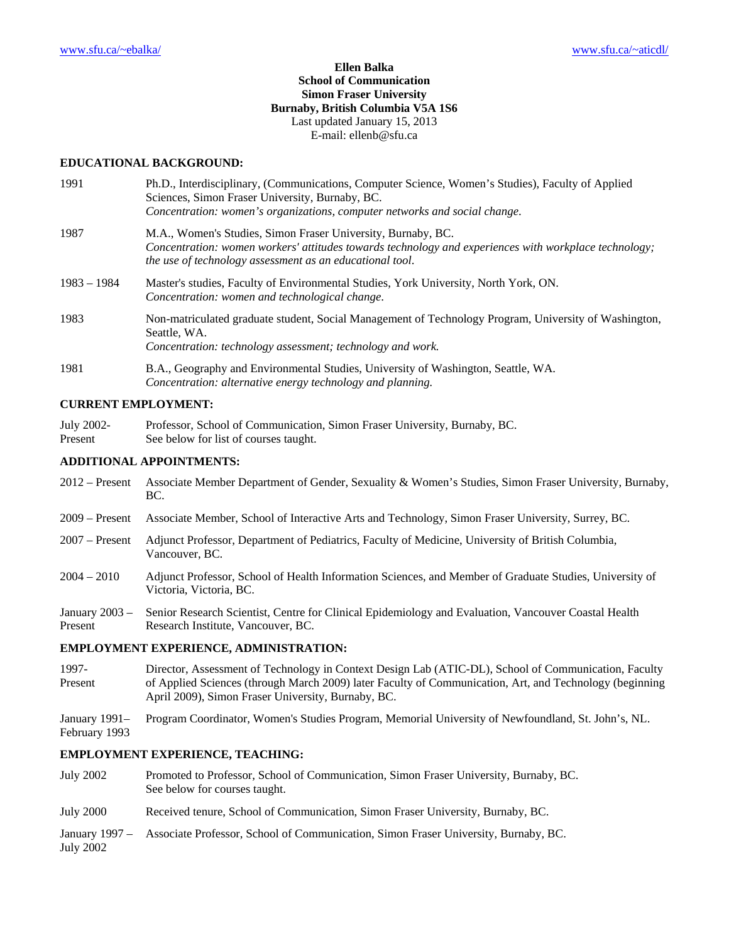### **Ellen Balka School of Communication Simon Fraser University Burnaby, British Columbia V5A 1S6**  Last updated January 15, 2013 E-mail: ellenb@sfu.ca

### **EDUCATIONAL BACKGROUND:**

| 1991          | Ph.D., Interdisciplinary, (Communications, Computer Science, Women's Studies), Faculty of Applied<br>Sciences, Simon Fraser University, Burnaby, BC.<br>Concentration: women's organizations, computer networks and social change. |
|---------------|------------------------------------------------------------------------------------------------------------------------------------------------------------------------------------------------------------------------------------|
| 1987          | M.A., Women's Studies, Simon Fraser University, Burnaby, BC.<br>Concentration: women workers' attitudes towards technology and experiences with workplace technology;<br>the use of technology assessment as an educational tool.  |
| $1983 - 1984$ | Master's studies, Faculty of Environmental Studies, York University, North York, ON.<br>Concentration: women and technological change.                                                                                             |
| 1983          | Non-matriculated graduate student, Social Management of Technology Program, University of Washington,<br>Seattle, WA.<br>Concentration: technology assessment; technology and work.                                                |
| 1981          | B.A., Geography and Environmental Studies, University of Washington, Seattle, WA.<br>Concentration: alternative energy technology and planning.                                                                                    |

### **CURRENT EMPLOYMENT:**

July 2002- Present Professor, School of Communication, Simon Fraser University, Burnaby, BC. See below for list of courses taught.

### **ADDITIONAL APPOINTMENTS:**

- 2012 Present Associate Member Department of Gender, Sexuality & Women's Studies, Simon Fraser University, Burnaby, BC.
- 2009 Present Associate Member, School of Interactive Arts and Technology, Simon Fraser University, Surrey, BC.
- 2007 Present Adjunct Professor, Department of Pediatrics, Faculty of Medicine, University of British Columbia, Vancouver, BC.
- 2004 2010 Adjunct Professor, School of Health Information Sciences, and Member of Graduate Studies, University of Victoria, Victoria, BC.
- January 2003 Present Senior Research Scientist, Centre for Clinical Epidemiology and Evaluation, Vancouver Coastal Health Research Institute, Vancouver, BC.

### **EMPLOYMENT EXPERIENCE, ADMINISTRATION:**

1997- Present Director, Assessment of Technology in Context Design Lab (ATIC-DL), School of Communication, Faculty of Applied Sciences (through March 2009) later Faculty of Communication, Art, and Technology (beginning April 2009), Simon Fraser University, Burnaby, BC.

January 1991– February 1993 Program Coordinator, Women's Studies Program, Memorial University of Newfoundland, St. John's, NL.

#### **EMPLOYMENT EXPERIENCE, TEACHING:**

- July 2002 Promoted to Professor, School of Communication, Simon Fraser University, Burnaby, BC. See below for courses taught.
- July 2000 Received tenure, School of Communication, Simon Fraser University, Burnaby, BC.

```
January 1997 – 
July 2002 
                 Associate Professor, School of Communication, Simon Fraser University, Burnaby, BC.
```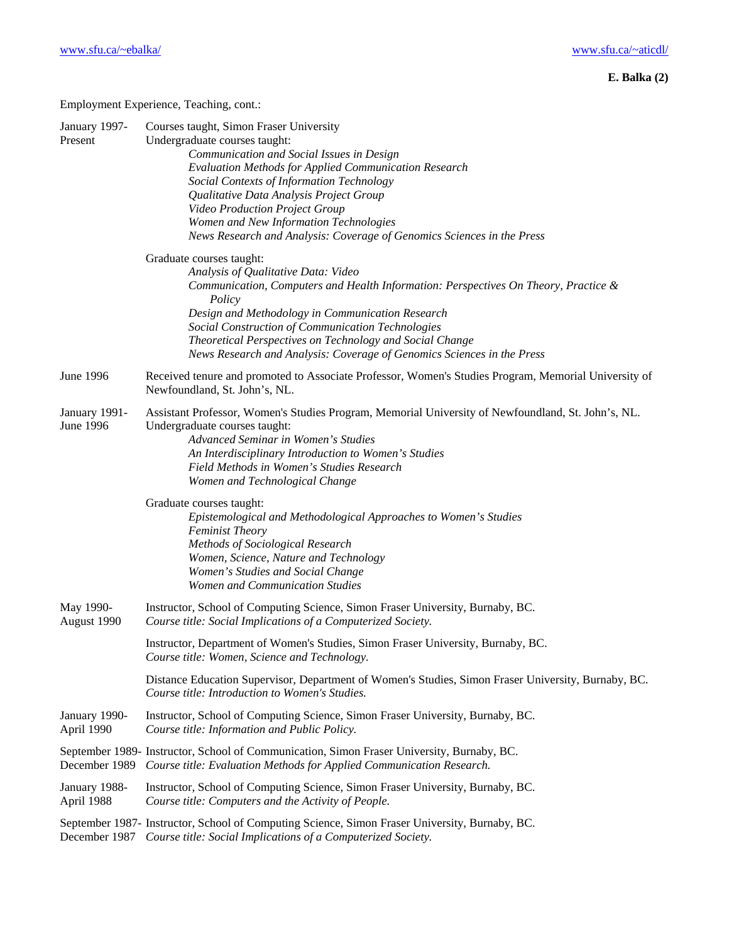**E. Balka (2)**

|                             | Employment Experience, Teaching, cont.:                                                                                                                                                                                                                                                                                                                                                                                             |
|-----------------------------|-------------------------------------------------------------------------------------------------------------------------------------------------------------------------------------------------------------------------------------------------------------------------------------------------------------------------------------------------------------------------------------------------------------------------------------|
| January 1997-<br>Present    | Courses taught, Simon Fraser University<br>Undergraduate courses taught:<br>Communication and Social Issues in Design<br><b>Evaluation Methods for Applied Communication Research</b><br>Social Contexts of Information Technology<br>Qualitative Data Analysis Project Group<br>Video Production Project Group<br>Women and New Information Technologies<br>News Research and Analysis: Coverage of Genomics Sciences in the Press |
|                             | Graduate courses taught:<br>Analysis of Qualitative Data: Video<br>Communication, Computers and Health Information: Perspectives On Theory, Practice &<br>Policy<br>Design and Methodology in Communication Research<br>Social Construction of Communication Technologies<br>Theoretical Perspectives on Technology and Social Change<br>News Research and Analysis: Coverage of Genomics Sciences in the Press                     |
| June 1996                   | Received tenure and promoted to Associate Professor, Women's Studies Program, Memorial University of<br>Newfoundland, St. John's, NL.                                                                                                                                                                                                                                                                                               |
| January 1991-<br>June 1996  | Assistant Professor, Women's Studies Program, Memorial University of Newfoundland, St. John's, NL.<br>Undergraduate courses taught:<br><b>Advanced Seminar in Women's Studies</b><br>An Interdisciplinary Introduction to Women's Studies<br>Field Methods in Women's Studies Research<br>Women and Technological Change                                                                                                            |
|                             | Graduate courses taught:<br>Epistemological and Methodological Approaches to Women's Studies<br><b>Feminist Theory</b><br>Methods of Sociological Research<br>Women, Science, Nature and Technology<br>Women's Studies and Social Change<br><b>Women and Communication Studies</b>                                                                                                                                                  |
| May 1990-<br>August 1990    | Instructor, School of Computing Science, Simon Fraser University, Burnaby, BC.<br>Course title: Social Implications of a Computerized Society.                                                                                                                                                                                                                                                                                      |
|                             | Instructor, Department of Women's Studies, Simon Fraser University, Burnaby, BC.<br>Course title: Women, Science and Technology.                                                                                                                                                                                                                                                                                                    |
|                             | Distance Education Supervisor, Department of Women's Studies, Simon Fraser University, Burnaby, BC.<br>Course title: Introduction to Women's Studies.                                                                                                                                                                                                                                                                               |
| January 1990-<br>April 1990 | Instructor, School of Computing Science, Simon Fraser University, Burnaby, BC.<br>Course title: Information and Public Policy.                                                                                                                                                                                                                                                                                                      |
| December 1989               | September 1989- Instructor, School of Communication, Simon Fraser University, Burnaby, BC.<br>Course title: Evaluation Methods for Applied Communication Research.                                                                                                                                                                                                                                                                  |
| January 1988-<br>April 1988 | Instructor, School of Computing Science, Simon Fraser University, Burnaby, BC.<br>Course title: Computers and the Activity of People.                                                                                                                                                                                                                                                                                               |
|                             | September 1987- Instructor, School of Computing Science, Simon Fraser University, Burnaby, BC.<br>December 1987 Course title: Social Implications of a Computerized Society.                                                                                                                                                                                                                                                        |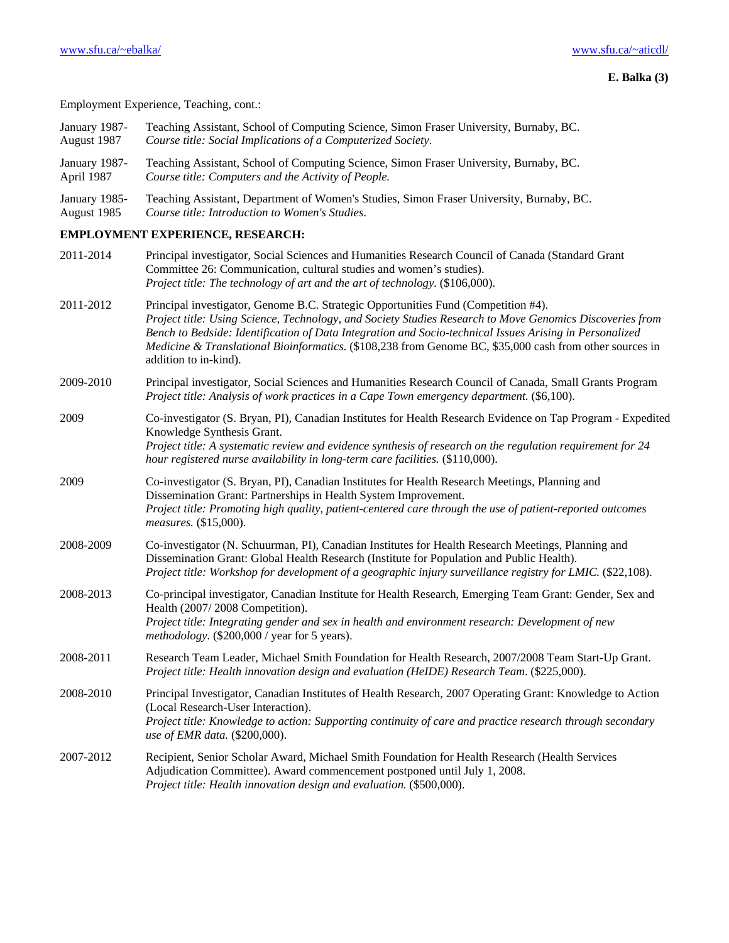Employment Experience, Teaching, cont.:

| January 1987- | Teaching Assistant, School of Computing Science, Simon Fraser University, Burnaby, BC.   |
|---------------|------------------------------------------------------------------------------------------|
| August 1987   | Course title: Social Implications of a Computerized Society.                             |
| January 1987- | Teaching Assistant, School of Computing Science, Simon Fraser University, Burnaby, BC.   |
| April 1987    | Course title: Computers and the Activity of People.                                      |
| January 1985- | Teaching Assistant, Department of Women's Studies, Simon Fraser University, Burnaby, BC. |
| August 1985   | Course title: Introduction to Women's Studies.                                           |

### **EMPLOYMENT EXPERIENCE, RESEARCH:**

| 2011-2014 | Principal investigator, Social Sciences and Humanities Research Council of Canada (Standard Grant<br>Committee 26: Communication, cultural studies and women's studies).<br>Project title: The technology of art and the art of technology. (\$106,000).                                                                                                                                                                                      |
|-----------|-----------------------------------------------------------------------------------------------------------------------------------------------------------------------------------------------------------------------------------------------------------------------------------------------------------------------------------------------------------------------------------------------------------------------------------------------|
| 2011-2012 | Principal investigator, Genome B.C. Strategic Opportunities Fund (Competition #4).<br>Project title: Using Science, Technology, and Society Studies Research to Move Genomics Discoveries from<br>Bench to Bedside: Identification of Data Integration and Socio-technical Issues Arising in Personalized<br>Medicine & Translational Bioinformatics. (\$108,238 from Genome BC, \$35,000 cash from other sources in<br>addition to in-kind). |
| 2009-2010 | Principal investigator, Social Sciences and Humanities Research Council of Canada, Small Grants Program<br>Project title: Analysis of work practices in a Cape Town emergency department. (\$6,100).                                                                                                                                                                                                                                          |
| 2009      | Co-investigator (S. Bryan, PI), Canadian Institutes for Health Research Evidence on Tap Program - Expedited<br>Knowledge Synthesis Grant.<br>Project title: A systematic review and evidence synthesis of research on the regulation requirement for 24<br>hour registered nurse availability in long-term care facilities. (\$110,000).                                                                                                      |
| 2009      | Co-investigator (S. Bryan, PI), Canadian Institutes for Health Research Meetings, Planning and<br>Dissemination Grant: Partnerships in Health System Improvement.<br>Project title: Promoting high quality, patient-centered care through the use of patient-reported outcomes<br>measures. (\$15,000).                                                                                                                                       |
| 2008-2009 | Co-investigator (N. Schuurman, PI), Canadian Institutes for Health Research Meetings, Planning and<br>Dissemination Grant: Global Health Research (Institute for Population and Public Health).<br>Project title: Workshop for development of a geographic injury surveillance registry for LMIC. (\$22,108).                                                                                                                                 |
| 2008-2013 | Co-principal investigator, Canadian Institute for Health Research, Emerging Team Grant: Gender, Sex and<br>Health (2007/2008 Competition).<br>Project title: Integrating gender and sex in health and environment research: Development of new<br>methodology. $(\$200,000 / \text{year}$ for 5 years).                                                                                                                                       |
| 2008-2011 | Research Team Leader, Michael Smith Foundation for Health Research, 2007/2008 Team Start-Up Grant.<br>Project title: Health innovation design and evaluation (HeIDE) Research Team. (\$225,000).                                                                                                                                                                                                                                              |
| 2008-2010 | Principal Investigator, Canadian Institutes of Health Research, 2007 Operating Grant: Knowledge to Action<br>(Local Research-User Interaction).<br>Project title: Knowledge to action: Supporting continuity of care and practice research through secondary<br>use of EMR data. (\$200,000).                                                                                                                                                 |
| 2007-2012 | Recipient, Senior Scholar Award, Michael Smith Foundation for Health Research (Health Services<br>Adjudication Committee). Award commencement postponed until July 1, 2008.<br>Project title: Health innovation design and evaluation. (\$500,000).                                                                                                                                                                                           |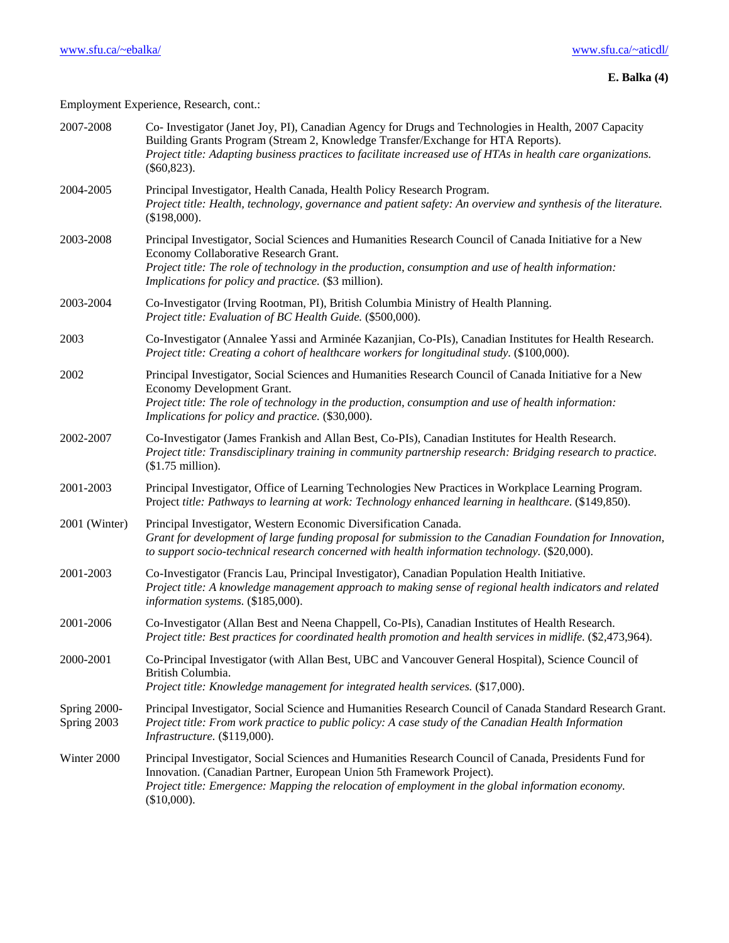Employment Experience, Research, cont.:

| 2007-2008                   | Co- Investigator (Janet Joy, PI), Canadian Agency for Drugs and Technologies in Health, 2007 Capacity<br>Building Grants Program (Stream 2, Knowledge Transfer/Exchange for HTA Reports).<br>Project title: Adapting business practices to facilitate increased use of HTAs in health care organizations.<br>$(\$60,823).$ |
|-----------------------------|----------------------------------------------------------------------------------------------------------------------------------------------------------------------------------------------------------------------------------------------------------------------------------------------------------------------------|
| 2004-2005                   | Principal Investigator, Health Canada, Health Policy Research Program.<br>Project title: Health, technology, governance and patient safety: An overview and synthesis of the literature.<br>(\$198,000).                                                                                                                   |
| 2003-2008                   | Principal Investigator, Social Sciences and Humanities Research Council of Canada Initiative for a New<br>Economy Collaborative Research Grant.<br>Project title: The role of technology in the production, consumption and use of health information:<br>Implications for policy and practice. (\$3 million).             |
| 2003-2004                   | Co-Investigator (Irving Rootman, PI), British Columbia Ministry of Health Planning.<br>Project title: Evaluation of BC Health Guide. (\$500,000).                                                                                                                                                                          |
| 2003                        | Co-Investigator (Annalee Yassi and Arminée Kazanjian, Co-PIs), Canadian Institutes for Health Research.<br>Project title: Creating a cohort of healthcare workers for longitudinal study. (\$100,000).                                                                                                                     |
| 2002                        | Principal Investigator, Social Sciences and Humanities Research Council of Canada Initiative for a New<br>Economy Development Grant.<br>Project title: The role of technology in the production, consumption and use of health information:<br>Implications for policy and practice. (\$30,000).                           |
| 2002-2007                   | Co-Investigator (James Frankish and Allan Best, Co-PIs), Canadian Institutes for Health Research.<br>Project title: Transdisciplinary training in community partnership research: Bridging research to practice.<br>$($1.75$ million).                                                                                     |
| 2001-2003                   | Principal Investigator, Office of Learning Technologies New Practices in Workplace Learning Program.<br>Project title: Pathways to learning at work: Technology enhanced learning in healthcare. (\$149,850).                                                                                                              |
| 2001 (Winter)               | Principal Investigator, Western Economic Diversification Canada.<br>Grant for development of large funding proposal for submission to the Canadian Foundation for Innovation,<br>to support socio-technical research concerned with health information technology. (\$20,000).                                             |
| 2001-2003                   | Co-Investigator (Francis Lau, Principal Investigator), Canadian Population Health Initiative.<br>Project title: A knowledge management approach to making sense of regional health indicators and related<br>information systems. (\$185,000).                                                                             |
| 2001-2006                   | Co-Investigator (Allan Best and Neena Chappell, Co-PIs), Canadian Institutes of Health Research.<br>Project title: Best practices for coordinated health promotion and health services in midlife. (\$2,473,964).                                                                                                          |
| 2000-2001                   | Co-Principal Investigator (with Allan Best, UBC and Vancouver General Hospital), Science Council of<br>British Columbia.<br>Project title: Knowledge management for integrated health services. (\$17,000).                                                                                                                |
| Spring 2000-<br>Spring 2003 | Principal Investigator, Social Science and Humanities Research Council of Canada Standard Research Grant.<br>Project title: From work practice to public policy: A case study of the Canadian Health Information<br>Infrastructure. (\$119,000).                                                                           |
| Winter 2000                 | Principal Investigator, Social Sciences and Humanities Research Council of Canada, Presidents Fund for<br>Innovation. (Canadian Partner, European Union 5th Framework Project).<br>Project title: Emergence: Mapping the relocation of employment in the global information economy.<br>(\$10,000).                        |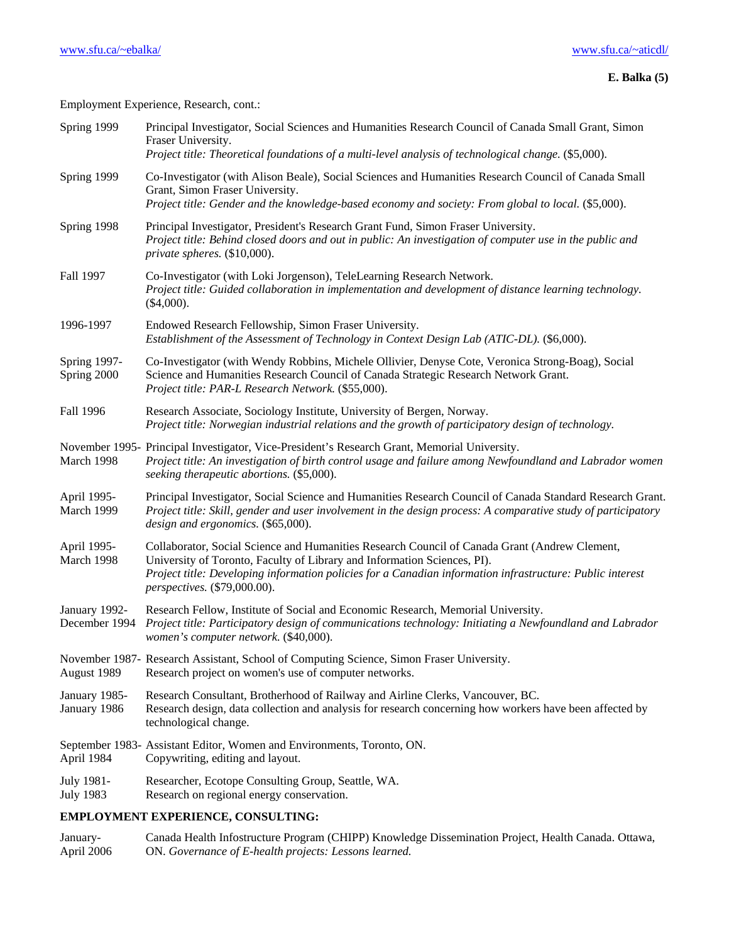Employment Experience, Research, cont.:

| Spring 1999                        | Principal Investigator, Social Sciences and Humanities Research Council of Canada Small Grant, Simon<br>Fraser University.<br>Project title: Theoretical foundations of a multi-level analysis of technological change. (\$5,000).                                                                                     |
|------------------------------------|------------------------------------------------------------------------------------------------------------------------------------------------------------------------------------------------------------------------------------------------------------------------------------------------------------------------|
| Spring 1999                        | Co-Investigator (with Alison Beale), Social Sciences and Humanities Research Council of Canada Small<br>Grant, Simon Fraser University.<br>Project title: Gender and the knowledge-based economy and society: From global to local. (\$5,000).                                                                         |
| Spring 1998                        | Principal Investigator, President's Research Grant Fund, Simon Fraser University.<br>Project title: Behind closed doors and out in public: An investigation of computer use in the public and<br>private spheres. (\$10,000).                                                                                          |
| Fall 1997                          | Co-Investigator (with Loki Jorgenson), TeleLearning Research Network.<br>Project title: Guided collaboration in implementation and development of distance learning technology.<br>$(\$4,000).$                                                                                                                        |
| 1996-1997                          | Endowed Research Fellowship, Simon Fraser University.<br>Establishment of the Assessment of Technology in Context Design Lab (ATIC-DL). (\$6,000).                                                                                                                                                                     |
| <b>Spring 1997-</b><br>Spring 2000 | Co-Investigator (with Wendy Robbins, Michele Ollivier, Denyse Cote, Veronica Strong-Boag), Social<br>Science and Humanities Research Council of Canada Strategic Research Network Grant.<br>Project title: PAR-L Research Network. (\$55,000).                                                                         |
| Fall 1996                          | Research Associate, Sociology Institute, University of Bergen, Norway.<br>Project title: Norwegian industrial relations and the growth of participatory design of technology.                                                                                                                                          |
| March 1998                         | November 1995- Principal Investigator, Vice-President's Research Grant, Memorial University.<br>Project title: An investigation of birth control usage and failure among Newfoundland and Labrador women<br>seeking therapeutic abortions. (\$5,000).                                                                  |
| April 1995-<br>March 1999          | Principal Investigator, Social Science and Humanities Research Council of Canada Standard Research Grant.<br>Project title: Skill, gender and user involvement in the design process: A comparative study of participatory<br>design and ergonomics. (\$65,000).                                                       |
| April 1995-<br>March 1998          | Collaborator, Social Science and Humanities Research Council of Canada Grant (Andrew Clement,<br>University of Toronto, Faculty of Library and Information Sciences, PI).<br>Project title: Developing information policies for a Canadian information infrastructure: Public interest<br>perspectives. (\$79,000.00). |
| January 1992-<br>December 1994     | Research Fellow, Institute of Social and Economic Research, Memorial University.<br>Project title: Participatory design of communications technology: Initiating a Newfoundland and Labrador<br>women's computer network. (\$40,000).                                                                                  |
| August 1989                        | November 1987- Research Assistant, School of Computing Science, Simon Fraser University.<br>Research project on women's use of computer networks.                                                                                                                                                                      |
| January 1985-<br>January 1986      | Research Consultant, Brotherhood of Railway and Airline Clerks, Vancouver, BC.<br>Research design, data collection and analysis for research concerning how workers have been affected by<br>technological change.                                                                                                     |
| April 1984                         | September 1983- Assistant Editor, Women and Environments, Toronto, ON.<br>Copywriting, editing and layout.                                                                                                                                                                                                             |
| July 1981-<br><b>July 1983</b>     | Researcher, Ecotope Consulting Group, Seattle, WA.<br>Research on regional energy conservation.                                                                                                                                                                                                                        |
|                                    | <b>EMPLOYMENT EXPERIENCE, CONSULTING:</b>                                                                                                                                                                                                                                                                              |

January-April 2006 Canada Health Infostructure Program (CHIPP) Knowledge Dissemination Project, Health Canada. Ottawa, ON. *Governance of E-health projects: Lessons learned.*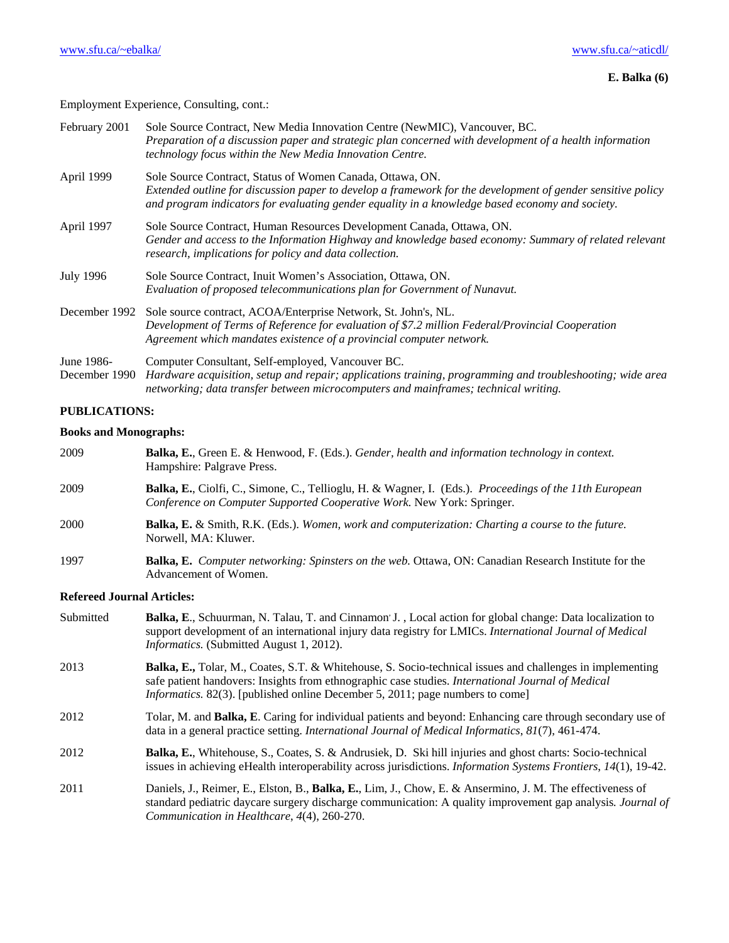Employment Experience, Consulting, cont.:

| February 2001               | Sole Source Contract, New Media Innovation Centre (NewMIC), Vancouver, BC.<br>Preparation of a discussion paper and strategic plan concerned with development of a health information<br>technology focus within the New Media Innovation Centre.                           |
|-----------------------------|-----------------------------------------------------------------------------------------------------------------------------------------------------------------------------------------------------------------------------------------------------------------------------|
| April 1999                  | Sole Source Contract, Status of Women Canada, Ottawa, ON.<br>Extended outline for discussion paper to develop a framework for the development of gender sensitive policy<br>and program indicators for evaluating gender equality in a knowledge based economy and society. |
| April 1997                  | Sole Source Contract, Human Resources Development Canada, Ottawa, ON.<br>Gender and access to the Information Highway and knowledge based economy: Summary of related relevant<br>research, implications for policy and data collection.                                    |
| <b>July 1996</b>            | Sole Source Contract, Inuit Women's Association, Ottawa, ON.<br>Evaluation of proposed telecommunications plan for Government of Nunavut.                                                                                                                                   |
| December 1992               | Sole source contract, ACOA/Enterprise Network, St. John's, NL.<br>Development of Terms of Reference for evaluation of \$7.2 million Federal/Provincial Cooperation<br>Agreement which mandates existence of a provincial computer network.                                  |
| June 1986-<br>December 1990 | Computer Consultant, Self-employed, Vancouver BC.<br>Hardware acquisition, setup and repair; applications training, programming and troubleshooting; wide area<br>networking; data transfer between microcomputers and mainframes; technical writing.                       |

# **PUBLICATIONS:**

# **Books and Monographs:**

| 2009        | Balka, E., Green E. & Henwood, F. (Eds.). Gender, health and information technology in context.<br>Hampshire: Palgrave Press.                                                               |
|-------------|---------------------------------------------------------------------------------------------------------------------------------------------------------------------------------------------|
| 2009        | <b>Balka, E., Ciolfi, C., Simone, C., Tellioglu, H. &amp; Wagner, I. (Eds.).</b> Proceedings of the 11th European<br>Conference on Computer Supported Cooperative Work. New York: Springer. |
| <b>2000</b> | <b>Balka, E. &amp; Smith, R.K. (Eds.).</b> Women, work and computerization: Charting a course to the future.<br>Norwell, MA: Kluwer.                                                        |
| 1997        | Balka, E. Computer networking: Spinsters on the web. Ottawa, ON: Canadian Research Institute for the<br>Advancement of Women.                                                               |

# **Refereed Journal Articles:**

| Submitted | Balka, E., Schuurman, N. Talau, T. and Cinnamon J., Local action for global change: Data localization to<br>support development of an international injury data registry for LMICs. International Journal of Medical<br><i>Informatics.</i> (Submitted August 1, 2012).                                       |
|-----------|---------------------------------------------------------------------------------------------------------------------------------------------------------------------------------------------------------------------------------------------------------------------------------------------------------------|
| 2013      | <b>Balka, E.,</b> Tolar, M., Coates, S.T. & Whitehouse, S. Socio-technical issues and challenges in implementing<br>safe patient handovers: Insights from ethnographic case studies. International Journal of Medical<br><i>Informatics.</i> 82(3). [published online December 5, 2011; page numbers to come] |
| 2012      | Tolar, M. and Balka, E. Caring for individual patients and beyond: Enhancing care through secondary use of<br>data in a general practice setting. <i>International Journal of Medical Informatics</i> , $81(7)$ , $461-474$ .                                                                                 |
| 2012      | <b>Balka, E., Whitehouse, S., Coates, S. &amp; Andrusiek, D. Ski hill injuries and ghost charts: Socio-technical</b><br>issues in achieving eHealth interoperability across jurisdictions. Information Systems Frontiers, 14(1), 19-42.                                                                       |
| 2011      | Daniels, J., Reimer, E., Elston, B., Balka, E., Lim, J., Chow, E. & Ansermino, J. M. The effectiveness of<br>standard pediatric daycare surgery discharge communication: A quality improvement gap analysis. Journal of<br>Communication in Healthcare, 4(4), 260-270.                                        |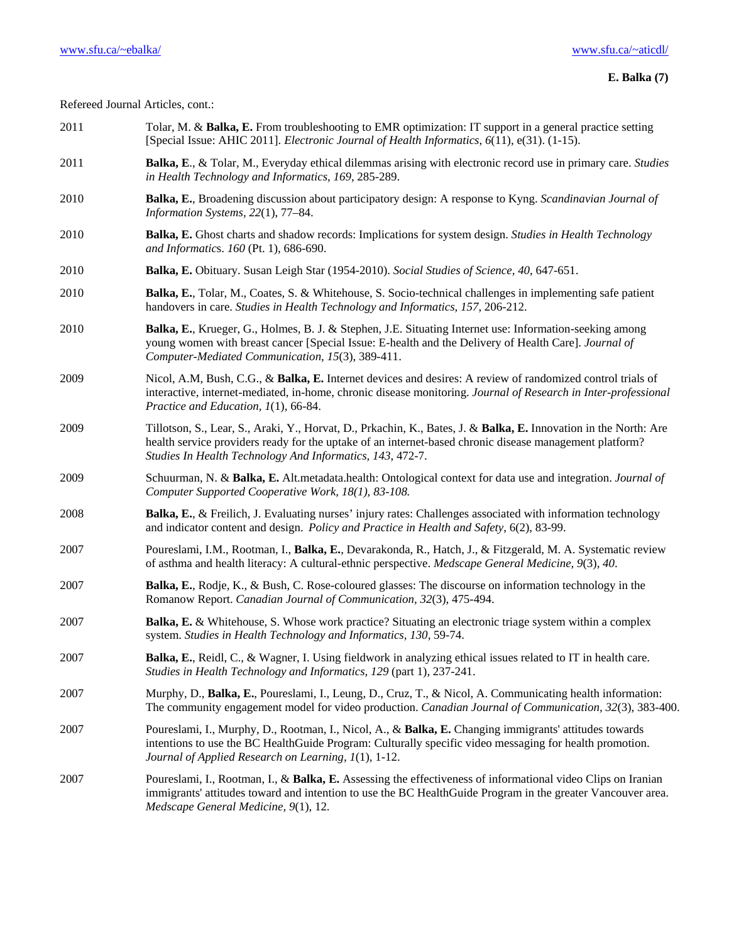| Refereed Journal Articles, cont.: |                                                                                                                                                                                                                                                                                          |
|-----------------------------------|------------------------------------------------------------------------------------------------------------------------------------------------------------------------------------------------------------------------------------------------------------------------------------------|
| 2011                              | Tolar, M. & Balka, E. From troubleshooting to EMR optimization: IT support in a general practice setting<br>[Special Issue: AHIC 2011]. <i>Electronic Journal of Health Informatics</i> , 6(11), e(31). (1-15).                                                                          |
| 2011                              | Balka, E., & Tolar, M., Everyday ethical dilemmas arising with electronic record use in primary care. Studies<br>in Health Technology and Informatics, 169, 285-289.                                                                                                                     |
| 2010                              | Balka, E., Broadening discussion about participatory design: A response to Kyng. Scandinavian Journal of<br>Information Systems, 22(1), 77-84.                                                                                                                                           |
| 2010                              | Balka, E. Ghost charts and shadow records: Implications for system design. Studies in Health Technology<br>and Informatics. 160 (Pt. 1), 686-690.                                                                                                                                        |
| 2010                              | Balka, E. Obituary. Susan Leigh Star (1954-2010). Social Studies of Science, 40, 647-651.                                                                                                                                                                                                |
| 2010                              | Balka, E., Tolar, M., Coates, S. & Whitehouse, S. Socio-technical challenges in implementing safe patient<br>handovers in care. Studies in Health Technology and Informatics, 157, 206-212.                                                                                              |
| 2010                              | Balka, E., Krueger, G., Holmes, B. J. & Stephen, J.E. Situating Internet use: Information-seeking among<br>young women with breast cancer [Special Issue: E-health and the Delivery of Health Care]. Journal of<br>Computer-Mediated Communication, 15(3), 389-411.                      |
| 2009                              | Nicol, A.M. Bush, C.G., & Balka, E. Internet devices and desires: A review of randomized control trials of<br>interactive, internet-mediated, in-home, chronic disease monitoring. Journal of Research in Inter-professional<br>Practice and Education, 1(1), 66-84.                     |
| 2009                              | Tillotson, S., Lear, S., Araki, Y., Horvat, D., Prkachin, K., Bates, J. & Balka, E. Innovation in the North: Are<br>health service providers ready for the uptake of an internet-based chronic disease management platform?<br>Studies In Health Technology And Informatics, 143, 472-7. |
| 2009                              | Schuurman, N. & Balka, E. Alt.metadata.health: Ontological context for data use and integration. Journal of<br>Computer Supported Cooperative Work, 18(1), 83-108.                                                                                                                       |
| 2008                              | Balka, E., & Freilich, J. Evaluating nurses' injury rates: Challenges associated with information technology<br>and indicator content and design. Policy and Practice in Health and Safety, 6(2), 83-99.                                                                                 |
| 2007                              | Poureslami, I.M., Rootman, I., Balka, E., Devarakonda, R., Hatch, J., & Fitzgerald, M. A. Systematic review<br>of asthma and health literacy: A cultural-ethnic perspective. Medscape General Medicine, 9(3), 40.                                                                        |
| 2007                              | Balka, E., Rodje, K., & Bush, C. Rose-coloured glasses: The discourse on information technology in the<br>Romanow Report. Canadian Journal of Communication, 32(3), 475-494.                                                                                                             |
| 2007                              | Balka, E. & Whitehouse, S. Whose work practice? Situating an electronic triage system within a complex<br>system. Studies in Health Technology and Informatics, 130, 59-74.                                                                                                              |
| 2007                              | Balka, E., Reidl, C., & Wagner, I. Using fieldwork in analyzing ethical issues related to IT in health care.<br>Studies in Health Technology and Informatics, 129 (part 1), 237-241.                                                                                                     |
| 2007                              | Murphy, D., Balka, E., Poureslami, I., Leung, D., Cruz, T., & Nicol, A. Communicating health information:<br>The community engagement model for video production. Canadian Journal of Communication, 32(3), 383-400.                                                                     |
| 2007                              | Poureslami, I., Murphy, D., Rootman, I., Nicol, A., & Balka, E. Changing immigrants' attitudes towards<br>intentions to use the BC HealthGuide Program: Culturally specific video messaging for health promotion.<br>Journal of Applied Research on Learning, 1(1), 1-12.                |
| 2007                              | Poureslami, I., Rootman, I., & Balka, E. Assessing the effectiveness of informational video Clips on Iranian<br>immigrants' attitudes toward and intention to use the BC HealthGuide Program in the greater Vancouver area.<br>Medscape General Medicine, 9(1), 12.                      |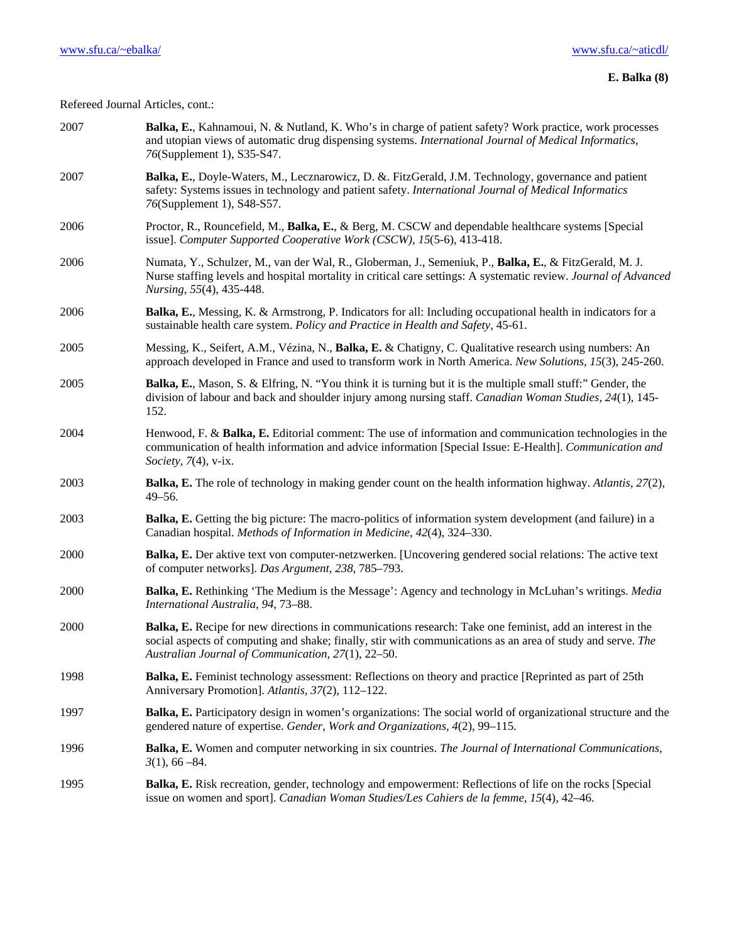Refereed Journal Articles, cont.:

2007 **Balka, E.**, Kahnamoui, N. & Nutland, K. Who's in charge of patient safety? Work practice, work processes and utopian views of automatic drug dispensing systems. *International Journal of Medical Informatics, 76*(Supplement 1), S35-S47. 2007 **Balka, E.**, Doyle-Waters, M., Lecznarowicz, D. &. FitzGerald, J.M. Technology, governance and patient safety: Systems issues in technology and patient safety. *International Journal of Medical Informatics 76*(Supplement 1), S48-S57. 2006 Proctor, R., Rouncefield, M., **Balka, E.**, & Berg, M. CSCW and dependable healthcare systems [Special issue]. *Computer Supported Cooperative Work (CSCW), 15*(5-6), 413-418. 2006 Numata, Y., Schulzer, M., van der Wal, R., Globerman, J., Semeniuk, P., **Balka, E.**, & FitzGerald, M. J. Nurse staffing levels and hospital mortality in critical care settings: A systematic review. *Journal of Advanced Nursing, 55*(4), 435-448. 2006 **Balka, E.**, Messing, K. & Armstrong, P. Indicators for all: Including occupational health in indicators for a sustainable health care system. *Policy and Practice in Health and Safety*, 45-61. 2005 Messing, K., Seifert, A.M., Vézina, N., **Balka, E.** & Chatigny, C. Qualitative research using numbers: An approach developed in France and used to transform work in North America. *New Solutions, 15*(3), 245-260. 2005 **Balka, E.**, Mason, S. & Elfring, N. "You think it is turning but it is the multiple small stuff:" Gender, the division of labour and back and shoulder injury among nursing staff. *Canadian Woman Studies, 24*(1), 145- 152. 2004 Henwood, F. & **Balka, E.** Editorial comment: The use of information and communication technologies in the communication of health information and advice information [Special Issue: E-Health]. *Communication and Society, 7*(4), v-ix. 2003 **Balka, E.** The role of technology in making gender count on the health information highway. *Atlantis, 27*(2), 49–56. 2003 **Balka, E.** Getting the big picture: The macro-politics of information system development (and failure) in a Canadian hospital. *Methods of Information in Medicine, 42*(4), 324–330. 2000 **Balka, E.** Der aktive text von computer-netzwerken. [Uncovering gendered social relations: The active text of computer networks]. *Das Argument, 238*, 785–793. 2000 **Balka, E.** Rethinking 'The Medium is the Message': Agency and technology in McLuhan's writings. *Media International Australia, 94*, 73–88. 2000 **Balka, E.** Recipe for new directions in communications research: Take one feminist, add an interest in the social aspects of computing and shake; finally, stir with communications as an area of study and serve. *The Australian Journal of Communication, 27*(1), 22–50. 1998 **Balka, E.** Feminist technology assessment: Reflections on theory and practice [Reprinted as part of 25th Anniversary Promotion]. *Atlantis, 37*(2), 112–122. 1997 **Balka, E.** Participatory design in women's organizations: The social world of organizational structure and the gendered nature of expertise. *Gender, Work and Organizations, 4*(2), 99–115. 1996 **Balka, E.** Women and computer networking in six countries. *The Journal of International Communications, 3*(1), 66 –84. 1995 **Balka, E.** Risk recreation, gender, technology and empowerment: Reflections of life on the rocks [Special issue on women and sport]. *Canadian Woman Studies/Les Cahiers de la femme, 15*(4), 42–46.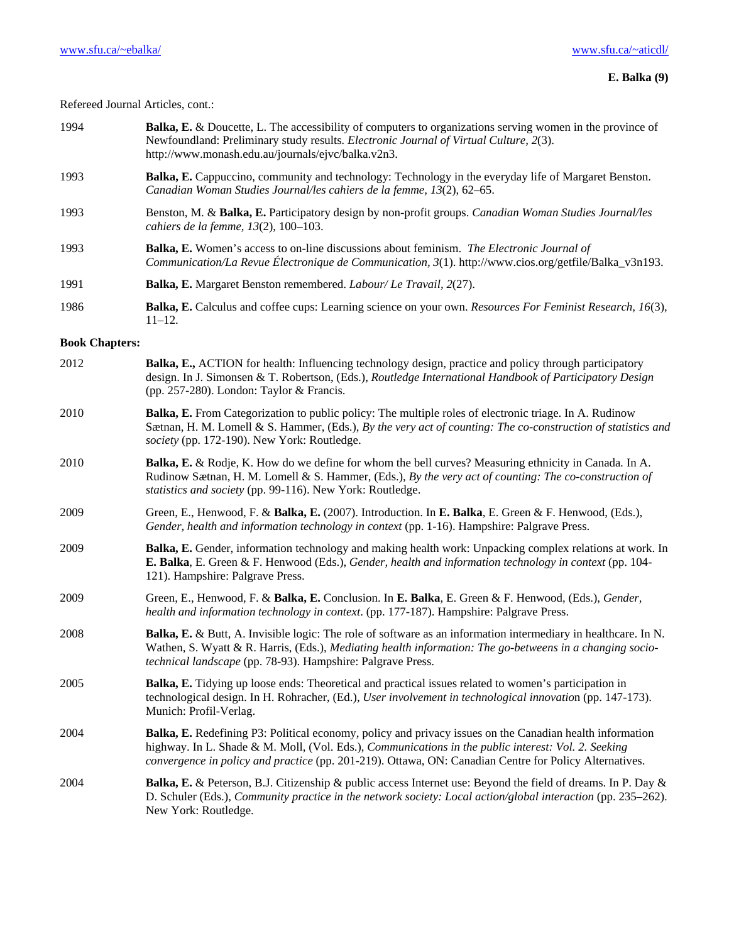#### Refereed Journal Articles, cont.:

1994 **Balka, E.** & Doucette, L. The accessibility of computers to organizations serving women in the province of Newfoundland: Preliminary study results*. Electronic Journal of Virtual Culture, 2*(3). http://www.monash.edu.au/journals/ejvc/balka.v2n3. 1993 **Balka, E.** Cappuccino, community and technology: Technology in the everyday life of Margaret Benston. *Canadian Woman Studies Journal/les cahiers de la femme, 13*(2), 62–65. 1993 Benston, M. & **Balka, E.** Participatory design by non-profit groups. *Canadian Woman Studies Journal/les cahiers de la femme, 13*(2), 100–103. 1993 **Balka, E.** Women's access to on-line discussions about feminism. *The Electronic Journal of Communication/La Revue Électronique de Communication, 3*(1). http://www.cios.org/getfile/Balka\_v3n193. 1991 **Balka, E.** Margaret Benston remembered. *Labour/ Le Travail, 2*(27). 1986 **Balka, E.** Calculus and coffee cups: Learning science on your own. *Resources For Feminist Research, 16*(3), 11–12.

#### **Book Chapters:**

2012 **Balka, E.,** ACTION for health: Influencing technology design, practice and policy through participatory design. In J. Simonsen & T. Robertson, (Eds.), *Routledge International Handbook of Participatory Design*  (pp. 257-280). London: Taylor & Francis. 2010 **Balka, E.** From Categorization to public policy: The multiple roles of electronic triage. In A. Rudinow Sætnan, H. M. Lomell & S. Hammer, (Eds.), *By the very act of counting: The co-construction of statistics and society* (pp. 172-190). New York: Routledge. 2010 **Balka, E.** & Rodje, K. How do we define for whom the bell curves? Measuring ethnicity in Canada*.* In A. Rudinow Sætnan, H. M. Lomell & S. Hammer, (Eds.), *By the very act of counting: The co-construction of statistics and society* (pp. 99-116). New York: Routledge. 2009 Green, E., Henwood, F. & **Balka, E.** (2007). Introduction. In **E. Balka**, E. Green & F. Henwood, (Eds.), *Gender, health and information technology in context* (pp. 1-16). Hampshire: Palgrave Press. 2009 **Balka, E.** Gender, information technology and making health work: Unpacking complex relations at work. In **E. Balka**, E. Green & F. Henwood (Eds.), *Gender, health and information technology in context* (pp. 104- 121). Hampshire: Palgrave Press. 2009 Green, E., Henwood, F. & **Balka, E.** Conclusion. In **E. Balka**, E. Green & F. Henwood, (Eds.), *Gender, health and information technology in context*. (pp. 177-187). Hampshire: Palgrave Press. 2008 **Balka, E.** & Butt, A. Invisible logic: The role of software as an information intermediary in healthcare. In N. Wathen, S. Wyatt & R. Harris, (Eds.), *Mediating health information: The go-betweens in a changing sociotechnical landscape* (pp. 78-93). Hampshire: Palgrave Press. 2005 **Balka, E.** Tidying up loose ends: Theoretical and practical issues related to women's participation in technological design. In H. Rohracher, (Ed.), *User involvement in technological innovatio*n (pp. 147-173). Munich: Profil-Verlag. 2004 **Balka, E.** Redefining P3: Political economy, policy and privacy issues on the Canadian health information highway. In L. Shade & M. Moll, (Vol. Eds.), *Communications in the public interest: Vol. 2. Seeking convergence in policy and practice* (pp. 201-219). Ottawa, ON: Canadian Centre for Policy Alternatives. 2004 **Balka, E.** & Peterson, B.J. Citizenship & public access Internet use: Beyond the field of dreams. In P. Day & D. Schuler (Eds.), *Community practice in the network society: Local action/global interaction* (pp. 235–262). New York: Routledge.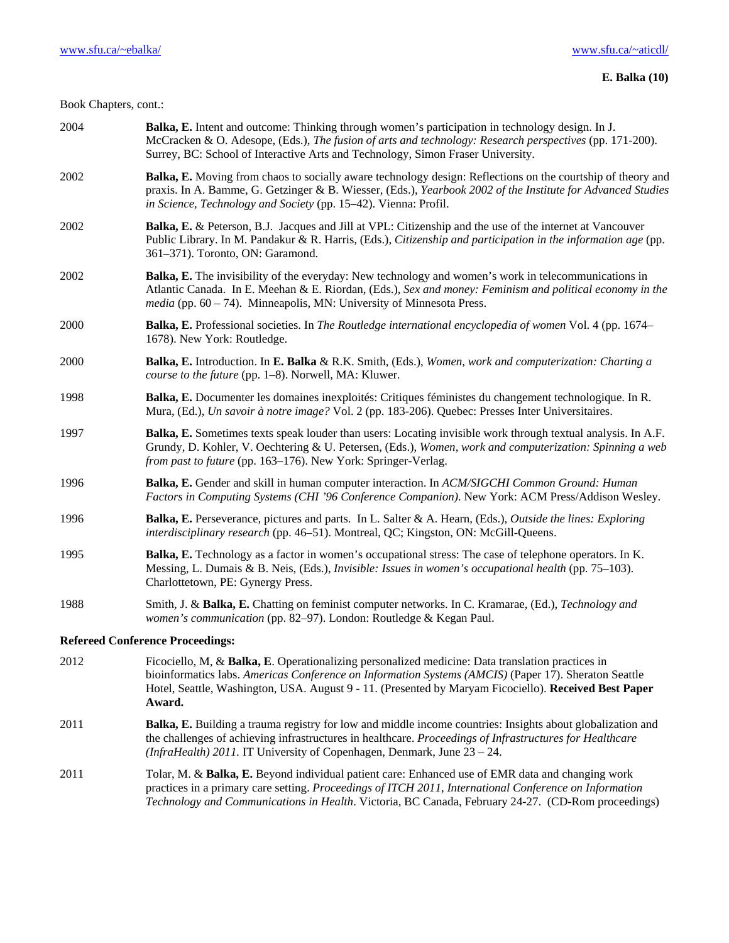| 2004 | <b>Balka, E.</b> Intent and outcome: Thinking through women's participation in technology design. In J.<br>McCracken & O. Adesope, (Eds.), The fusion of arts and technology: Research perspectives (pp. 171-200).<br>Surrey, BC: School of Interactive Arts and Technology, Simon Fraser University.                       |
|------|-----------------------------------------------------------------------------------------------------------------------------------------------------------------------------------------------------------------------------------------------------------------------------------------------------------------------------|
| 2002 | Balka, E. Moving from chaos to socially aware technology design: Reflections on the courtship of theory and<br>praxis. In A. Bamme, G. Getzinger & B. Wiesser, (Eds.), Yearbook 2002 of the Institute for Advanced Studies<br>in Science, Technology and Society (pp. 15-42). Vienna: Profil.                               |
| 2002 | Balka, E. & Peterson, B.J. Jacques and Jill at VPL: Citizenship and the use of the internet at Vancouver<br>Public Library. In M. Pandakur & R. Harris, (Eds.), Citizenship and participation in the information age (pp.<br>361-371). Toronto, ON: Garamond.                                                               |
| 2002 | Balka, E. The invisibility of the everyday: New technology and women's work in telecommunications in<br>Atlantic Canada. In E. Meehan & E. Riordan, (Eds.), Sex and money: Feminism and political economy in the<br>media (pp. $60 - 74$ ). Minneapolis, MN: University of Minnesota Press.                                 |
| 2000 | <b>Balka, E.</b> Professional societies. In <i>The Routledge international encyclopedia of women</i> Vol. 4 (pp. 1674–<br>1678). New York: Routledge.                                                                                                                                                                       |
| 2000 | Balka, E. Introduction. In E. Balka & R.K. Smith, (Eds.), Women, work and computerization: Charting a<br>course to the future (pp. 1-8). Norwell, MA: Kluwer.                                                                                                                                                               |
| 1998 | Balka, E. Documenter les domaines inexploités: Critiques féministes du changement technologique. In R.<br>Mura, (Ed.), Un savoir à notre image? Vol. 2 (pp. 183-206). Quebec: Presses Inter Universitaires.                                                                                                                 |
| 1997 | Balka, E. Sometimes texts speak louder than users: Locating invisible work through textual analysis. In A.F.<br>Grundy, D. Kohler, V. Oechtering & U. Petersen, (Eds.), Women, work and computerization: Spinning a web<br>from past to future (pp. 163-176). New York: Springer-Verlag.                                    |
| 1996 | Balka, E. Gender and skill in human computer interaction. In ACM/SIGCHI Common Ground: Human<br>Factors in Computing Systems (CHI '96 Conference Companion). New York: ACM Press/Addison Wesley.                                                                                                                            |
| 1996 | Balka, E. Perseverance, pictures and parts. In L. Salter & A. Hearn, (Eds.), Outside the lines: Exploring<br>interdisciplinary research (pp. 46–51). Montreal, QC; Kingston, ON: McGill-Queens.                                                                                                                             |
| 1995 | Balka, E. Technology as a factor in women's occupational stress: The case of telephone operators. In K.<br>Messing, L. Dumais & B. Neis, (Eds.), <i>Invisible: Issues in women's occupational health</i> (pp. 75–103).<br>Charlottetown, PE: Gynergy Press.                                                                 |
| 1988 | Smith, J. & Balka, E. Chatting on feminist computer networks. In C. Kramarae, (Ed.), Technology and<br>women's communication (pp. 82-97). London: Routledge & Kegan Paul.                                                                                                                                                   |
|      | <b>Refereed Conference Proceedings:</b>                                                                                                                                                                                                                                                                                     |
| 2012 | Ficociello, M, & Balka, E. Operationalizing personalized medicine: Data translation practices in<br>bioinformatics labs. Americas Conference on Information Systems (AMCIS) (Paper 17). Sheraton Seattle<br>Hotel, Seattle, Washington, USA. August 9 - 11. (Presented by Maryam Ficociello). Received Best Paper<br>Award. |
| 2011 | Balka, E. Building a trauma registry for low and middle income countries: Insights about globalization and<br>the challenges of achieving infrastructures in healthcare. Proceedings of Infrastructures for Healthcare<br>(InfraHealth) 2011. IT University of Copenhagen, Denmark, June 23 – 24.                           |
| 2011 | Tolar, M. & Balka, E. Beyond individual patient care: Enhanced use of EMR data and changing work<br>practices in a primary care setting. Proceedings of ITCH 2011, International Conference on Information<br>Technology and Communications in Health. Victoria, BC Canada, February 24-27. (CD-Rom proceedings)            |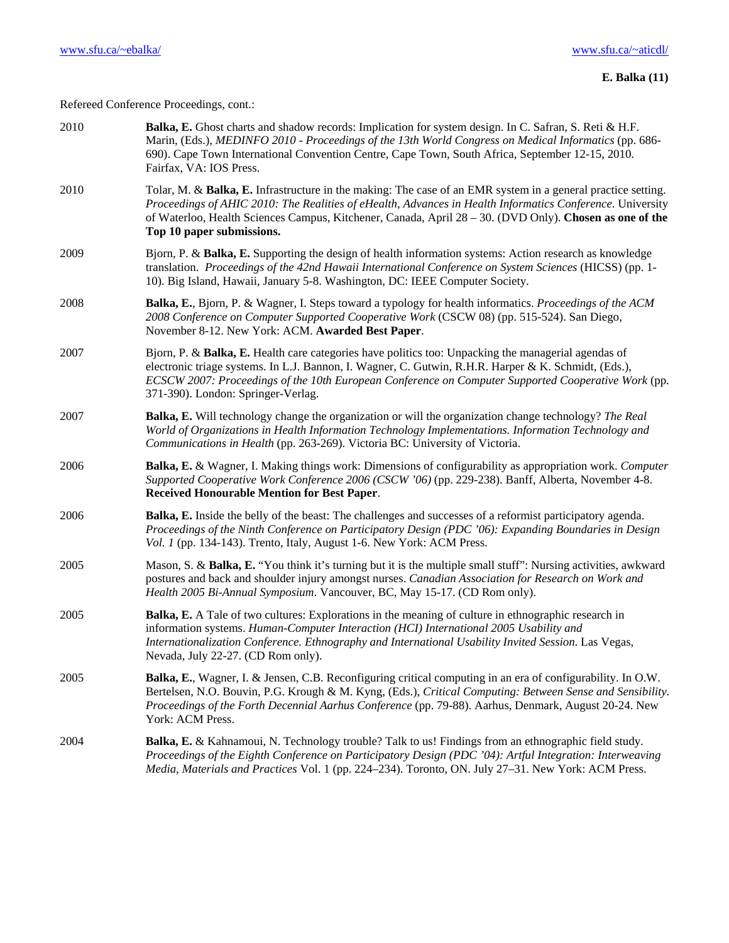Refereed Conference Proceedings, cont.:

| 2010 | Balka, E. Ghost charts and shadow records: Implication for system design. In C. Safran, S. Reti & H.F.<br>Marin, (Eds.), MEDINFO 2010 - Proceedings of the 13th World Congress on Medical Informatics (pp. 686-<br>690). Cape Town International Convention Centre, Cape Town, South Africa, September 12-15, 2010.<br>Fairfax, VA: IOS Press.                       |
|------|----------------------------------------------------------------------------------------------------------------------------------------------------------------------------------------------------------------------------------------------------------------------------------------------------------------------------------------------------------------------|
| 2010 | Tolar, M. & Balka, E. Infrastructure in the making: The case of an EMR system in a general practice setting.<br>Proceedings of AHIC 2010: The Realities of eHealth, Advances in Health Informatics Conference. University<br>of Waterloo, Health Sciences Campus, Kitchener, Canada, April $28 - 30$ . (DVD Only). Chosen as one of the<br>Top 10 paper submissions. |
| 2009 | Bjorn, P. & Balka, E. Supporting the design of health information systems: Action research as knowledge<br>translation. Proceedings of the 42nd Hawaii International Conference on System Sciences (HICSS) (pp. 1-<br>10). Big Island, Hawaii, January 5-8. Washington, DC: IEEE Computer Society.                                                                   |
| 2008 | Balka, E., Bjorn, P. & Wagner, I. Steps toward a typology for health informatics. Proceedings of the ACM<br>2008 Conference on Computer Supported Cooperative Work (CSCW 08) (pp. 515-524). San Diego,<br>November 8-12. New York: ACM. Awarded Best Paper.                                                                                                          |
| 2007 | Bjorn, P. & Balka, E. Health care categories have politics too: Unpacking the managerial agendas of<br>electronic triage systems. In L.J. Bannon, I. Wagner, C. Gutwin, R.H.R. Harper & K. Schmidt, (Eds.),<br>ECSCW 2007: Proceedings of the 10th European Conference on Computer Supported Cooperative Work (pp.<br>371-390). London: Springer-Verlag.             |
| 2007 | <b>Balka, E.</b> Will technology change the organization or will the organization change technology? The Real<br>World of Organizations in Health Information Technology Implementations. Information Technology and<br>Communications in Health (pp. 263-269). Victoria BC: University of Victoria.                                                                 |
| 2006 | <b>Balka, E. &amp; Wagner, I. Making things work: Dimensions of configurability as appropriation work.</b> Computer<br>Supported Cooperative Work Conference 2006 (CSCW '06) (pp. 229-238). Banff, Alberta, November 4-8.<br><b>Received Honourable Mention for Best Paper.</b>                                                                                      |
| 2006 | Balka, E. Inside the belly of the beast: The challenges and successes of a reformist participatory agenda.<br>Proceedings of the Ninth Conference on Participatory Design (PDC '06): Expanding Boundaries in Design<br>Vol. 1 (pp. 134-143). Trento, Italy, August 1-6. New York: ACM Press.                                                                         |
| 2005 | Mason, S. & Balka, E. "You think it's turning but it is the multiple small stuff": Nursing activities, awkward<br>postures and back and shoulder injury amongst nurses. Canadian Association for Research on Work and<br>Health 2005 Bi-Annual Symposium. Vancouver, BC, May 15-17. (CD Rom only).                                                                   |
| 2005 | Balka, E. A Tale of two cultures: Explorations in the meaning of culture in ethnographic research in<br>information systems. Human-Computer Interaction (HCI) International 2005 Usability and<br>Internationalization Conference. Ethnography and International Usability Invited Session. Las Vegas,<br>Nevada, July 22-27. (CD Rom only).                         |
| 2005 | Balka, E., Wagner, I. & Jensen, C.B. Reconfiguring critical computing in an era of configurability. In O.W.<br>Bertelsen, N.O. Bouvin, P.G. Krough & M. Kyng, (Eds.), Critical Computing: Between Sense and Sensibility.<br>Proceedings of the Forth Decennial Aarhus Conference (pp. 79-88). Aarhus, Denmark, August 20-24. New<br>York: ACM Press.                 |
| 2004 | Balka, E. & Kahnamoui, N. Technology trouble? Talk to us! Findings from an ethnographic field study.<br>Proceedings of the Eighth Conference on Participatory Design (PDC '04): Artful Integration: Interweaving<br>Media, Materials and Practices Vol. 1 (pp. 224–234). Toronto, ON. July 27–31. New York: ACM Press.                                               |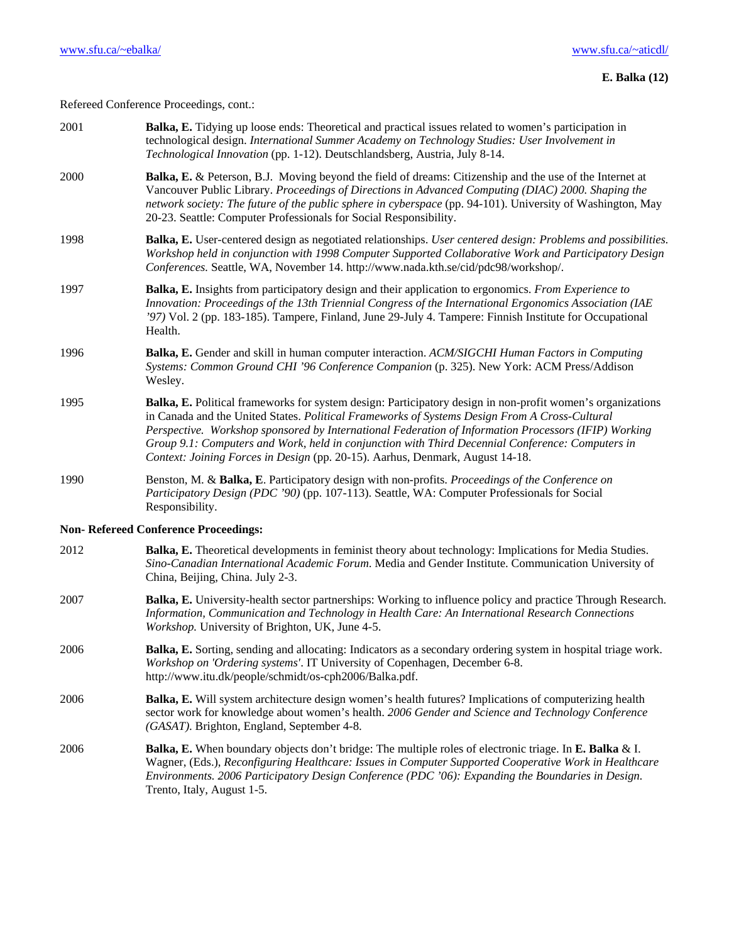Refereed Conference Proceedings, cont.:

|      | technological design. International Summer Academy on Technology Studies: User Involvement in<br>Technological Innovation (pp. 1-12). Deutschlandsberg, Austria, July 8-14.                                                                                                                                                                                                                                                                                                                              |
|------|----------------------------------------------------------------------------------------------------------------------------------------------------------------------------------------------------------------------------------------------------------------------------------------------------------------------------------------------------------------------------------------------------------------------------------------------------------------------------------------------------------|
| 2000 | Balka, E. & Peterson, B.J. Moving beyond the field of dreams: Citizenship and the use of the Internet at<br>Vancouver Public Library. Proceedings of Directions in Advanced Computing (DIAC) 2000. Shaping the<br>network society: The future of the public sphere in cyberspace (pp. 94-101). University of Washington, May<br>20-23. Seattle: Computer Professionals for Social Responsibility.                                                                                                        |
| 1998 | Balka, E. User-centered design as negotiated relationships. User centered design: Problems and possibilities.<br>Workshop held in conjunction with 1998 Computer Supported Collaborative Work and Participatory Design<br>Conferences. Seattle, WA, November 14. http://www.nada.kth.se/cid/pdc98/workshop/.                                                                                                                                                                                             |
| 1997 | <b>Balka, E.</b> Insights from participatory design and their application to ergonomics. <i>From Experience to</i><br>Innovation: Proceedings of the 13th Triennial Congress of the International Ergonomics Association (IAE<br>'97) Vol. 2 (pp. 183-185). Tampere, Finland, June 29-July 4. Tampere: Finnish Institute for Occupational<br>Health.                                                                                                                                                     |
| 1996 | Balka, E. Gender and skill in human computer interaction. ACM/SIGCHI Human Factors in Computing<br>Systems: Common Ground CHI '96 Conference Companion (p. 325). New York: ACM Press/Addison<br>Wesley.                                                                                                                                                                                                                                                                                                  |
| 1995 | Balka, E. Political frameworks for system design: Participatory design in non-profit women's organizations<br>in Canada and the United States. Political Frameworks of Systems Design From A Cross-Cultural<br>Perspective. Workshop sponsored by International Federation of Information Processors (IFIP) Working<br>Group 9.1: Computers and Work, held in conjunction with Third Decennial Conference: Computers in<br>Context: Joining Forces in Design (pp. 20-15). Aarhus, Denmark, August 14-18. |
| 1990 | Benston, M. & Balka, E. Participatory design with non-profits. Proceedings of the Conference on<br>Participatory Design (PDC '90) (pp. 107-113). Seattle, WA: Computer Professionals for Social<br>Responsibility.                                                                                                                                                                                                                                                                                       |
|      | <b>Non-Refereed Conference Proceedings:</b>                                                                                                                                                                                                                                                                                                                                                                                                                                                              |
| 2012 | Balka, E. Theoretical developments in feminist theory about technology: Implications for Media Studies.<br>Sino-Canadian International Academic Forum. Media and Gender Institute. Communication University of<br>China, Beijing, China. July 2-3.                                                                                                                                                                                                                                                       |
| 2007 | Balka, E. University-health sector partnerships: Working to influence policy and practice Through Research.<br>Information, Communication and Technology in Health Care: An International Research Connections<br>Workshop. University of Brighton, UK, June 4-5.                                                                                                                                                                                                                                        |
| 2006 | Balka, E. Sorting, sending and allocating: Indicators as a secondary ordering system in hospital triage work.<br>Workshop on 'Ordering systems'. IT University of Copenhagen, December 6-8.<br>http://www.itu.dk/people/schmidt/os-cph2006/Balka.pdf.                                                                                                                                                                                                                                                    |
| 2006 | Balka, E. Will system architecture design women's health futures? Implications of computerizing health<br>sector work for knowledge about women's health. 2006 Gender and Science and Technology Conference<br>(GASAT). Brighton, England, September 4-8.                                                                                                                                                                                                                                                |
| 2006 | Balka, E. When boundary objects don't bridge: The multiple roles of electronic triage. In E. Balka & I.<br>Wagner, (Eds.), Reconfiguring Healthcare: Issues in Computer Supported Cooperative Work in Healthcare<br>Environments. 2006 Participatory Design Conference (PDC '06): Expanding the Boundaries in Design.<br>Trento, Italy, August 1-5.                                                                                                                                                      |
|      |                                                                                                                                                                                                                                                                                                                                                                                                                                                                                                          |
|      |                                                                                                                                                                                                                                                                                                                                                                                                                                                                                                          |
|      |                                                                                                                                                                                                                                                                                                                                                                                                                                                                                                          |

2001 **Balka, E.** Tidying up loose ends: Theoretical and practical issues related to women's participation in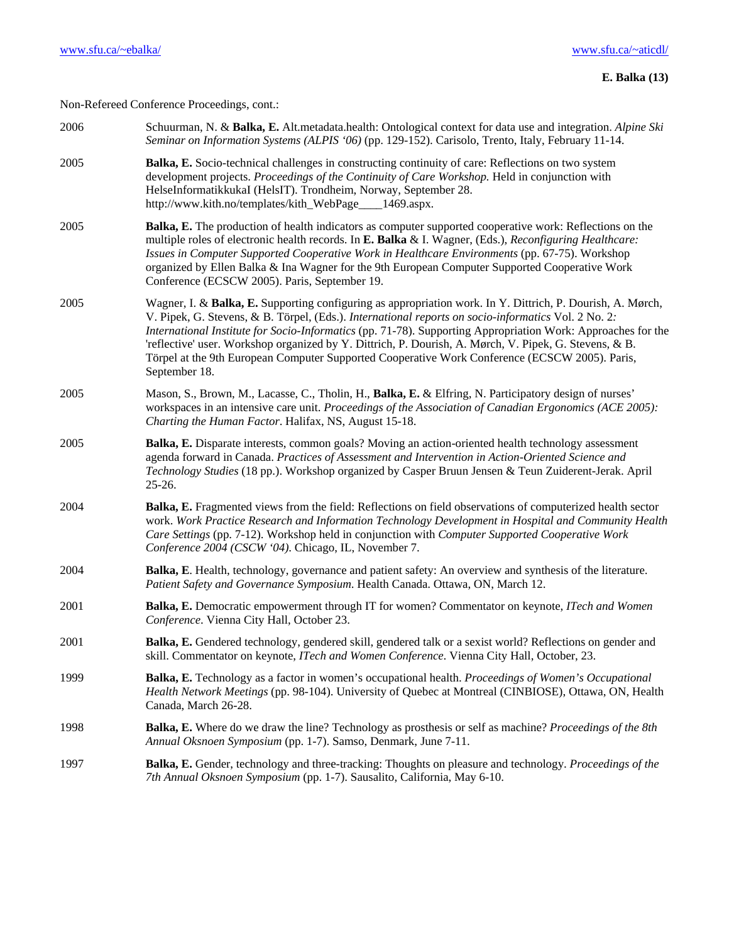| Non-Refereed Conference Proceedings, cont.: |  |  |  |
|---------------------------------------------|--|--|--|
|---------------------------------------------|--|--|--|

| 2006 | Schuurman, N. & Balka, E. Alt.metadata.health: Ontological context for data use and integration. Alpine Ski<br>Seminar on Information Systems (ALPIS '06) (pp. 129-152). Carisolo, Trento, Italy, February 11-14.                                                                                                                                                                                                                                                                                                                                              |
|------|----------------------------------------------------------------------------------------------------------------------------------------------------------------------------------------------------------------------------------------------------------------------------------------------------------------------------------------------------------------------------------------------------------------------------------------------------------------------------------------------------------------------------------------------------------------|
| 2005 | Balka, E. Socio-technical challenges in constructing continuity of care: Reflections on two system<br>development projects. Proceedings of the Continuity of Care Workshop. Held in conjunction with<br>HelseInformatikkukaI (HelsIT). Trondheim, Norway, September 28.<br>http://www.kith.no/templates/kith_WebPage___1469.aspx.                                                                                                                                                                                                                              |
| 2005 | Balka, E. The production of health indicators as computer supported cooperative work: Reflections on the<br>multiple roles of electronic health records. In E. Balka & I. Wagner, (Eds.), Reconfiguring Healthcare:<br>Issues in Computer Supported Cooperative Work in Healthcare Environments (pp. 67-75). Workshop<br>organized by Ellen Balka & Ina Wagner for the 9th European Computer Supported Cooperative Work<br>Conference (ECSCW 2005). Paris, September 19.                                                                                       |
| 2005 | Wagner, I. & Balka, E. Supporting configuring as appropriation work. In Y. Dittrich, P. Dourish, A. Mørch,<br>V. Pipek, G. Stevens, & B. Törpel, (Eds.). International reports on socio-informatics Vol. 2 No. 2:<br>International Institute for Socio-Informatics (pp. 71-78). Supporting Appropriation Work: Approaches for the<br>'reflective' user. Workshop organized by Y. Dittrich, P. Dourish, A. Mørch, V. Pipek, G. Stevens, & B.<br>Törpel at the 9th European Computer Supported Cooperative Work Conference (ECSCW 2005). Paris,<br>September 18. |
| 2005 | Mason, S., Brown, M., Lacasse, C., Tholin, H., Balka, E. & Elfring, N. Participatory design of nurses'<br>workspaces in an intensive care unit. Proceedings of the Association of Canadian Ergonomics (ACE 2005):<br>Charting the Human Factor. Halifax, NS, August 15-18.                                                                                                                                                                                                                                                                                     |
| 2005 | Balka, E. Disparate interests, common goals? Moving an action-oriented health technology assessment<br>agenda forward in Canada. Practices of Assessment and Intervention in Action-Oriented Science and<br>Technology Studies (18 pp.). Workshop organized by Casper Bruun Jensen & Teun Zuiderent-Jerak. April<br>$25-26.$                                                                                                                                                                                                                                   |
| 2004 | Balka, E. Fragmented views from the field: Reflections on field observations of computerized health sector<br>work. Work Practice Research and Information Technology Development in Hospital and Community Health<br>Care Settings (pp. 7-12). Workshop held in conjunction with Computer Supported Cooperative Work<br>Conference 2004 (CSCW '04). Chicago, IL, November 7.                                                                                                                                                                                  |
| 2004 | Balka, E. Health, technology, governance and patient safety: An overview and synthesis of the literature.<br>Patient Safety and Governance Symposium. Health Canada. Ottawa, ON, March 12.                                                                                                                                                                                                                                                                                                                                                                     |
| 2001 | Balka, E. Democratic empowerment through IT for women? Commentator on keynote, ITech and Women<br>Conference. Vienna City Hall, October 23.                                                                                                                                                                                                                                                                                                                                                                                                                    |
| 2001 | Balka, E. Gendered technology, gendered skill, gendered talk or a sexist world? Reflections on gender and<br>skill. Commentator on keynote, ITech and Women Conference. Vienna City Hall, October, 23.                                                                                                                                                                                                                                                                                                                                                         |
| 1999 | Balka, E. Technology as a factor in women's occupational health. Proceedings of Women's Occupational<br>Health Network Meetings (pp. 98-104). University of Quebec at Montreal (CINBIOSE), Ottawa, ON, Health<br>Canada, March 26-28.                                                                                                                                                                                                                                                                                                                          |
| 1998 | <b>Balka, E.</b> Where do we draw the line? Technology as prosthesis or self as machine? <i>Proceedings of the 8th</i><br>Annual Oksnoen Symposium (pp. 1-7). Samso, Denmark, June 7-11.                                                                                                                                                                                                                                                                                                                                                                       |
| 1997 | Balka, E. Gender, technology and three-tracking: Thoughts on pleasure and technology. Proceedings of the<br>7th Annual Oksnoen Symposium (pp. 1-7). Sausalito, California, May 6-10.                                                                                                                                                                                                                                                                                                                                                                           |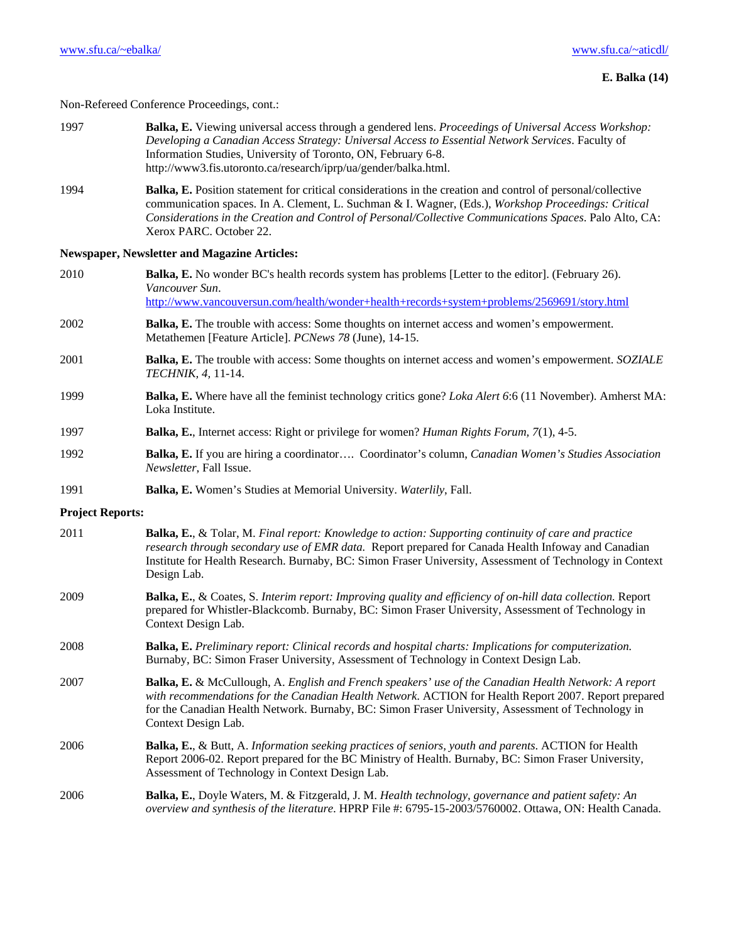#### Non-Refereed Conference Proceedings, cont.:

- 1997 **Balka, E.** Viewing universal access through a gendered lens. *Proceedings of Universal Access Workshop: Developing a Canadian Access Strategy: Universal Access to Essential Network Services*. Faculty of Information Studies, University of Toronto, ON, February 6-8. http://www3.fis.utoronto.ca/research/iprp/ua/gender/balka.html.
- 1994 **Balka, E.** Position statement for critical considerations in the creation and control of personal/collective communication spaces. In A. Clement, L. Suchman & I. Wagner, (Eds.), *Workshop Proceedings: Critical Considerations in the Creation and Control of Personal/Collective Communications Spaces*. Palo Alto, CA: Xerox PARC. October 22.

#### **Newspaper, Newsletter and Magazine Articles:**

Design Lab.

| 2010                    | <b>Balka, E.</b> No wonder BC's health records system has problems [Letter to the editor]. (February 26).<br>Vancouver Sun.<br>http://www.vancouversun.com/health/wonder+health+records+system+problems/2569691/story.html                                                                                                        |
|-------------------------|-----------------------------------------------------------------------------------------------------------------------------------------------------------------------------------------------------------------------------------------------------------------------------------------------------------------------------------|
| 2002                    | <b>Balka, E.</b> The trouble with access: Some thoughts on internet access and women's empowerment.<br>Metathemen [Feature Article]. <i>PCNews</i> 78 (June), 14-15.                                                                                                                                                              |
| 2001                    | <b>Balka, E.</b> The trouble with access: Some thoughts on internet access and women's empowerment. SOZIALE<br><i>TECHNIK, 4, 11-14.</i>                                                                                                                                                                                          |
| 1999                    | <b>Balka, E.</b> Where have all the feminist technology critics gone? Loka Alert 6:6 (11 November). Amherst MA:<br>Loka Institute.                                                                                                                                                                                                |
| 1997                    | <b>Balka, E.</b> , Internet access: Right or privilege for women? <i>Human Rights Forum</i> , 7(1), 4-5.                                                                                                                                                                                                                          |
| 1992                    | Balka, E. If you are hiring a coordinator Coordinator's column, Canadian Women's Studies Association<br><i>Newsletter</i> , Fall Issue.                                                                                                                                                                                           |
| 1991                    | Balka, E. Women's Studies at Memorial University. Waterlily, Fall.                                                                                                                                                                                                                                                                |
| <b>Project Reports:</b> |                                                                                                                                                                                                                                                                                                                                   |
| 2011                    | <b>Balka, E., &amp; Tolar, M. Final report: Knowledge to action: Supporting continuity of care and practice</b><br>research through secondary use of EMR data. Report prepared for Canada Health Infoway and Canadian<br>Institute for Health Research. Burnaby, BC: Simon Fraser University, Assessment of Technology in Context |

- 2009 **Balka, E.**, & Coates, S. *Interim report: Improving quality and efficiency of on-hill data collection.* Report prepared for Whistler-Blackcomb. Burnaby, BC: Simon Fraser University, Assessment of Technology in Context Design Lab.
- 2008 **Balka, E.** *Preliminary report: Clinical records and hospital charts: Implications for computerization.* Burnaby, BC: Simon Fraser University, Assessment of Technology in Context Design Lab.

2007 **Balka, E.** & McCullough, A. *English and French speakers' use of the Canadian Health Network: A report with recommendations for the Canadian Health Network*. ACTION for Health Report 2007. Report prepared for the Canadian Health Network. Burnaby, BC: Simon Fraser University, Assessment of Technology in Context Design Lab.

- 2006 **Balka, E.**, & Butt, A. *Information seeking practices of seniors, youth and parents*. ACTION for Health Report 2006-02. Report prepared for the BC Ministry of Health. Burnaby, BC: Simon Fraser University, Assessment of Technology in Context Design Lab.
- 2006 **Balka, E.**, Doyle Waters, M. & Fitzgerald, J. M. *Health technology, governance and patient safety: An overview and synthesis of the literature*. HPRP File #: 6795-15-2003/5760002. Ottawa, ON: Health Canada.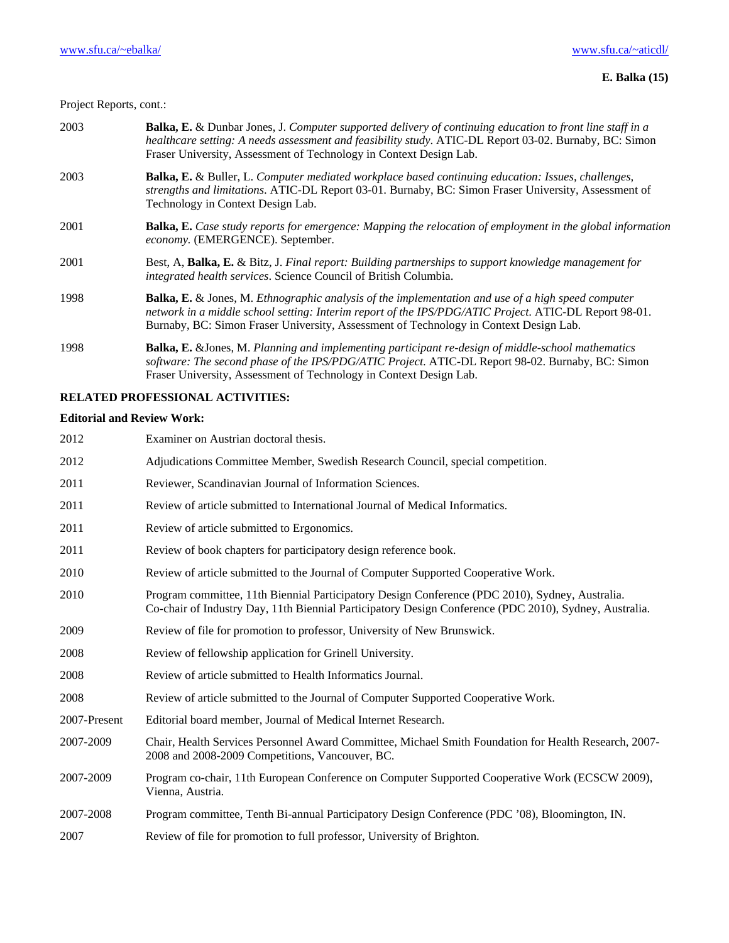| 2003 | <b>Balka, E. &amp; Dunbar Jones, J. Computer supported delivery of continuing education to front line staff in a</b><br>healthcare setting: A needs assessment and feasibility study. ATIC-DL Report 03-02. Burnaby, BC: Simon<br>Fraser University, Assessment of Technology in Context Design Lab.            |
|------|-----------------------------------------------------------------------------------------------------------------------------------------------------------------------------------------------------------------------------------------------------------------------------------------------------------------|
| 2003 | Balka, E. & Buller, L. Computer mediated workplace based continuing education: Issues, challenges,<br>strengths and limitations. ATIC-DL Report 03-01. Burnaby, BC: Simon Fraser University, Assessment of<br>Technology in Context Design Lab.                                                                 |
| 2001 | <b>Balka, E.</b> Case study reports for emergence: Mapping the relocation of employment in the global information<br>economy. (EMERGENCE). September.                                                                                                                                                           |
| 2001 | Best, A, Balka, E. & Bitz, J. Final report: Building partnerships to support knowledge management for<br>integrated health services. Science Council of British Columbia.                                                                                                                                       |
| 1998 | <b>Balka, E. &amp; Jones, M. Ethnographic analysis of the implementation and use of a high speed computer</b><br>network in a middle school setting: Interim report of the IPS/PDG/ATIC Project. ATIC-DL Report 98-01.<br>Burnaby, BC: Simon Fraser University, Assessment of Technology in Context Design Lab. |
| 1998 | Balka, E. & Jones, M. Planning and implementing participant re-design of middle-school mathematics<br>software: The second phase of the IPS/PDG/ATIC Project. ATIC-DL Report 98-02. Burnaby, BC: Simon<br>Fraser University, Assessment of Technology in Context Design Lab.                                    |

## **RELATED PROFESSIONAL ACTIVITIES:**

### **Editorial and Review Work:**

| 2012         | Examiner on Austrian doctoral thesis.                                                                                                                                                                     |
|--------------|-----------------------------------------------------------------------------------------------------------------------------------------------------------------------------------------------------------|
| 2012         | Adjudications Committee Member, Swedish Research Council, special competition.                                                                                                                            |
| 2011         | Reviewer, Scandinavian Journal of Information Sciences.                                                                                                                                                   |
| 2011         | Review of article submitted to International Journal of Medical Informatics.                                                                                                                              |
| 2011         | Review of article submitted to Ergonomics.                                                                                                                                                                |
| 2011         | Review of book chapters for participatory design reference book.                                                                                                                                          |
| 2010         | Review of article submitted to the Journal of Computer Supported Cooperative Work.                                                                                                                        |
| 2010         | Program committee, 11th Biennial Participatory Design Conference (PDC 2010), Sydney, Australia.<br>Co-chair of Industry Day, 11th Biennial Participatory Design Conference (PDC 2010), Sydney, Australia. |
| 2009         | Review of file for promotion to professor, University of New Brunswick.                                                                                                                                   |
| 2008         | Review of fellowship application for Grinell University.                                                                                                                                                  |
| 2008         | Review of article submitted to Health Informatics Journal.                                                                                                                                                |
| 2008         | Review of article submitted to the Journal of Computer Supported Cooperative Work.                                                                                                                        |
| 2007-Present | Editorial board member, Journal of Medical Internet Research.                                                                                                                                             |
| 2007-2009    | Chair, Health Services Personnel Award Committee, Michael Smith Foundation for Health Research, 2007-<br>2008 and 2008-2009 Competitions, Vancouver, BC.                                                  |
| 2007-2009    | Program co-chair, 11th European Conference on Computer Supported Cooperative Work (ECSCW 2009),<br>Vienna, Austria.                                                                                       |
| 2007-2008    | Program committee, Tenth Bi-annual Participatory Design Conference (PDC '08), Bloomington, IN.                                                                                                            |
| 2007         | Review of file for promotion to full professor, University of Brighton.                                                                                                                                   |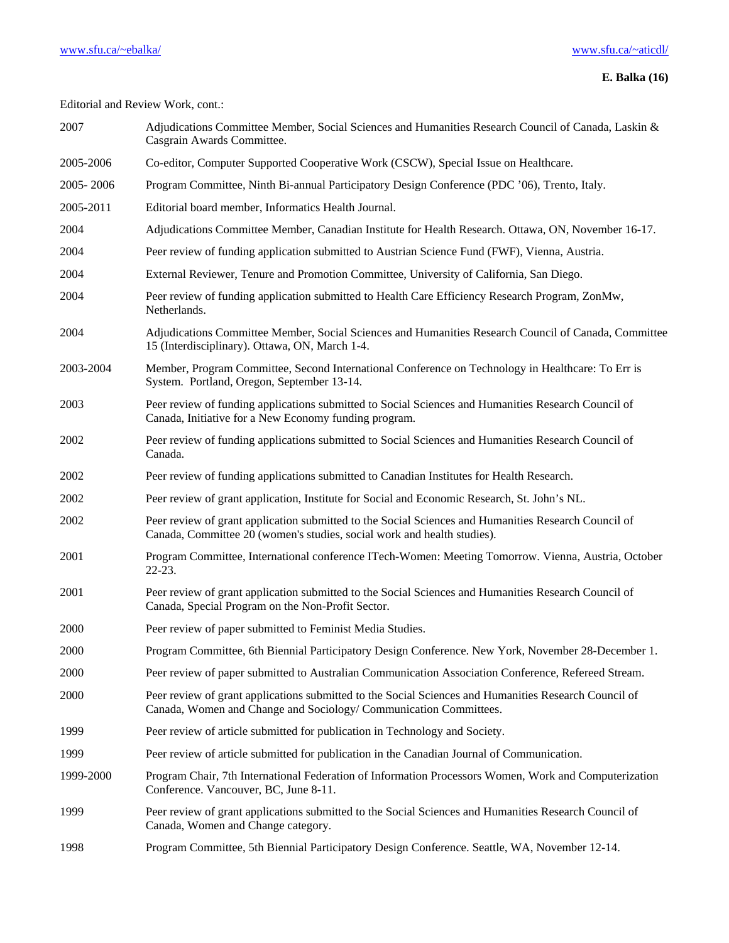Editorial and Review Work, cont.:

2007 Adjudications Committee Member, Social Sciences and Humanities Research Council of Canada, Laskin & Casgrain Awards Committee. 2005-2006 Co-editor, Computer Supported Cooperative Work (CSCW), Special Issue on Healthcare. 2005- 2006 Program Committee, Ninth Bi-annual Participatory Design Conference (PDC '06), Trento, Italy. 2005-2011 Editorial board member, Informatics Health Journal. 2004 Adjudications Committee Member, Canadian Institute for Health Research. Ottawa, ON, November 16-17. 2004 Peer review of funding application submitted to Austrian Science Fund (FWF), Vienna, Austria. 2004 External Reviewer, Tenure and Promotion Committee, University of California, San Diego. 2004 Peer review of funding application submitted to Health Care Efficiency Research Program, ZonMw, Netherlands. 2004 Adjudications Committee Member, Social Sciences and Humanities Research Council of Canada, Committee 15 (Interdisciplinary). Ottawa, ON, March 1-4. 2003-2004 Member, Program Committee, Second International Conference on Technology in Healthcare: To Err is System. Portland, Oregon, September 13-14. 2003 Peer review of funding applications submitted to Social Sciences and Humanities Research Council of Canada, Initiative for a New Economy funding program. 2002 Peer review of funding applications submitted to Social Sciences and Humanities Research Council of Canada. 2002 Peer review of funding applications submitted to Canadian Institutes for Health Research. 2002 Peer review of grant application, Institute for Social and Economic Research, St. John's NL. 2002 Peer review of grant application submitted to the Social Sciences and Humanities Research Council of Canada, Committee 20 (women's studies, social work and health studies). 2001 Program Committee, International conference ITech-Women: Meeting Tomorrow. Vienna, Austria, October 22-23. 2001 Peer review of grant application submitted to the Social Sciences and Humanities Research Council of Canada, Special Program on the Non-Profit Sector. 2000 Peer review of paper submitted to Feminist Media Studies. 2000 Program Committee, 6th Biennial Participatory Design Conference. New York, November 28-December 1. 2000 Peer review of paper submitted to Australian Communication Association Conference, Refereed Stream. 2000 Peer review of grant applications submitted to the Social Sciences and Humanities Research Council of Canada, Women and Change and Sociology/ Communication Committees. 1999 Peer review of article submitted for publication in Technology and Society. 1999 Peer review of article submitted for publication in the Canadian Journal of Communication. 1999-2000 Program Chair, 7th International Federation of Information Processors Women, Work and Computerization Conference. Vancouver, BC, June 8-11. 1999 Peer review of grant applications submitted to the Social Sciences and Humanities Research Council of Canada, Women and Change category. 1998 Program Committee, 5th Biennial Participatory Design Conference. Seattle, WA, November 12-14.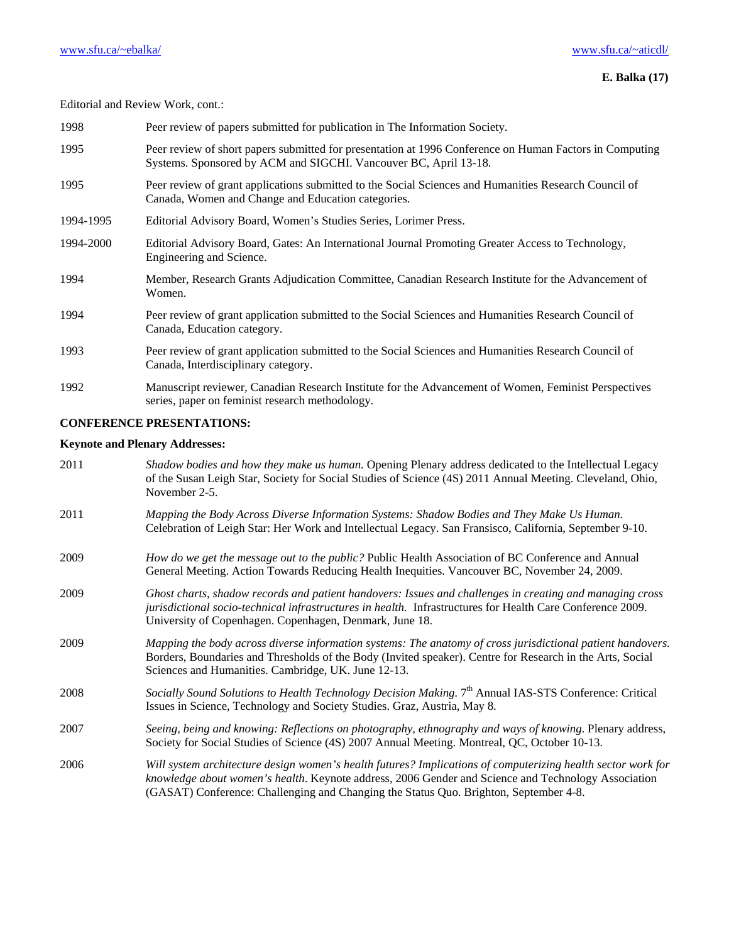| Editorial and Review Work, cont.: |  |  |  |  |
|-----------------------------------|--|--|--|--|
|-----------------------------------|--|--|--|--|

| 1998      | Peer review of papers submitted for publication in The Information Society.                                                                                                 |
|-----------|-----------------------------------------------------------------------------------------------------------------------------------------------------------------------------|
| 1995      | Peer review of short papers submitted for presentation at 1996 Conference on Human Factors in Computing<br>Systems. Sponsored by ACM and SIGCHI. Vancouver BC, April 13-18. |
| 1995      | Peer review of grant applications submitted to the Social Sciences and Humanities Research Council of<br>Canada, Women and Change and Education categories.                 |
| 1994-1995 | Editorial Advisory Board, Women's Studies Series, Lorimer Press.                                                                                                            |
| 1994-2000 | Editorial Advisory Board, Gates: An International Journal Promoting Greater Access to Technology,<br>Engineering and Science.                                               |
| 1994      | Member, Research Grants Adjudication Committee, Canadian Research Institute for the Advancement of<br>Women.                                                                |
| 1994      | Peer review of grant application submitted to the Social Sciences and Humanities Research Council of<br>Canada, Education category.                                         |
| 1993      | Peer review of grant application submitted to the Social Sciences and Humanities Research Council of<br>Canada, Interdisciplinary category.                                 |
| 1992      | Manuscript reviewer, Canadian Research Institute for the Advancement of Women, Feminist Perspectives<br>series, paper on feminist research methodology.                     |

### **CONFERENCE PRESENTATIONS:**

## **Keynote and Plenary Addresses:**

| 2011 | Shadow bodies and how they make us human. Opening Plenary address dedicated to the Intellectual Legacy<br>of the Susan Leigh Star, Society for Social Studies of Science (4S) 2011 Annual Meeting. Cleveland, Ohio,<br>November 2-5.                                                                         |
|------|--------------------------------------------------------------------------------------------------------------------------------------------------------------------------------------------------------------------------------------------------------------------------------------------------------------|
| 2011 | Mapping the Body Across Diverse Information Systems: Shadow Bodies and They Make Us Human.<br>Celebration of Leigh Star: Her Work and Intellectual Legacy. San Fransisco, California, September 9-10.                                                                                                        |
| 2009 | How do we get the message out to the public? Public Health Association of BC Conference and Annual<br>General Meeting. Action Towards Reducing Health Inequities. Vancouver BC, November 24, 2009.                                                                                                           |
| 2009 | Ghost charts, shadow records and patient handovers: Issues and challenges in creating and managing cross<br>jurisdictional socio-technical infrastructures in health. Infrastructures for Health Care Conference 2009.<br>University of Copenhagen. Copenhagen, Denmark, June 18.                            |
| 2009 | Mapping the body across diverse information systems: The anatomy of cross jurisdictional patient handovers.<br>Borders, Boundaries and Thresholds of the Body (Invited speaker). Centre for Research in the Arts, Social<br>Sciences and Humanities. Cambridge, UK. June 12-13.                              |
| 2008 | Socially Sound Solutions to Health Technology Decision Making. 7 <sup>th</sup> Annual IAS-STS Conference: Critical<br>Issues in Science, Technology and Society Studies. Graz, Austria, May 8.                                                                                                               |
| 2007 | Seeing, being and knowing: Reflections on photography, ethnography and ways of knowing. Plenary address,<br>Society for Social Studies of Science (4S) 2007 Annual Meeting. Montreal, QC, October 10-13.                                                                                                     |
| 2006 | Will system architecture design women's health futures? Implications of computerizing health sector work for<br>knowledge about women's health. Keynote address, 2006 Gender and Science and Technology Association<br>(GASAT) Conference: Challenging and Changing the Status Quo. Brighton, September 4-8. |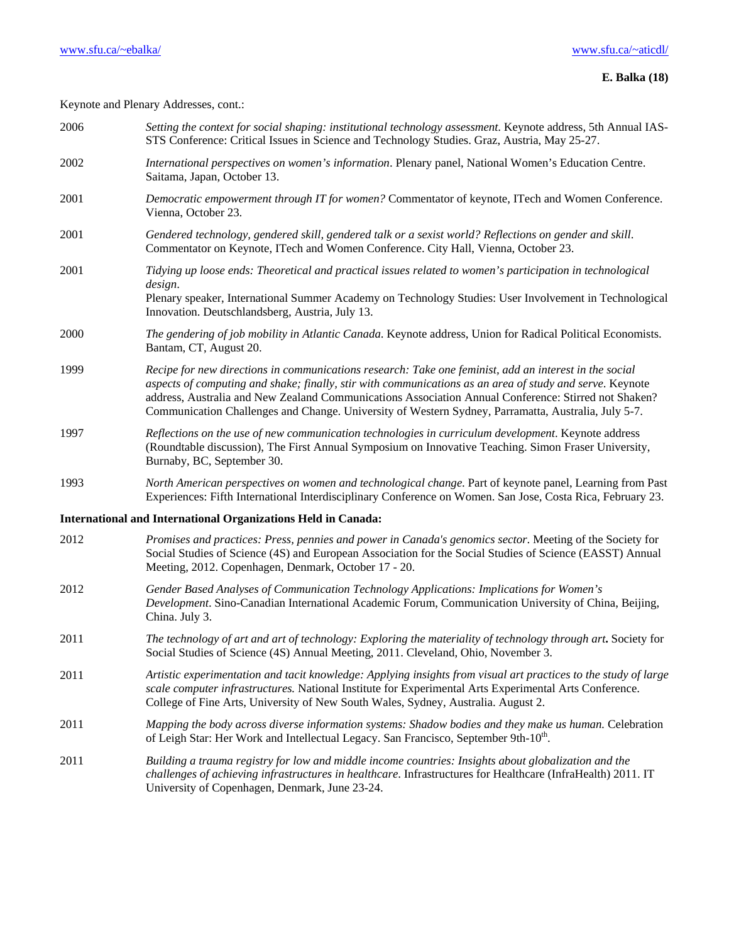Keynote and Plenary Addresses, cont.:

- 2006 *Setting the context for social shaping: institutional technology assessment*. Keynote address, 5th Annual IAS-STS Conference: Critical Issues in Science and Technology Studies. Graz, Austria, May 25-27.
- 2002 *International perspectives on women's information*. Plenary panel, National Women's Education Centre. Saitama, Japan, October 13.
- 2001 *Democratic empowerment through IT for women?* Commentator of keynote, ITech and Women Conference. Vienna, October 23.
- 2001 *Gendered technology, gendered skill, gendered talk or a sexist world? Reflections on gender and skill*. Commentator on Keynote, ITech and Women Conference. City Hall, Vienna, October 23.
- 2001 *Tidying up loose ends: Theoretical and practical issues related to women's participation in technological design*.
	- Plenary speaker, International Summer Academy on Technology Studies: User Involvement in Technological Innovation. Deutschlandsberg, Austria, July 13.
- 2000 *The gendering of job mobility in Atlantic Canada*. Keynote address, Union for Radical Political Economists. Bantam, CT, August 20.
- 1999 *Recipe for new directions in communications research: Take one feminist, add an interest in the social aspects of computing and shake; finally, stir with communications as an area of study and serve*. Keynote address, Australia and New Zealand Communications Association Annual Conference: Stirred not Shaken? Communication Challenges and Change. University of Western Sydney, Parramatta, Australia, July 5-7.
- 1997 *Reflections on the use of new communication technologies in curriculum development*. Keynote address (Roundtable discussion), The First Annual Symposium on Innovative Teaching. Simon Fraser University, Burnaby, BC, September 30.
- 1993 *North American perspectives on women and technological change*. Part of keynote panel, Learning from Past Experiences: Fifth International Interdisciplinary Conference on Women. San Jose, Costa Rica, February 23.

#### **International and International Organizations Held in Canada:**

- 2012 *Promises and practices: Press, pennies and power in Canada's genomics sector*. Meeting of the Society for Social Studies of Science (4S) and European Association for the Social Studies of Science (EASST) Annual Meeting, 2012. Copenhagen, Denmark, October 17 - 20.
- 2012 *Gender Based Analyses of Communication Technology Applications: Implications for Women's Development*. Sino-Canadian International Academic Forum, Communication University of China, Beijing, China. July 3.
- 2011 *The technology of art and art of technology: Exploring the materiality of technology through art***.** Society for Social Studies of Science (4S) Annual Meeting, 2011. Cleveland, Ohio, November 3.
- 2011 *Artistic experimentation and tacit knowledge: Applying insights from visual art practices to the study of large scale computer infrastructures.* National Institute for Experimental Arts Experimental Arts Conference. College of Fine Arts, University of New South Wales, Sydney, Australia. August 2.
- 2011 *Mapping the body across diverse information systems: Shadow bodies and they make us human.* Celebration of Leigh Star: Her Work and Intellectual Legacy. San Francisco, September 9th-10<sup>th</sup>.
- 2011 *Building a trauma registry for low and middle income countries: Insights about globalization and the challenges of achieving infrastructures in healthcare*. Infrastructures for Healthcare (InfraHealth) 2011. IT University of Copenhagen, Denmark, June 23-24.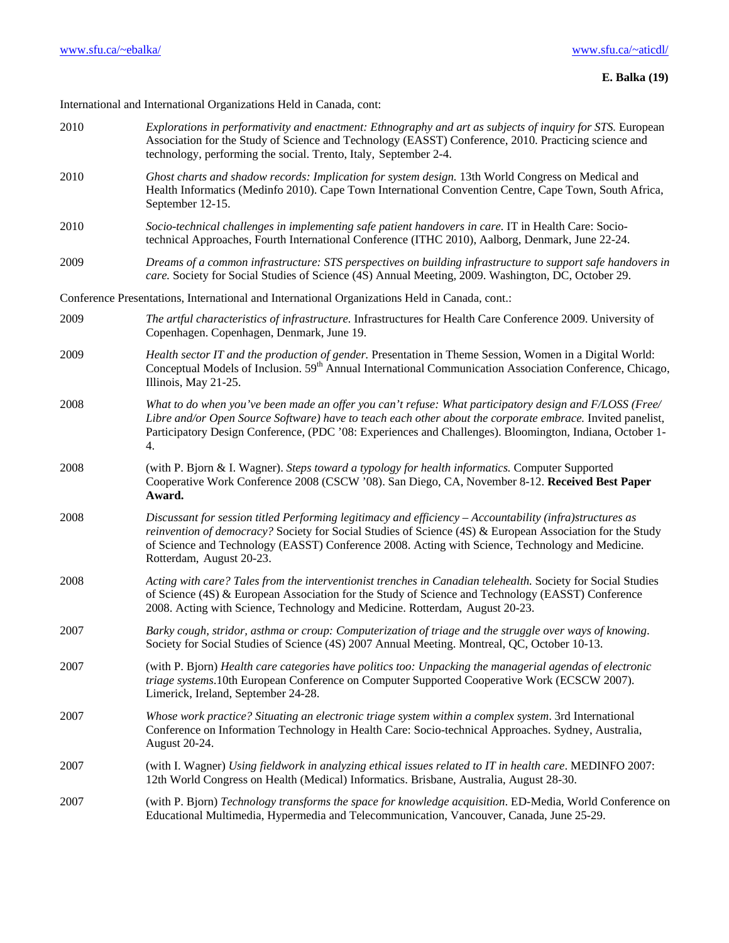Association for the Study of Science and Technology (EASST) Conference, 2010. Practicing science and technology, performing the social. Trento, Italy, September 2-4. 2010 *Ghost charts and shadow records: Implication for system design.* 13th World Congress on Medical and Health Informatics (Medinfo 2010). Cape Town International Convention Centre, Cape Town, South Africa, September 12-15. 2010 *Socio-technical challenges in implementing safe patient handovers in care.* IT in Health Care: Sociotechnical Approaches, Fourth International Conference (ITHC 2010), Aalborg, Denmark, June 22-24. 2009 *Dreams of a common infrastructure: STS perspectives on building infrastructure to support safe handovers in care.* Society for Social Studies of Science (4S) Annual Meeting, 2009. Washington, DC, October 29. Conference Presentations, International and International Organizations Held in Canada, cont.: 2009 *The artful characteristics of infrastructure.* Infrastructures for Health Care Conference 2009. University of Copenhagen. Copenhagen, Denmark, June 19. 2009 *Health sector IT and the production of gender.* Presentation in Theme Session, Women in a Digital World: Conceptual Models of Inclusion. 59<sup>th</sup> Annual International Communication Association Conference, Chicago, Illinois, May 21-25. 2008 *What to do when you've been made an offer you can't refuse: What participatory design and F/LOSS (Free/ Libre and/or Open Source Software) have to teach each other about the corporate embrace.* Invited panelist, Participatory Design Conference, (PDC '08: Experiences and Challenges). Bloomington, Indiana, October 1- 4. 2008 (with P. Bjorn & I. Wagner). *Steps toward a typology for health informatics.* Computer Supported Cooperative Work Conference 2008 (CSCW '08). San Diego, CA, November 8-12. **Received Best Paper Award.** 2008 *Discussant for session titled Performing legitimacy and efficiency – Accountability (infra)structures as reinvention of democracy?* Society for Social Studies of Science (4S) & European Association for the Study of Science and Technology (EASST) Conference 2008. Acting with Science, Technology and Medicine. Rotterdam, August 20-23. 2008 *Acting with care? Tales from the interventionist trenches in Canadian telehealth.* Society for Social Studies of Science (4S) & European Association for the Study of Science and Technology (EASST) Conference 2008. Acting with Science, Technology and Medicine. Rotterdam, August 20-23. 2007 *Barky cough, stridor, asthma or croup: Computerization of triage and the struggle over ways of knowing*. Society for Social Studies of Science (4S) 2007 Annual Meeting. Montreal, QC, October 10-13. 2007 (with P. Bjorn) *Health care categories have politics too: Unpacking the managerial agendas of electronic triage systems*.10th European Conference on Computer Supported Cooperative Work (ECSCW 2007). Limerick, Ireland, September 24-28. 2007 *Whose work practice? Situating an electronic triage system within a complex system*. 3rd International Conference on Information Technology in Health Care: Socio-technical Approaches. Sydney, Australia, August 20-24. 2007 (with I. Wagner) *Using fieldwork in analyzing ethical issues related to IT in health care*. MEDINFO 2007: 12th World Congress on Health (Medical) Informatics. Brisbane, Australia, August 28-30. 2007 (with P. Bjorn) *Technology transforms the space for knowledge acquisition*. ED-Media, World Conference on Educational Multimedia, Hypermedia and Telecommunication, Vancouver, Canada, June 25-29.

2010 *Explorations in performativity and enactment: Ethnography and art as subjects of inquiry for STS.* European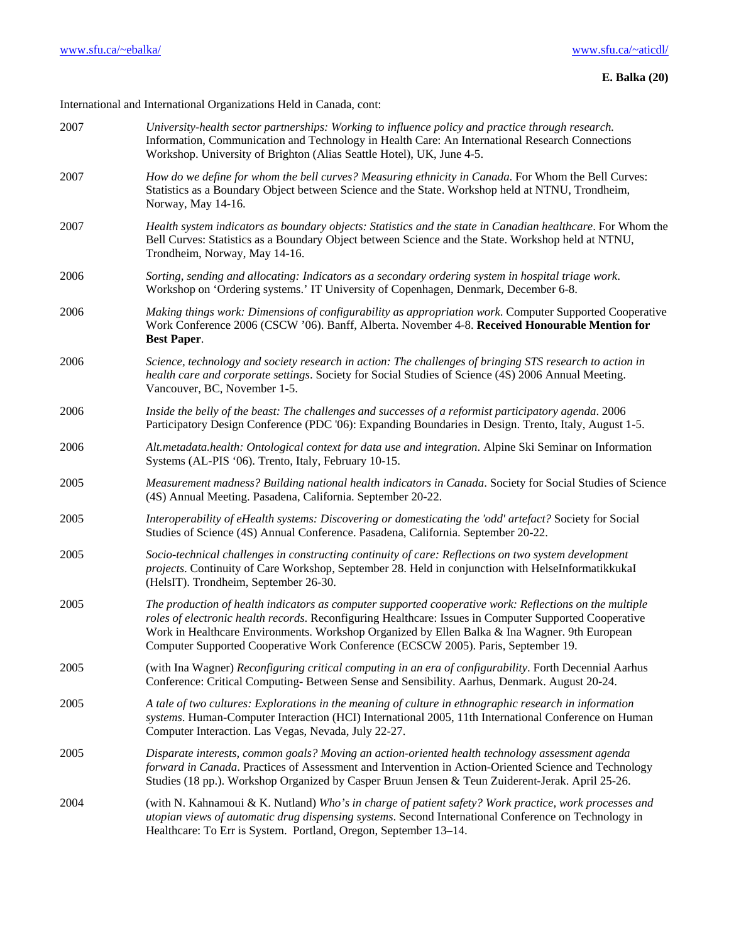| 2007 | University-health sector partnerships: Working to influence policy and practice through research.<br>Information, Communication and Technology in Health Care: An International Research Connections<br>Workshop. University of Brighton (Alias Seattle Hotel), UK, June 4-5.                                                                                                                           |
|------|---------------------------------------------------------------------------------------------------------------------------------------------------------------------------------------------------------------------------------------------------------------------------------------------------------------------------------------------------------------------------------------------------------|
| 2007 | How do we define for whom the bell curves? Measuring ethnicity in Canada. For Whom the Bell Curves:<br>Statistics as a Boundary Object between Science and the State. Workshop held at NTNU, Trondheim,<br>Norway, May 14-16.                                                                                                                                                                           |
| 2007 | Health system indicators as boundary objects: Statistics and the state in Canadian healthcare. For Whom the<br>Bell Curves: Statistics as a Boundary Object between Science and the State. Workshop held at NTNU,<br>Trondheim, Norway, May 14-16.                                                                                                                                                      |
| 2006 | Sorting, sending and allocating: Indicators as a secondary ordering system in hospital triage work.<br>Workshop on 'Ordering systems.' IT University of Copenhagen, Denmark, December 6-8.                                                                                                                                                                                                              |
| 2006 | Making things work: Dimensions of configurability as appropriation work. Computer Supported Cooperative<br>Work Conference 2006 (CSCW '06). Banff, Alberta. November 4-8. Received Honourable Mention for<br><b>Best Paper.</b>                                                                                                                                                                         |
| 2006 | Science, technology and society research in action: The challenges of bringing STS research to action in<br>health care and corporate settings. Society for Social Studies of Science (4S) 2006 Annual Meeting.<br>Vancouver, BC, November 1-5.                                                                                                                                                         |
| 2006 | Inside the belly of the beast: The challenges and successes of a reformist participatory agenda. 2006<br>Participatory Design Conference (PDC '06): Expanding Boundaries in Design. Trento, Italy, August 1-5.                                                                                                                                                                                          |
| 2006 | Alt.metadata.health: Ontological context for data use and integration. Alpine Ski Seminar on Information<br>Systems (AL-PIS '06). Trento, Italy, February 10-15.                                                                                                                                                                                                                                        |
| 2005 | Measurement madness? Building national health indicators in Canada. Society for Social Studies of Science<br>(4S) Annual Meeting. Pasadena, California. September 20-22.                                                                                                                                                                                                                                |
| 2005 | Interoperability of eHealth systems: Discovering or domesticating the 'odd' artefact? Society for Social<br>Studies of Science (4S) Annual Conference. Pasadena, California. September 20-22.                                                                                                                                                                                                           |
| 2005 | Socio-technical challenges in constructing continuity of care: Reflections on two system development<br>projects. Continuity of Care Workshop, September 28. Held in conjunction with HelseInformatikkukaI<br>(HelsIT). Trondheim, September 26-30.                                                                                                                                                     |
| 2005 | The production of health indicators as computer supported cooperative work: Reflections on the multiple<br>roles of electronic health records. Reconfiguring Healthcare: Issues in Computer Supported Cooperative<br>Work in Healthcare Environments. Workshop Organized by Ellen Balka & Ina Wagner. 9th European<br>Computer Supported Cooperative Work Conference (ECSCW 2005). Paris, September 19. |
| 2005 | (with Ina Wagner) Reconfiguring critical computing in an era of configurability. Forth Decennial Aarhus<br>Conference: Critical Computing-Between Sense and Sensibility. Aarhus, Denmark. August 20-24.                                                                                                                                                                                                 |
| 2005 | A tale of two cultures: Explorations in the meaning of culture in ethnographic research in information<br>systems. Human-Computer Interaction (HCI) International 2005, 11th International Conference on Human<br>Computer Interaction. Las Vegas, Nevada, July 22-27.                                                                                                                                  |
| 2005 | Disparate interests, common goals? Moving an action-oriented health technology assessment agenda<br>forward in Canada. Practices of Assessment and Intervention in Action-Oriented Science and Technology<br>Studies (18 pp.). Workshop Organized by Casper Bruun Jensen & Teun Zuiderent-Jerak. April 25-26.                                                                                           |
| 2004 | (with N. Kahnamoui & K. Nutland) Who's in charge of patient safety? Work practice, work processes and<br>utopian views of automatic drug dispensing systems. Second International Conference on Technology in<br>Healthcare: To Err is System. Portland, Oregon, September 13-14.                                                                                                                       |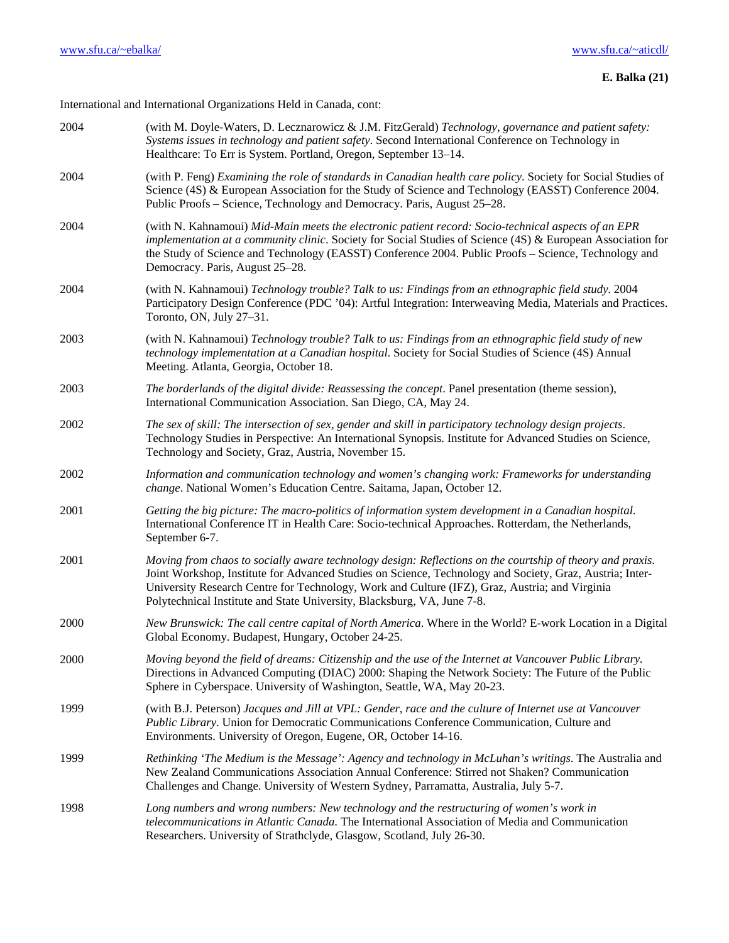| 2004 | (with M. Doyle-Waters, D. Lecznarowicz & J.M. FitzGerald) Technology, governance and patient safety:<br>Systems issues in technology and patient safety. Second International Conference on Technology in<br>Healthcare: To Err is System. Portland, Oregon, September 13-14.                                                                                                                      |
|------|----------------------------------------------------------------------------------------------------------------------------------------------------------------------------------------------------------------------------------------------------------------------------------------------------------------------------------------------------------------------------------------------------|
| 2004 | (with P. Feng) Examining the role of standards in Canadian health care policy. Society for Social Studies of<br>Science (4S) & European Association for the Study of Science and Technology (EASST) Conference 2004.<br>Public Proofs – Science, Technology and Democracy. Paris, August 25–28.                                                                                                    |
| 2004 | (with N. Kahnamoui) Mid-Main meets the electronic patient record: Socio-technical aspects of an EPR<br>implementation at a community clinic. Society for Social Studies of Science (4S) & European Association for<br>the Study of Science and Technology (EASST) Conference 2004. Public Proofs - Science, Technology and<br>Democracy. Paris, August 25-28.                                      |
| 2004 | (with N. Kahnamoui) Technology trouble? Talk to us: Findings from an ethnographic field study. 2004<br>Participatory Design Conference (PDC '04): Artful Integration: Interweaving Media, Materials and Practices.<br>Toronto, ON, July 27-31.                                                                                                                                                     |
| 2003 | (with N. Kahnamoui) Technology trouble? Talk to us: Findings from an ethnographic field study of new<br>technology implementation at a Canadian hospital. Society for Social Studies of Science (4S) Annual<br>Meeting. Atlanta, Georgia, October 18.                                                                                                                                              |
| 2003 | The borderlands of the digital divide: Reassessing the concept. Panel presentation (theme session),<br>International Communication Association. San Diego, CA, May 24.                                                                                                                                                                                                                             |
| 2002 | The sex of skill: The intersection of sex, gender and skill in participatory technology design projects.<br>Technology Studies in Perspective: An International Synopsis. Institute for Advanced Studies on Science,<br>Technology and Society, Graz, Austria, November 15.                                                                                                                        |
| 2002 | Information and communication technology and women's changing work: Frameworks for understanding<br>change. National Women's Education Centre. Saitama, Japan, October 12.                                                                                                                                                                                                                         |
| 2001 | Getting the big picture: The macro-politics of information system development in a Canadian hospital.<br>International Conference IT in Health Care: Socio-technical Approaches. Rotterdam, the Netherlands,<br>September 6-7.                                                                                                                                                                     |
| 2001 | Moving from chaos to socially aware technology design: Reflections on the courtship of theory and praxis.<br>Joint Workshop, Institute for Advanced Studies on Science, Technology and Society, Graz, Austria; Inter-<br>University Research Centre for Technology, Work and Culture (IFZ), Graz, Austria; and Virginia<br>Polytechnical Institute and State University, Blacksburg, VA, June 7-8. |
| 2000 | New Brunswick: The call centre capital of North America. Where in the World? E-work Location in a Digital<br>Global Economy. Budapest, Hungary, October 24-25.                                                                                                                                                                                                                                     |
| 2000 | Moving beyond the field of dreams: Citizenship and the use of the Internet at Vancouver Public Library.<br>Directions in Advanced Computing (DIAC) 2000: Shaping the Network Society: The Future of the Public<br>Sphere in Cyberspace. University of Washington, Seattle, WA, May 20-23.                                                                                                          |
| 1999 | (with B.J. Peterson) Jacques and Jill at VPL: Gender, race and the culture of Internet use at Vancouver<br>Public Library. Union for Democratic Communications Conference Communication, Culture and<br>Environments. University of Oregon, Eugene, OR, October 14-16.                                                                                                                             |
| 1999 | Rethinking 'The Medium is the Message': Agency and technology in McLuhan's writings. The Australia and<br>New Zealand Communications Association Annual Conference: Stirred not Shaken? Communication<br>Challenges and Change. University of Western Sydney, Parramatta, Australia, July 5-7.                                                                                                     |
| 1998 | Long numbers and wrong numbers: New technology and the restructuring of women's work in<br>telecommunications in Atlantic Canada. The International Association of Media and Communication<br>Researchers. University of Strathclyde, Glasgow, Scotland, July 26-30.                                                                                                                               |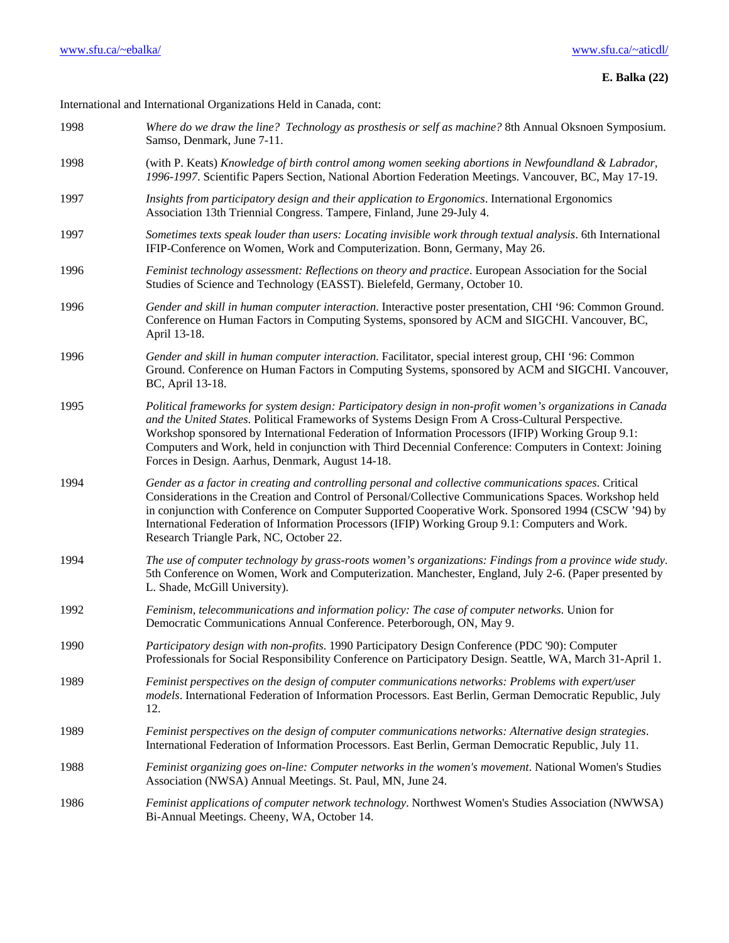| 1998 | Where do we draw the line? Technology as prosthesis or self as machine? 8th Annual Oksnoen Symposium.<br>Samso, Denmark, June 7-11.                                                                                                                                                                                                                                                                                                                                                |
|------|------------------------------------------------------------------------------------------------------------------------------------------------------------------------------------------------------------------------------------------------------------------------------------------------------------------------------------------------------------------------------------------------------------------------------------------------------------------------------------|
| 1998 | (with P. Keats) Knowledge of birth control among women seeking abortions in Newfoundland & Labrador,<br>1996-1997. Scientific Papers Section, National Abortion Federation Meetings. Vancouver, BC, May 17-19.                                                                                                                                                                                                                                                                     |
| 1997 | Insights from participatory design and their application to Ergonomics. International Ergonomics<br>Association 13th Triennial Congress. Tampere, Finland, June 29-July 4.                                                                                                                                                                                                                                                                                                         |
| 1997 | Sometimes texts speak louder than users: Locating invisible work through textual analysis. 6th International<br>IFIP-Conference on Women, Work and Computerization. Bonn, Germany, May 26.                                                                                                                                                                                                                                                                                         |
| 1996 | Feminist technology assessment: Reflections on theory and practice. European Association for the Social<br>Studies of Science and Technology (EASST). Bielefeld, Germany, October 10.                                                                                                                                                                                                                                                                                              |
| 1996 | Gender and skill in human computer interaction. Interactive poster presentation, CHI '96: Common Ground.<br>Conference on Human Factors in Computing Systems, sponsored by ACM and SIGCHI. Vancouver, BC,<br>April 13-18.                                                                                                                                                                                                                                                          |
| 1996 | Gender and skill in human computer interaction. Facilitator, special interest group, CHI '96: Common<br>Ground. Conference on Human Factors in Computing Systems, sponsored by ACM and SIGCHI. Vancouver,<br>BC, April 13-18.                                                                                                                                                                                                                                                      |
| 1995 | Political frameworks for system design: Participatory design in non-profit women's organizations in Canada<br>and the United States. Political Frameworks of Systems Design From A Cross-Cultural Perspective.<br>Workshop sponsored by International Federation of Information Processors (IFIP) Working Group 9.1:<br>Computers and Work, held in conjunction with Third Decennial Conference: Computers in Context: Joining<br>Forces in Design. Aarhus, Denmark, August 14-18. |
| 1994 | Gender as a factor in creating and controlling personal and collective communications spaces. Critical<br>Considerations in the Creation and Control of Personal/Collective Communications Spaces. Workshop held<br>in conjunction with Conference on Computer Supported Cooperative Work. Sponsored 1994 (CSCW '94) by<br>International Federation of Information Processors (IFIP) Working Group 9.1: Computers and Work.<br>Research Triangle Park, NC, October 22.             |
| 1994 | The use of computer technology by grass-roots women's organizations: Findings from a province wide study.<br>5th Conference on Women, Work and Computerization. Manchester, England, July 2-6. (Paper presented by<br>L. Shade, McGill University).                                                                                                                                                                                                                                |
| 1992 | Feminism, telecommunications and information policy: The case of computer networks. Union for<br>Democratic Communications Annual Conference. Peterborough, ON, May 9.                                                                                                                                                                                                                                                                                                             |
| 1990 | Participatory design with non-profits. 1990 Participatory Design Conference (PDC '90): Computer<br>Professionals for Social Responsibility Conference on Participatory Design. Seattle, WA, March 31-April 1.                                                                                                                                                                                                                                                                      |
| 1989 | Feminist perspectives on the design of computer communications networks: Problems with expert/user<br>models. International Federation of Information Processors. East Berlin, German Democratic Republic, July<br>12.                                                                                                                                                                                                                                                             |
| 1989 | Feminist perspectives on the design of computer communications networks: Alternative design strategies.<br>International Federation of Information Processors. East Berlin, German Democratic Republic, July 11.                                                                                                                                                                                                                                                                   |
| 1988 | Feminist organizing goes on-line: Computer networks in the women's movement. National Women's Studies<br>Association (NWSA) Annual Meetings. St. Paul, MN, June 24.                                                                                                                                                                                                                                                                                                                |
| 1986 | Feminist applications of computer network technology. Northwest Women's Studies Association (NWWSA)<br>Bi-Annual Meetings. Cheeny, WA, October 14.                                                                                                                                                                                                                                                                                                                                 |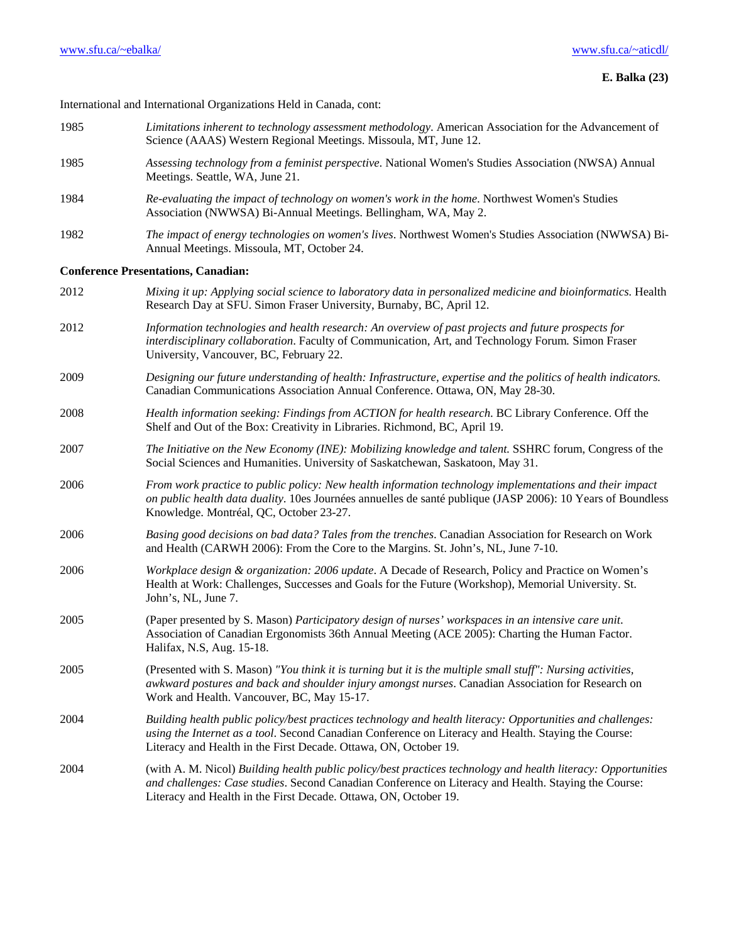- 1985 *Limitations inherent to technology assessment methodology*. American Association for the Advancement of Science (AAAS) Western Regional Meetings. Missoula, MT, June 12.
- 1985 *Assessing technology from a feminist perspective*. National Women's Studies Association (NWSA) Annual Meetings. Seattle, WA, June 21.
- 1984 *Re-evaluating the impact of technology on women's work in the home*. Northwest Women's Studies Association (NWWSA) Bi-Annual Meetings. Bellingham, WA, May 2.
- 1982 *The impact of energy technologies on women's lives*. Northwest Women's Studies Association (NWWSA) Bi-Annual Meetings. Missoula, MT, October 24.

#### **Conference Presentations, Canadian:**

- 2012 *Mixing it up: Applying social science to laboratory data in personalized medicine and bioinformatics.* Health Research Day at SFU. Simon Fraser University, Burnaby, BC, April 12.
- 2012 *Information technologies and health research: An overview of past projects and future prospects for interdisciplinary collaboration*. Faculty of Communication, Art, and Technology Forum*.* Simon Fraser University, Vancouver, BC, February 22.
- 2009 *Designing our future understanding of health: Infrastructure, expertise and the politics of health indicators.*  Canadian Communications Association Annual Conference. Ottawa, ON, May 28-30.
- 2008 *Health information seeking: Findings from ACTION for health research*. BC Library Conference. Off the Shelf and Out of the Box: Creativity in Libraries. Richmond, BC, April 19.
- 2007 *The Initiative on the New Economy (INE): Mobilizing knowledge and talent*. SSHRC forum, Congress of the Social Sciences and Humanities. University of Saskatchewan, Saskatoon, May 31.
- 2006 *From work practice to public policy: New health information technology implementations and their impact on public health data duality*. 10es Journées annuelles de santé publique (JASP 2006): 10 Years of Boundless Knowledge. Montréal, QC, October 23-27.
- 2006 *Basing good decisions on bad data? Tales from the trenches*. Canadian Association for Research on Work and Health (CARWH 2006): From the Core to the Margins. St. John's, NL, June 7-10.
- 2006 *Workplace design & organization: 2006 update*. A Decade of Research, Policy and Practice on Women's Health at Work: Challenges, Successes and Goals for the Future (Workshop), Memorial University. St. John's, NL, June 7.
- 2005 (Paper presented by S. Mason) *Participatory design of nurses' workspaces in an intensive care unit*. Association of Canadian Ergonomists 36th Annual Meeting (ACE 2005): Charting the Human Factor. Halifax, N.S, Aug. 15-18.
- 2005 (Presented with S. Mason) *"You think it is turning but it is the multiple small stuff": Nursing activities, awkward postures and back and shoulder injury amongst nurses*. Canadian Association for Research on Work and Health. Vancouver, BC, May 15-17.
- 2004 *Building health public policy/best practices technology and health literacy: Opportunities and challenges: using the Internet as a tool*. Second Canadian Conference on Literacy and Health. Staying the Course: Literacy and Health in the First Decade. Ottawa, ON, October 19.
- 2004 (with A. M. Nicol) *Building health public policy/best practices technology and health literacy: Opportunities and challenges: Case studies*. Second Canadian Conference on Literacy and Health. Staying the Course: Literacy and Health in the First Decade. Ottawa, ON, October 19.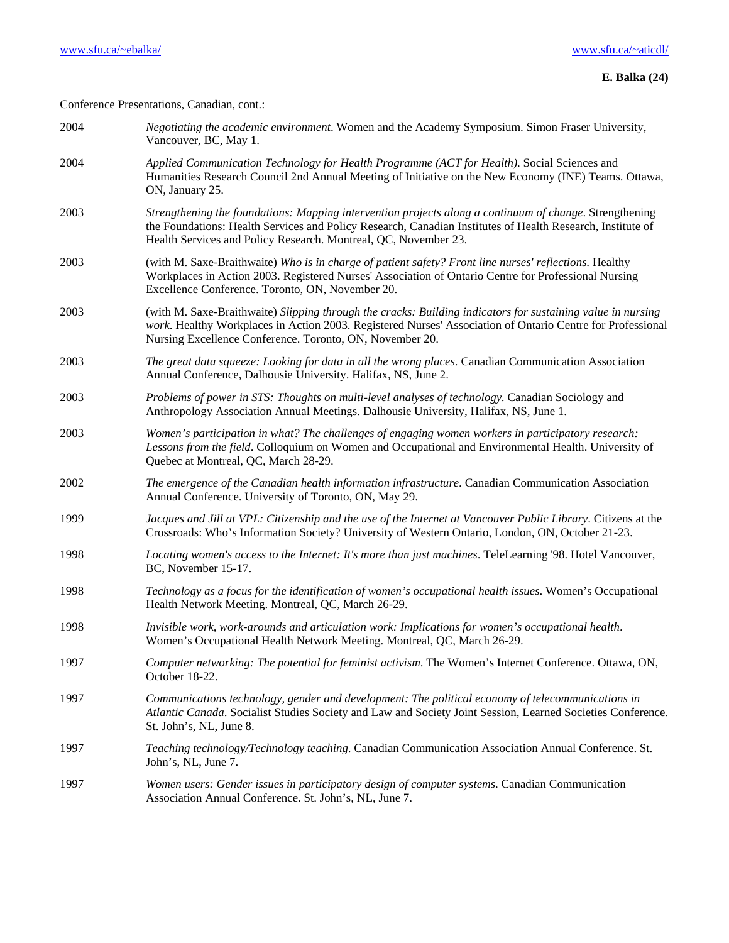Conference Presentations, Canadian, cont.:

| 2004 | Negotiating the academic environment. Women and the Academy Symposium. Simon Fraser University,<br>Vancouver, BC, May 1.                                                                                                                                                                 |
|------|------------------------------------------------------------------------------------------------------------------------------------------------------------------------------------------------------------------------------------------------------------------------------------------|
| 2004 | Applied Communication Technology for Health Programme (ACT for Health). Social Sciences and<br>Humanities Research Council 2nd Annual Meeting of Initiative on the New Economy (INE) Teams. Ottawa,<br>ON, January 25.                                                                   |
| 2003 | Strengthening the foundations: Mapping intervention projects along a continuum of change. Strengthening<br>the Foundations: Health Services and Policy Research, Canadian Institutes of Health Research, Institute of<br>Health Services and Policy Research. Montreal, QC, November 23. |
| 2003 | (with M. Saxe-Braithwaite) Who is in charge of patient safety? Front line nurses' reflections. Healthy<br>Workplaces in Action 2003. Registered Nurses' Association of Ontario Centre for Professional Nursing<br>Excellence Conference. Toronto, ON, November 20.                       |
| 2003 | (with M. Saxe-Braithwaite) Slipping through the cracks: Building indicators for sustaining value in nursing<br>work. Healthy Workplaces in Action 2003. Registered Nurses' Association of Ontario Centre for Professional<br>Nursing Excellence Conference. Toronto, ON, November 20.    |
| 2003 | The great data squeeze: Looking for data in all the wrong places. Canadian Communication Association<br>Annual Conference, Dalhousie University. Halifax, NS, June 2.                                                                                                                    |
| 2003 | Problems of power in STS: Thoughts on multi-level analyses of technology. Canadian Sociology and<br>Anthropology Association Annual Meetings. Dalhousie University, Halifax, NS, June 1.                                                                                                 |
| 2003 | Women's participation in what? The challenges of engaging women workers in participatory research:<br>Lessons from the field. Colloquium on Women and Occupational and Environmental Health. University of<br>Quebec at Montreal, QC, March 28-29.                                       |
| 2002 | The emergence of the Canadian health information infrastructure. Canadian Communication Association<br>Annual Conference. University of Toronto, ON, May 29.                                                                                                                             |
| 1999 | Jacques and Jill at VPL: Citizenship and the use of the Internet at Vancouver Public Library. Citizens at the<br>Crossroads: Who's Information Society? University of Western Ontario, London, ON, October 21-23.                                                                        |
| 1998 | Locating women's access to the Internet: It's more than just machines. TeleLearning '98. Hotel Vancouver,<br>BC, November 15-17.                                                                                                                                                         |
| 1998 | Technology as a focus for the identification of women's occupational health issues. Women's Occupational<br>Health Network Meeting. Montreal, QC, March 26-29.                                                                                                                           |
| 1998 | Invisible work, work-arounds and articulation work: Implications for women's occupational health.<br>Women's Occupational Health Network Meeting. Montreal, QC, March 26-29.                                                                                                             |
| 1997 | Computer networking: The potential for feminist activism. The Women's Internet Conference. Ottawa, ON,<br>October 18-22.                                                                                                                                                                 |
| 1997 | Communications technology, gender and development: The political economy of telecommunications in<br>Atlantic Canada. Socialist Studies Society and Law and Society Joint Session, Learned Societies Conference.<br>St. John's, NL, June 8.                                              |
| 1997 | Teaching technology/Technology teaching. Canadian Communication Association Annual Conference. St.<br>John's, NL, June 7.                                                                                                                                                                |
| 1997 | Women users: Gender issues in participatory design of computer systems. Canadian Communication<br>Association Annual Conference. St. John's, NL, June 7.                                                                                                                                 |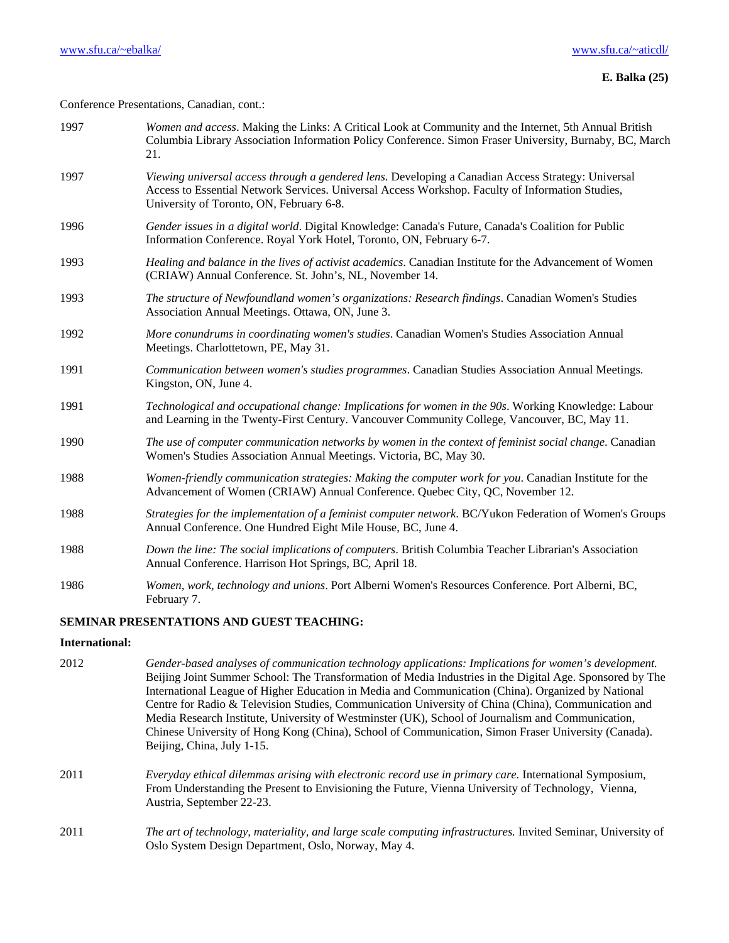Conference Presentations, Canadian, cont.:

1997 *Women and access*. Making the Links: A Critical Look at Community and the Internet, 5th Annual British Columbia Library Association Information Policy Conference. Simon Fraser University, Burnaby, BC, March 21. 1997 *Viewing universal access through a gendered lens*. Developing a Canadian Access Strategy: Universal Access to Essential Network Services. Universal Access Workshop. Faculty of Information Studies, University of Toronto, ON, February 6-8. 1996 *Gender issues in a digital world*. Digital Knowledge: Canada's Future, Canada's Coalition for Public Information Conference. Royal York Hotel, Toronto, ON, February 6-7. 1993 *Healing and balance in the lives of activist academics*. Canadian Institute for the Advancement of Women (CRIAW) Annual Conference. St. John's, NL, November 14. 1993 *The structure of Newfoundland women's organizations: Research findings*. Canadian Women's Studies Association Annual Meetings. Ottawa, ON, June 3. 1992 *More conundrums in coordinating women's studies*. Canadian Women's Studies Association Annual Meetings. Charlottetown, PE, May 31. 1991 *Communication between women's studies programmes*. Canadian Studies Association Annual Meetings. Kingston, ON, June 4. 1991 *Technological and occupational change: Implications for women in the 90s*. Working Knowledge: Labour and Learning in the Twenty-First Century. Vancouver Community College, Vancouver, BC, May 11. 1990 *The use of computer communication networks by women in the context of feminist social change*. Canadian Women's Studies Association Annual Meetings. Victoria, BC, May 30. 1988 *Women-friendly communication strategies: Making the computer work for you*. Canadian Institute for the Advancement of Women (CRIAW) Annual Conference. Quebec City, QC, November 12. 1988 *Strategies for the implementation of a feminist computer network*. BC/Yukon Federation of Women's Groups Annual Conference. One Hundred Eight Mile House, BC, June 4. 1988 *Down the line: The social implications of computers*. British Columbia Teacher Librarian's Association Annual Conference. Harrison Hot Springs, BC, April 18. 1986 *Women, work, technology and unions*. Port Alberni Women's Resources Conference. Port Alberni, BC, February 7.

## **SEMINAR PRESENTATIONS AND GUEST TEACHING:**

### **International:**

| 2012 | Gender-based analyses of communication technology applications: Implications for women's development.                                                                                                                                     |
|------|-------------------------------------------------------------------------------------------------------------------------------------------------------------------------------------------------------------------------------------------|
|      | Beijing Joint Summer School: The Transformation of Media Industries in the Digital Age. Sponsored by The                                                                                                                                  |
|      | International League of Higher Education in Media and Communication (China). Organized by National                                                                                                                                        |
|      | Centre for Radio & Television Studies, Communication University of China (China), Communication and                                                                                                                                       |
|      | Media Research Institute, University of Westminster (UK), School of Journalism and Communication,                                                                                                                                         |
|      | Chinese University of Hong Kong (China), School of Communication, Simon Fraser University (Canada).                                                                                                                                       |
|      | Beijing, China, July 1-15.                                                                                                                                                                                                                |
| 2011 | Everyday ethical dilemmas arising with electronic record use in primary care. International Symposium,<br>From Understanding the Present to Envisioning the Future, Vienna University of Technology, Vienna,<br>Austria, September 22-23. |
|      |                                                                                                                                                                                                                                           |

2011 *The art of technology, materiality, and large scale computing infrastructures.* Invited Seminar, University of Oslo System Design Department, Oslo, Norway, May 4.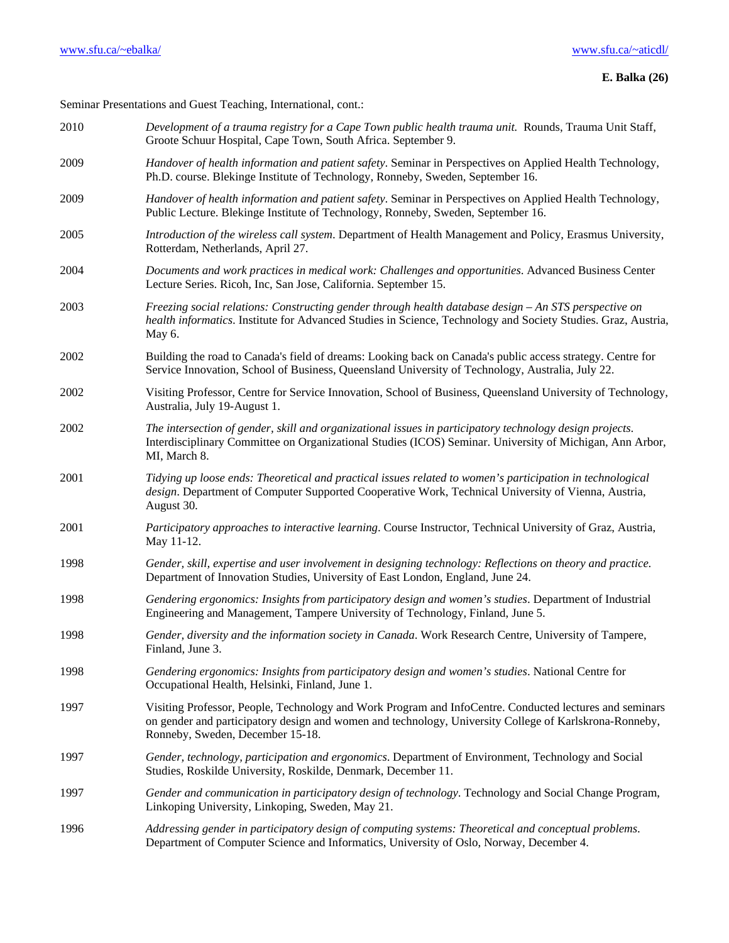Seminar Presentations and Guest Teaching, International, cont.:

| 2010 | Development of a trauma registry for a Cape Town public health trauma unit. Rounds, Trauma Unit Staff,<br>Groote Schuur Hospital, Cape Town, South Africa. September 9.                                                                               |
|------|-------------------------------------------------------------------------------------------------------------------------------------------------------------------------------------------------------------------------------------------------------|
| 2009 | Handover of health information and patient safety. Seminar in Perspectives on Applied Health Technology,<br>Ph.D. course. Blekinge Institute of Technology, Ronneby, Sweden, September 16.                                                            |
| 2009 | Handover of health information and patient safety. Seminar in Perspectives on Applied Health Technology,<br>Public Lecture. Blekinge Institute of Technology, Ronneby, Sweden, September 16.                                                          |
| 2005 | Introduction of the wireless call system. Department of Health Management and Policy, Erasmus University,<br>Rotterdam, Netherlands, April 27.                                                                                                        |
| 2004 | Documents and work practices in medical work: Challenges and opportunities. Advanced Business Center<br>Lecture Series. Ricoh, Inc, San Jose, California. September 15.                                                                               |
| 2003 | Freezing social relations: Constructing gender through health database design - An STS perspective on<br>health informatics. Institute for Advanced Studies in Science, Technology and Society Studies. Graz, Austria,<br>May 6.                      |
| 2002 | Building the road to Canada's field of dreams: Looking back on Canada's public access strategy. Centre for<br>Service Innovation, School of Business, Queensland University of Technology, Australia, July 22.                                        |
| 2002 | Visiting Professor, Centre for Service Innovation, School of Business, Queensland University of Technology,<br>Australia, July 19-August 1.                                                                                                           |
| 2002 | The intersection of gender, skill and organizational issues in participatory technology design projects.<br>Interdisciplinary Committee on Organizational Studies (ICOS) Seminar. University of Michigan, Ann Arbor,<br>MI, March 8.                  |
| 2001 | Tidying up loose ends: Theoretical and practical issues related to women's participation in technological<br>design. Department of Computer Supported Cooperative Work, Technical University of Vienna, Austria,<br>August 30.                        |
| 2001 | Participatory approaches to interactive learning. Course Instructor, Technical University of Graz, Austria,<br>May 11-12.                                                                                                                             |
| 1998 | Gender, skill, expertise and user involvement in designing technology: Reflections on theory and practice.<br>Department of Innovation Studies, University of East London, England, June 24.                                                          |
| 1998 | Gendering ergonomics: Insights from participatory design and women's studies. Department of Industrial<br>Engineering and Management, Tampere University of Technology, Finland, June 5.                                                              |
| 1998 | Gender, diversity and the information society in Canada. Work Research Centre, University of Tampere,<br>Finland, June 3.                                                                                                                             |
| 1998 | Gendering ergonomics: Insights from participatory design and women's studies. National Centre for<br>Occupational Health, Helsinki, Finland, June 1.                                                                                                  |
| 1997 | Visiting Professor, People, Technology and Work Program and InfoCentre. Conducted lectures and seminars<br>on gender and participatory design and women and technology, University College of Karlskrona-Ronneby,<br>Ronneby, Sweden, December 15-18. |
| 1997 | Gender, technology, participation and ergonomics. Department of Environment, Technology and Social<br>Studies, Roskilde University, Roskilde, Denmark, December 11.                                                                                   |
| 1997 | Gender and communication in participatory design of technology. Technology and Social Change Program,<br>Linkoping University, Linkoping, Sweden, May 21.                                                                                             |
| 1996 | Addressing gender in participatory design of computing systems: Theoretical and conceptual problems.<br>Department of Computer Science and Informatics, University of Oslo, Norway, December 4.                                                       |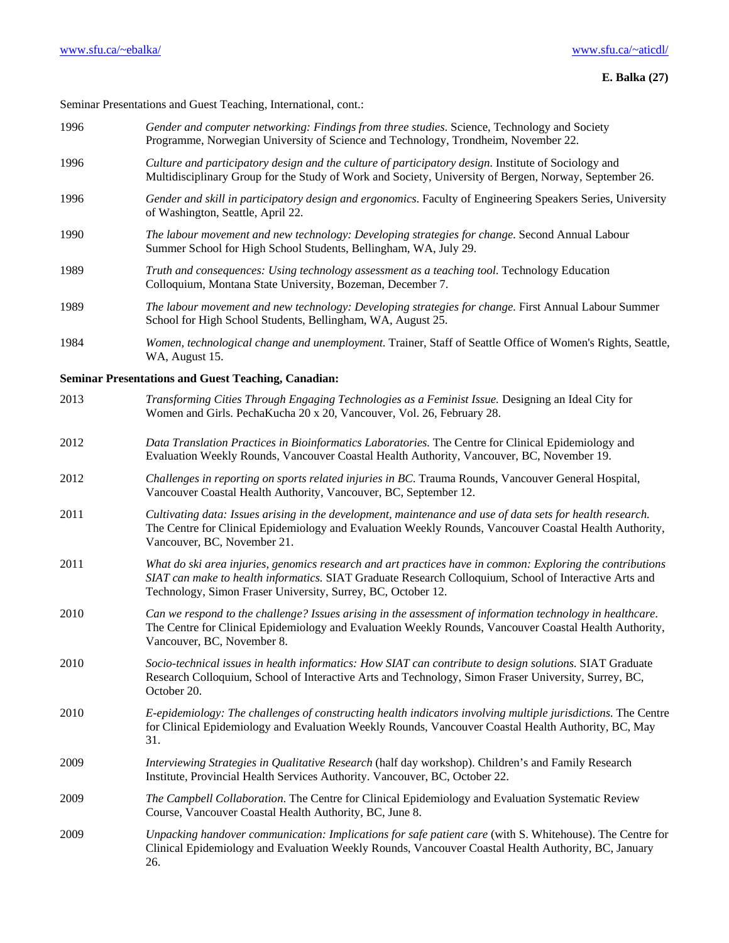Seminar Presentations and Guest Teaching, International, cont.:

- 1996 *Gender and computer networking: Findings from three studies*. Science, Technology and Society Programme, Norwegian University of Science and Technology, Trondheim, November 22.
- 1996 *Culture and participatory design and the culture of participatory design*. Institute of Sociology and Multidisciplinary Group for the Study of Work and Society, University of Bergen, Norway, September 26.
- 1996 *Gender and skill in participatory design and ergonomics*. Faculty of Engineering Speakers Series, University of Washington, Seattle, April 22.
- 1990 *The labour movement and new technology: Developing strategies for change*. Second Annual Labour Summer School for High School Students, Bellingham, WA, July 29.
- 1989 *Truth and consequences: Using technology assessment as a teaching tool*. Technology Education Colloquium, Montana State University, Bozeman, December 7.
- 1989 *The labour movement and new technology: Developing strategies for change*. First Annual Labour Summer School for High School Students, Bellingham, WA, August 25.
- 1984 *Women, technological change and unemployment*. Trainer, Staff of Seattle Office of Women's Rights, Seattle, WA, August 15.

**Seminar Presentations and Guest Teaching, Canadian:** 

| 2013 | Transforming Cities Through Engaging Technologies as a Feminist Issue. Designing an Ideal City for<br>Women and Girls. PechaKucha 20 x 20, Vancouver, Vol. 26, February 28.                                                                                                          |
|------|--------------------------------------------------------------------------------------------------------------------------------------------------------------------------------------------------------------------------------------------------------------------------------------|
| 2012 | Data Translation Practices in Bioinformatics Laboratories. The Centre for Clinical Epidemiology and<br>Evaluation Weekly Rounds, Vancouver Coastal Health Authority, Vancouver, BC, November 19.                                                                                     |
| 2012 | Challenges in reporting on sports related injuries in BC. Trauma Rounds, Vancouver General Hospital,<br>Vancouver Coastal Health Authority, Vancouver, BC, September 12.                                                                                                             |
| 2011 | Cultivating data: Issues arising in the development, maintenance and use of data sets for health research.<br>The Centre for Clinical Epidemiology and Evaluation Weekly Rounds, Vancouver Coastal Health Authority,<br>Vancouver, BC, November 21.                                  |
| 2011 | What do ski area injuries, genomics research and art practices have in common: Exploring the contributions<br>SIAT can make to health informatics. SIAT Graduate Research Colloquium, School of Interactive Arts and<br>Technology, Simon Fraser University, Surrey, BC, October 12. |
| 2010 | Can we respond to the challenge? Issues arising in the assessment of information technology in healthcare.<br>The Centre for Clinical Epidemiology and Evaluation Weekly Rounds, Vancouver Coastal Health Authority,<br>Vancouver, BC, November 8.                                   |
| 2010 | Socio-technical issues in health informatics: How SIAT can contribute to design solutions. SIAT Graduate<br>Research Colloquium, School of Interactive Arts and Technology, Simon Fraser University, Surrey, BC,<br>October 20.                                                      |
| 2010 | E-epidemiology: The challenges of constructing health indicators involving multiple jurisdictions. The Centre<br>for Clinical Epidemiology and Evaluation Weekly Rounds, Vancouver Coastal Health Authority, BC, May<br>31.                                                          |
| 2009 | Interviewing Strategies in Qualitative Research (half day workshop). Children's and Family Research<br>Institute, Provincial Health Services Authority. Vancouver, BC, October 22.                                                                                                   |
| 2009 | The Campbell Collaboration. The Centre for Clinical Epidemiology and Evaluation Systematic Review<br>Course, Vancouver Coastal Health Authority, BC, June 8.                                                                                                                         |
| 2009 | Unpacking handover communication: Implications for safe patient care (with S. Whitehouse). The Centre for<br>Clinical Epidemiology and Evaluation Weekly Rounds, Vancouver Coastal Health Authority, BC, January<br>26.                                                              |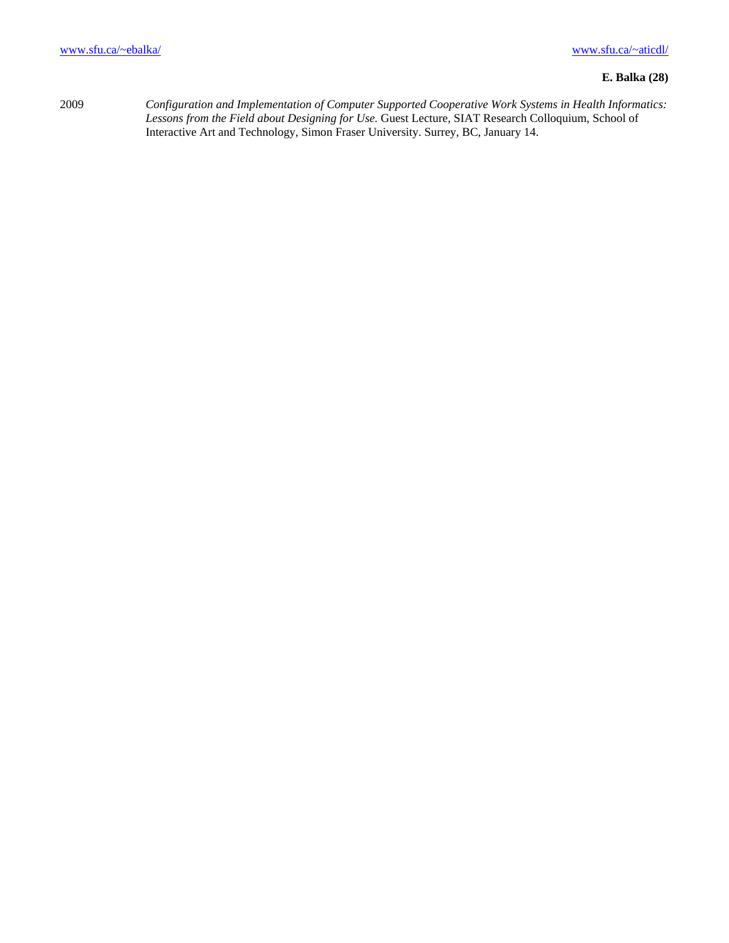### **E. Balka (28)**

2009 *Configuration and Implementation of Computer Supported Cooperative Work Systems in Health Informatics: Lessons from the Field about Designing for Use.* Guest Lecture, SIAT Research Colloquium, School of Interactive Art and Technology, Simon Fraser University. Surrey, BC, January 14.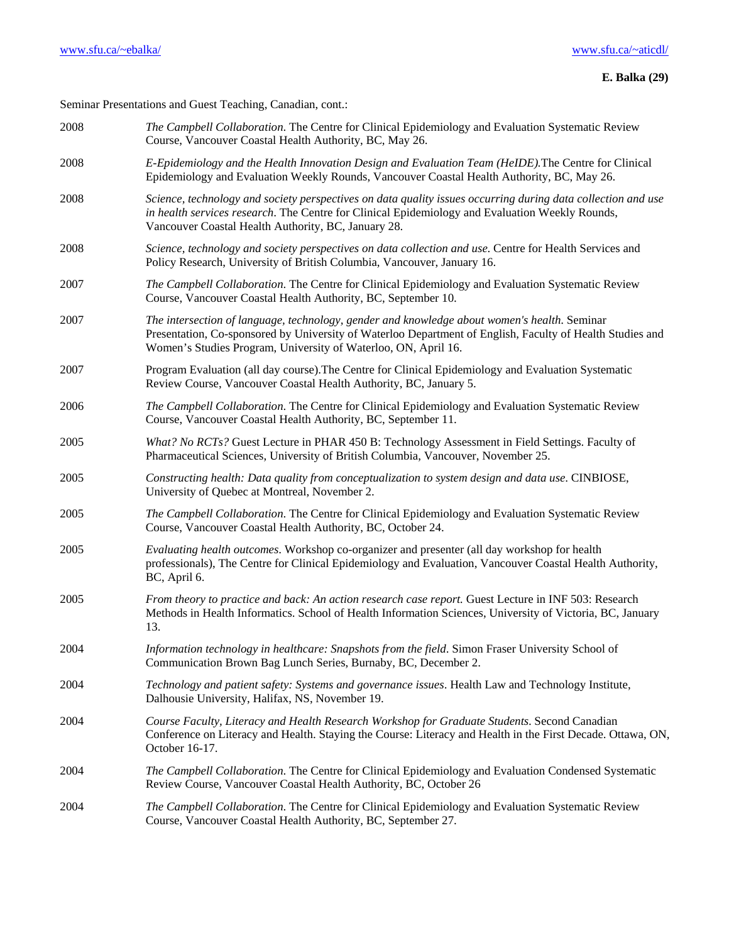Seminar Presentations and Guest Teaching, Canadian, cont.:

| 2008 | The Campbell Collaboration. The Centre for Clinical Epidemiology and Evaluation Systematic Review<br>Course, Vancouver Coastal Health Authority, BC, May 26.                                                                                                                |
|------|-----------------------------------------------------------------------------------------------------------------------------------------------------------------------------------------------------------------------------------------------------------------------------|
| 2008 | E-Epidemiology and the Health Innovation Design and Evaluation Team (HeIDE). The Centre for Clinical<br>Epidemiology and Evaluation Weekly Rounds, Vancouver Coastal Health Authority, BC, May 26.                                                                          |
| 2008 | Science, technology and society perspectives on data quality issues occurring during data collection and use<br>in health services research. The Centre for Clinical Epidemiology and Evaluation Weekly Rounds,<br>Vancouver Coastal Health Authority, BC, January 28.      |
| 2008 | Science, technology and society perspectives on data collection and use. Centre for Health Services and<br>Policy Research, University of British Columbia, Vancouver, January 16.                                                                                          |
| 2007 | The Campbell Collaboration. The Centre for Clinical Epidemiology and Evaluation Systematic Review<br>Course, Vancouver Coastal Health Authority, BC, September 10.                                                                                                          |
| 2007 | The intersection of language, technology, gender and knowledge about women's health. Seminar<br>Presentation, Co-sponsored by University of Waterloo Department of English, Faculty of Health Studies and<br>Women's Studies Program, University of Waterloo, ON, April 16. |
| 2007 | Program Evaluation (all day course). The Centre for Clinical Epidemiology and Evaluation Systematic<br>Review Course, Vancouver Coastal Health Authority, BC, January 5.                                                                                                    |
| 2006 | The Campbell Collaboration. The Centre for Clinical Epidemiology and Evaluation Systematic Review<br>Course, Vancouver Coastal Health Authority, BC, September 11.                                                                                                          |
| 2005 | What? No RCTs? Guest Lecture in PHAR 450 B: Technology Assessment in Field Settings. Faculty of<br>Pharmaceutical Sciences, University of British Columbia, Vancouver, November 25.                                                                                         |
| 2005 | Constructing health: Data quality from conceptualization to system design and data use. CINBIOSE,<br>University of Quebec at Montreal, November 2.                                                                                                                          |
| 2005 | The Campbell Collaboration. The Centre for Clinical Epidemiology and Evaluation Systematic Review<br>Course, Vancouver Coastal Health Authority, BC, October 24.                                                                                                            |
| 2005 | Evaluating health outcomes. Workshop co-organizer and presenter (all day workshop for health<br>professionals), The Centre for Clinical Epidemiology and Evaluation, Vancouver Coastal Health Authority,<br>BC, April 6.                                                    |
| 2005 | From theory to practice and back: An action research case report. Guest Lecture in INF 503: Research<br>Methods in Health Informatics. School of Health Information Sciences, University of Victoria, BC, January<br>13.                                                    |
| 2004 | Information technology in healthcare: Snapshots from the field. Simon Fraser University School of<br>Communication Brown Bag Lunch Series, Burnaby, BC, December 2.                                                                                                         |
| 2004 | Technology and patient safety: Systems and governance issues. Health Law and Technology Institute,<br>Dalhousie University, Halifax, NS, November 19.                                                                                                                       |
| 2004 | Course Faculty, Literacy and Health Research Workshop for Graduate Students. Second Canadian<br>Conference on Literacy and Health. Staying the Course: Literacy and Health in the First Decade. Ottawa, ON,<br>October 16-17.                                               |
| 2004 | The Campbell Collaboration. The Centre for Clinical Epidemiology and Evaluation Condensed Systematic<br>Review Course, Vancouver Coastal Health Authority, BC, October 26                                                                                                   |
| 2004 | The Campbell Collaboration. The Centre for Clinical Epidemiology and Evaluation Systematic Review<br>Course, Vancouver Coastal Health Authority, BC, September 27.                                                                                                          |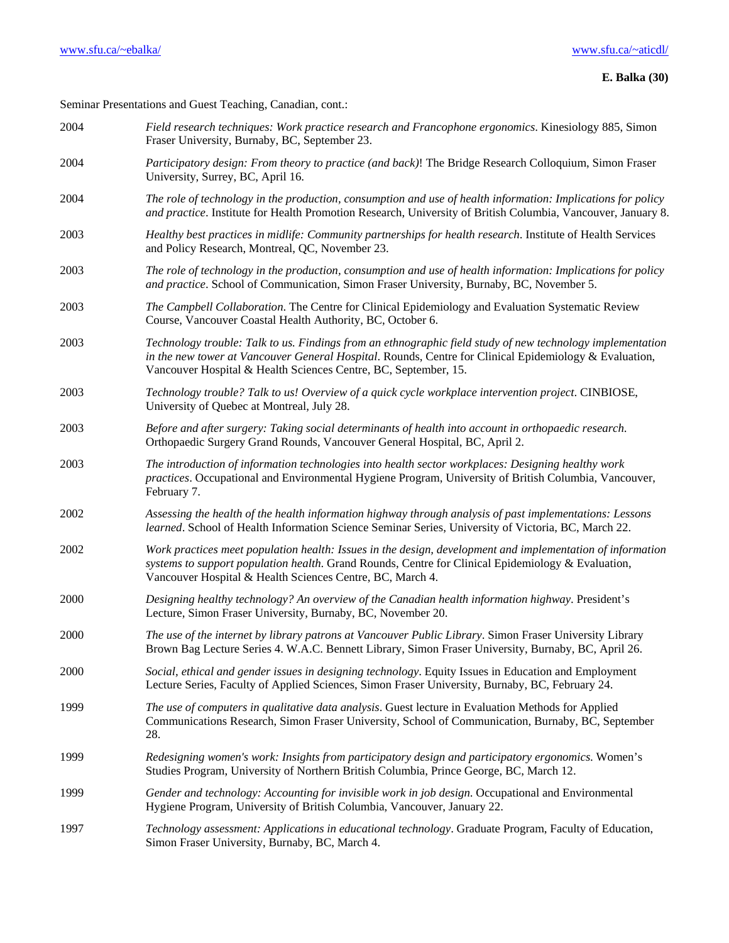Seminar Presentations and Guest Teaching, Canadian, cont.:

- 2004 *Field research techniques: Work practice research and Francophone ergonomics*. Kinesiology 885, Simon Fraser University, Burnaby, BC, September 23.
- 2004 *Participatory design: From theory to practice (and back)*! The Bridge Research Colloquium, Simon Fraser University, Surrey, BC, April 16.
- 2004 *The role of technology in the production, consumption and use of health information: Implications for policy and practice*. Institute for Health Promotion Research, University of British Columbia, Vancouver, January 8.
- 2003 *Healthy best practices in midlife: Community partnerships for health research*. Institute of Health Services and Policy Research, Montreal, QC, November 23.
- 2003 *The role of technology in the production, consumption and use of health information: Implications for policy and practice*. School of Communication, Simon Fraser University, Burnaby, BC, November 5.
- 2003 *The Campbell Collaboration*. The Centre for Clinical Epidemiology and Evaluation Systematic Review Course, Vancouver Coastal Health Authority, BC, October 6.
- 2003 *Technology trouble: Talk to us. Findings from an ethnographic field study of new technology implementation in the new tower at Vancouver General Hospital*. Rounds, Centre for Clinical Epidemiology & Evaluation, Vancouver Hospital & Health Sciences Centre, BC, September, 15.
- 2003 *Technology trouble? Talk to us! Overview of a quick cycle workplace intervention project*. CINBIOSE, University of Quebec at Montreal, July 28.
- 2003 *Before and after surgery: Taking social determinants of health into account in orthopaedic research*. Orthopaedic Surgery Grand Rounds, Vancouver General Hospital, BC, April 2.
- 2003 *The introduction of information technologies into health sector workplaces: Designing healthy work practices*. Occupational and Environmental Hygiene Program, University of British Columbia, Vancouver, February 7.
- 2002 *Assessing the health of the health information highway through analysis of past implementations: Lessons learned*. School of Health Information Science Seminar Series, University of Victoria, BC, March 22.
- 2002 *Work practices meet population health: Issues in the design, development and implementation of information systems to support population health*. Grand Rounds, Centre for Clinical Epidemiology & Evaluation, Vancouver Hospital & Health Sciences Centre, BC, March 4.
- 2000 *Designing healthy technology? An overview of the Canadian health information highway*. President's Lecture, Simon Fraser University, Burnaby, BC, November 20.
- 2000 *The use of the internet by library patrons at Vancouver Public Library*. Simon Fraser University Library Brown Bag Lecture Series 4. W.A.C. Bennett Library, Simon Fraser University, Burnaby, BC, April 26.
- 2000 *Social, ethical and gender issues in designing technology*. Equity Issues in Education and Employment Lecture Series, Faculty of Applied Sciences, Simon Fraser University, Burnaby, BC, February 24.
- 1999 *The use of computers in qualitative data analysis*. Guest lecture in Evaluation Methods for Applied Communications Research, Simon Fraser University, School of Communication, Burnaby, BC, September 28.
- 1999 *Redesigning women's work: Insights from participatory design and participatory ergonomics*. Women's Studies Program, University of Northern British Columbia, Prince George, BC, March 12.
- 1999 *Gender and technology: Accounting for invisible work in job design*. Occupational and Environmental Hygiene Program, University of British Columbia, Vancouver, January 22.
- 1997 *Technology assessment: Applications in educational technology*. Graduate Program, Faculty of Education, Simon Fraser University, Burnaby, BC, March 4.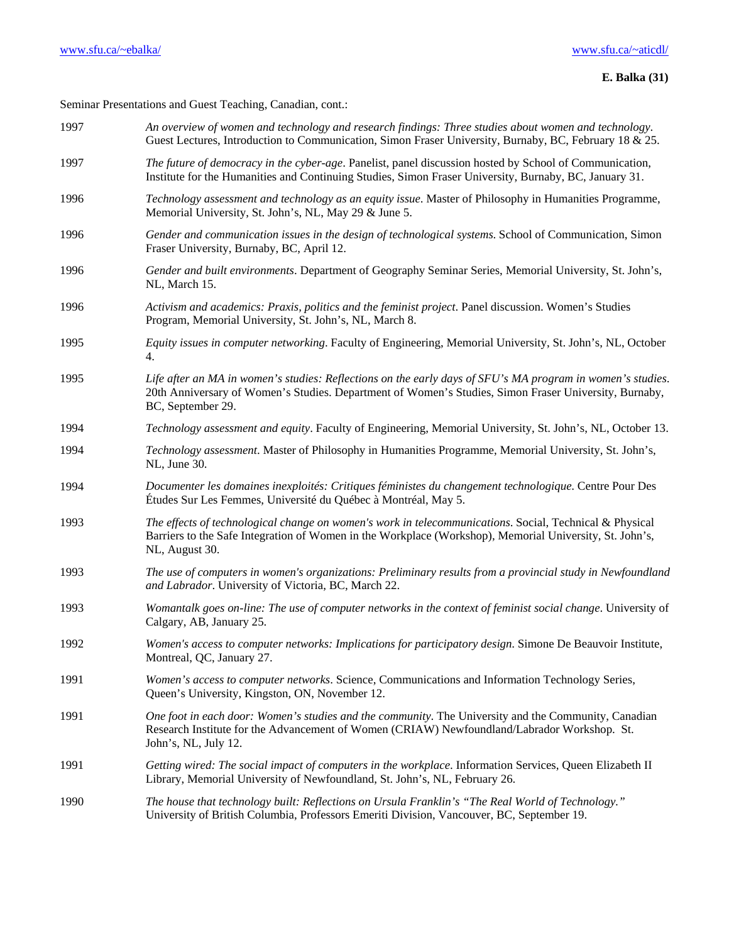Seminar Presentations and Guest Teaching, Canadian, cont.:

| 1997 | An overview of women and technology and research findings: Three studies about women and technology.<br>Guest Lectures, Introduction to Communication, Simon Fraser University, Burnaby, BC, February 18 & 25.                           |
|------|------------------------------------------------------------------------------------------------------------------------------------------------------------------------------------------------------------------------------------------|
| 1997 | The future of democracy in the cyber-age. Panelist, panel discussion hosted by School of Communication,<br>Institute for the Humanities and Continuing Studies, Simon Fraser University, Burnaby, BC, January 31.                        |
| 1996 | Technology assessment and technology as an equity issue. Master of Philosophy in Humanities Programme,<br>Memorial University, St. John's, NL, May 29 & June 5.                                                                          |
| 1996 | Gender and communication issues in the design of technological systems. School of Communication, Simon<br>Fraser University, Burnaby, BC, April 12.                                                                                      |
| 1996 | Gender and built environments. Department of Geography Seminar Series, Memorial University, St. John's,<br>NL, March 15.                                                                                                                 |
| 1996 | Activism and academics: Praxis, politics and the feminist project. Panel discussion. Women's Studies<br>Program, Memorial University, St. John's, NL, March 8.                                                                           |
| 1995 | Equity issues in computer networking. Faculty of Engineering, Memorial University, St. John's, NL, October<br>4.                                                                                                                         |
| 1995 | Life after an MA in women's studies: Reflections on the early days of SFU's MA program in women's studies.<br>20th Anniversary of Women's Studies. Department of Women's Studies, Simon Fraser University, Burnaby,<br>BC, September 29. |
| 1994 | Technology assessment and equity. Faculty of Engineering, Memorial University, St. John's, NL, October 13.                                                                                                                               |
| 1994 | Technology assessment. Master of Philosophy in Humanities Programme, Memorial University, St. John's,<br>NL, June 30.                                                                                                                    |
| 1994 | Documenter les domaines inexploités: Critiques féministes du changement technologique. Centre Pour Des<br>Études Sur Les Femmes, Université du Québec à Montréal, May 5.                                                                 |
| 1993 | The effects of technological change on women's work in telecommunications. Social, Technical & Physical<br>Barriers to the Safe Integration of Women in the Workplace (Workshop), Memorial University, St. John's,<br>NL, August 30.     |
| 1993 | The use of computers in women's organizations: Preliminary results from a provincial study in Newfoundland<br>and Labrador. University of Victoria, BC, March 22.                                                                        |
| 1993 | Womantalk goes on-line: The use of computer networks in the context of feminist social change. University of<br>Calgary, AB, January 25.                                                                                                 |
| 1992 | Women's access to computer networks: Implications for participatory design. Simone De Beauvoir Institute,<br>Montreal, QC, January 27.                                                                                                   |
| 1991 | Women's access to computer networks. Science, Communications and Information Technology Series,<br>Queen's University, Kingston, ON, November 12.                                                                                        |
| 1991 | One foot in each door: Women's studies and the community. The University and the Community, Canadian<br>Research Institute for the Advancement of Women (CRIAW) Newfoundland/Labrador Workshop. St.<br>John's, NL, July 12.              |
| 1991 | Getting wired: The social impact of computers in the workplace. Information Services, Queen Elizabeth II<br>Library, Memorial University of Newfoundland, St. John's, NL, February 26.                                                   |
| 1990 | The house that technology built: Reflections on Ursula Franklin's "The Real World of Technology."<br>University of British Columbia, Professors Emeriti Division, Vancouver, BC, September 19.                                           |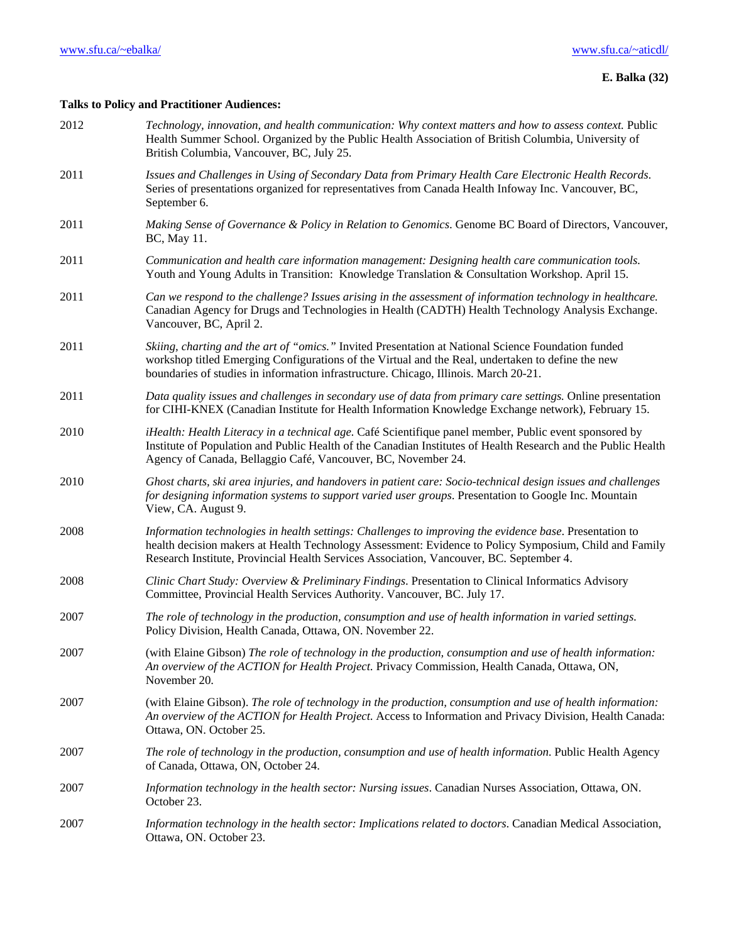# **Talks to Policy and Practitioner Audiences:**

| 2012 | Technology, innovation, and health communication: Why context matters and how to assess context. Public<br>Health Summer School. Organized by the Public Health Association of British Columbia, University of<br>British Columbia, Vancouver, BC, July 25.                                                  |
|------|--------------------------------------------------------------------------------------------------------------------------------------------------------------------------------------------------------------------------------------------------------------------------------------------------------------|
| 2011 | Issues and Challenges in Using of Secondary Data from Primary Health Care Electronic Health Records.<br>Series of presentations organized for representatives from Canada Health Infoway Inc. Vancouver, BC,<br>September 6.                                                                                 |
| 2011 | Making Sense of Governance & Policy in Relation to Genomics. Genome BC Board of Directors, Vancouver,<br>BC, May 11.                                                                                                                                                                                         |
| 2011 | Communication and health care information management: Designing health care communication tools.<br>Youth and Young Adults in Transition: Knowledge Translation & Consultation Workshop. April 15.                                                                                                           |
| 2011 | Can we respond to the challenge? Issues arising in the assessment of information technology in healthcare.<br>Canadian Agency for Drugs and Technologies in Health (CADTH) Health Technology Analysis Exchange.<br>Vancouver, BC, April 2.                                                                   |
| 2011 | Skiing, charting and the art of "omics." Invited Presentation at National Science Foundation funded<br>workshop titled Emerging Configurations of the Virtual and the Real, undertaken to define the new<br>boundaries of studies in information infrastructure. Chicago, Illinois. March 20-21.             |
| 2011 | Data quality issues and challenges in secondary use of data from primary care settings. Online presentation<br>for CIHI-KNEX (Canadian Institute for Health Information Knowledge Exchange network), February 15.                                                                                            |
| 2010 | iHealth: Health Literacy in a technical age. Café Scientifique panel member, Public event sponsored by<br>Institute of Population and Public Health of the Canadian Institutes of Health Research and the Public Health<br>Agency of Canada, Bellaggio Café, Vancouver, BC, November 24.                     |
| 2010 | Ghost charts, ski area injuries, and handovers in patient care: Socio-technical design issues and challenges<br>for designing information systems to support varied user groups. Presentation to Google Inc. Mountain<br>View, CA. August 9.                                                                 |
| 2008 | Information technologies in health settings: Challenges to improving the evidence base. Presentation to<br>health decision makers at Health Technology Assessment: Evidence to Policy Symposium, Child and Family<br>Research Institute, Provincial Health Services Association, Vancouver, BC. September 4. |
| 2008 | Clinic Chart Study: Overview & Preliminary Findings. Presentation to Clinical Informatics Advisory<br>Committee, Provincial Health Services Authority. Vancouver, BC. July 17.                                                                                                                               |
| 2007 | The role of technology in the production, consumption and use of health information in varied settings.<br>Policy Division, Health Canada, Ottawa, ON. November 22.                                                                                                                                          |
| 2007 | (with Elaine Gibson) The role of technology in the production, consumption and use of health information:<br>An overview of the ACTION for Health Project. Privacy Commission, Health Canada, Ottawa, ON,<br>November 20.                                                                                    |
| 2007 | (with Elaine Gibson). The role of technology in the production, consumption and use of health information:<br>An overview of the ACTION for Health Project. Access to Information and Privacy Division, Health Canada:<br>Ottawa, ON. October 25.                                                            |
| 2007 | The role of technology in the production, consumption and use of health information. Public Health Agency<br>of Canada, Ottawa, ON, October 24.                                                                                                                                                              |
| 2007 | Information technology in the health sector: Nursing issues. Canadian Nurses Association, Ottawa, ON.<br>October 23.                                                                                                                                                                                         |
| 2007 | Information technology in the health sector: Implications related to doctors. Canadian Medical Association,<br>Ottawa, ON. October 23.                                                                                                                                                                       |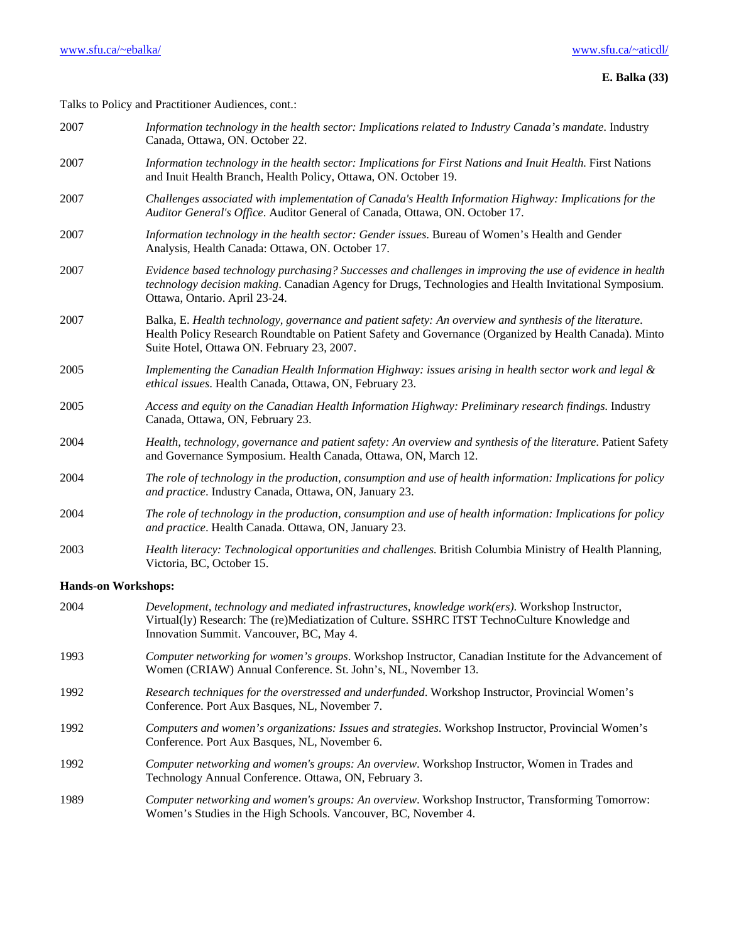Talks to Policy and Practitioner Audiences, cont.:

| 2007 | Information technology in the health sector: Implications related to Industry Canada's mandate. Industry<br>Canada, Ottawa, ON. October 22.                                                   |
|------|-----------------------------------------------------------------------------------------------------------------------------------------------------------------------------------------------|
| 2007 | Information technology in the health sector: Implications for First Nations and Inuit Health. First Nations<br>and Inuit Health Branch, Health Policy, Ottawa, ON. October 19.                |
| 2007 | Challenges associated with implementation of Canada's Health Information Highway: Implications for the<br><i>Auditor General's Office.</i> Auditor General of Canada. Ottawa. ON. October 17. |

- 2007 *Information technology in the health sector: Gender issues*. Bureau of Women's Health and Gender Analysis, Health Canada: Ottawa, ON. October 17.
- 2007 *Evidence based technology purchasing? Successes and challenges in improving the use of evidence in health technology decision making*. Canadian Agency for Drugs, Technologies and Health Invitational Symposium. Ottawa, Ontario. April 23-24.
- 2007 Balka, E. *Health technology, governance and patient safety: An overview and synthesis of the literature*. Health Policy Research Roundtable on Patient Safety and Governance (Organized by Health Canada). Minto Suite Hotel, Ottawa ON. February 23, 2007.
- 2005 *Implementing the Canadian Health Information Highway: issues arising in health sector work and legal & ethical issues*. Health Canada, Ottawa, ON, February 23.
- 2005 *Access and equity on the Canadian Health Information Highway: Preliminary research findings*. Industry Canada, Ottawa, ON, February 23.
- 2004 *Health, technology, governance and patient safety: An overview and synthesis of the literature*. Patient Safety and Governance Symposium. Health Canada, Ottawa, ON, March 12.
- 2004 *The role of technology in the production, consumption and use of health information: Implications for policy and practice*. Industry Canada, Ottawa, ON, January 23.
- 2004 *The role of technology in the production, consumption and use of health information: Implications for policy and practice*. Health Canada. Ottawa, ON, January 23.
- 2003 *Health literacy: Technological opportunities and challenges*. British Columbia Ministry of Health Planning, Victoria, BC, October 15.

#### **Hands-on Workshops:**

2004 *Development, technology and mediated infrastructures, knowledge work(ers)*. Workshop Instructor, Virtual(ly) Research: The (re)Mediatization of Culture. SSHRC ITST TechnoCulture Knowledge and Innovation Summit. Vancouver, BC, May 4. 1993 *Computer networking for women's groups*. Workshop Instructor, Canadian Institute for the Advancement of Women (CRIAW) Annual Conference. St. John's, NL, November 13. 1992 *Research techniques for the overstressed and underfunded*. Workshop Instructor, Provincial Women's Conference. Port Aux Basques, NL, November 7. 1992 *Computers and women's organizations: Issues and strategies*. Workshop Instructor, Provincial Women's Conference. Port Aux Basques, NL, November 6. 1992 *Computer networking and women's groups: An overview*. Workshop Instructor, Women in Trades and Technology Annual Conference. Ottawa, ON, February 3. 1989 *Computer networking and women's groups: An overview*. Workshop Instructor, Transforming Tomorrow: Women's Studies in the High Schools. Vancouver, BC, November 4.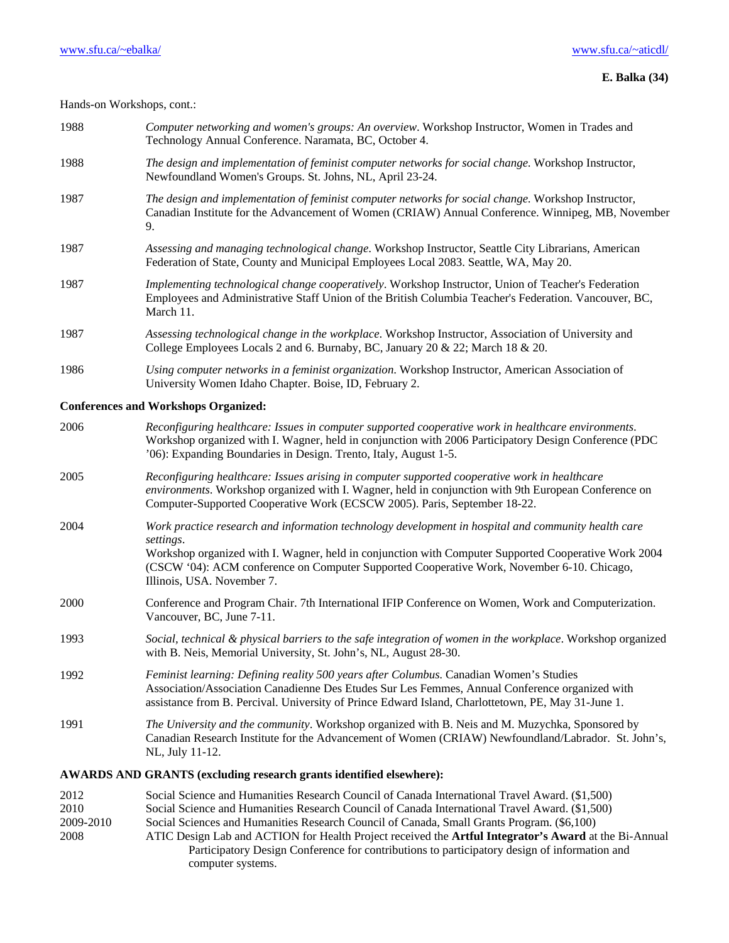## Hands-on Workshops, cont.:

| 1988                              | Computer networking and women's groups: An overview. Workshop Instructor, Women in Trades and<br>Technology Annual Conference. Naramata, BC, October 4.                                                                                                                                                                                                                                                        |
|-----------------------------------|----------------------------------------------------------------------------------------------------------------------------------------------------------------------------------------------------------------------------------------------------------------------------------------------------------------------------------------------------------------------------------------------------------------|
| 1988                              | The design and implementation of feminist computer networks for social change. Workshop Instructor,<br>Newfoundland Women's Groups. St. Johns, NL, April 23-24.                                                                                                                                                                                                                                                |
| 1987                              | The design and implementation of feminist computer networks for social change. Workshop Instructor,<br>Canadian Institute for the Advancement of Women (CRIAW) Annual Conference. Winnipeg, MB, November<br>9.                                                                                                                                                                                                 |
| 1987                              | Assessing and managing technological change. Workshop Instructor, Seattle City Librarians, American<br>Federation of State, County and Municipal Employees Local 2083. Seattle, WA, May 20.                                                                                                                                                                                                                    |
| 1987                              | Implementing technological change cooperatively. Workshop Instructor, Union of Teacher's Federation<br>Employees and Administrative Staff Union of the British Columbia Teacher's Federation. Vancouver, BC,<br>March 11.                                                                                                                                                                                      |
| 1987                              | Assessing technological change in the workplace. Workshop Instructor, Association of University and<br>College Employees Locals 2 and 6. Burnaby, BC, January 20 & 22; March 18 & 20.                                                                                                                                                                                                                          |
| 1986                              | Using computer networks in a feminist organization. Workshop Instructor, American Association of<br>University Women Idaho Chapter. Boise, ID, February 2.                                                                                                                                                                                                                                                     |
|                                   | <b>Conferences and Workshops Organized:</b>                                                                                                                                                                                                                                                                                                                                                                    |
| 2006                              | Reconfiguring healthcare: Issues in computer supported cooperative work in healthcare environments.<br>Workshop organized with I. Wagner, held in conjunction with 2006 Participatory Design Conference (PDC<br>'06): Expanding Boundaries in Design. Trento, Italy, August 1-5.                                                                                                                               |
| 2005                              | Reconfiguring healthcare: Issues arising in computer supported cooperative work in healthcare<br>environments. Workshop organized with I. Wagner, held in conjunction with 9th European Conference on<br>Computer-Supported Cooperative Work (ECSCW 2005). Paris, September 18-22.                                                                                                                             |
| 2004                              | Work practice research and information technology development in hospital and community health care<br>settings.<br>Workshop organized with I. Wagner, held in conjunction with Computer Supported Cooperative Work 2004<br>(CSCW '04): ACM conference on Computer Supported Cooperative Work, November 6-10. Chicago,<br>Illinois, USA. November 7.                                                           |
| 2000                              | Conference and Program Chair. 7th International IFIP Conference on Women, Work and Computerization.<br>Vancouver, BC, June 7-11.                                                                                                                                                                                                                                                                               |
| 1993                              | Social, technical & physical barriers to the safe integration of women in the workplace. Workshop organized<br>with B. Neis, Memorial University, St. John's, NL, August 28-30.                                                                                                                                                                                                                                |
| 1992                              | Feminist learning: Defining reality 500 years after Columbus. Canadian Women's Studies<br>Association/Association Canadienne Des Etudes Sur Les Femmes, Annual Conference organized with<br>assistance from B. Percival. University of Prince Edward Island, Charlottetown, PE, May 31-June 1.                                                                                                                 |
| 1991                              | The University and the community. Workshop organized with B. Neis and M. Muzychka, Sponsored by<br>Canadian Research Institute for the Advancement of Women (CRIAW) Newfoundland/Labrador. St. John's,<br>NL, July 11-12.                                                                                                                                                                                      |
|                                   | <b>AWARDS AND GRANTS (excluding research grants identified elsewhere):</b>                                                                                                                                                                                                                                                                                                                                     |
| 2012<br>2010<br>2009-2010<br>2008 | Social Science and Humanities Research Council of Canada International Travel Award. (\$1,500)<br>Social Science and Humanities Research Council of Canada International Travel Award. (\$1,500)<br>Social Sciences and Humanities Research Council of Canada, Small Grants Program. (\$6,100)<br>ATIC Design Lab and ACTION for Health Project received the <b>Artful Integrator's Award</b> at the Bi-Annual |

Participatory Design Conference for contributions to participatory design of information and

computer systems.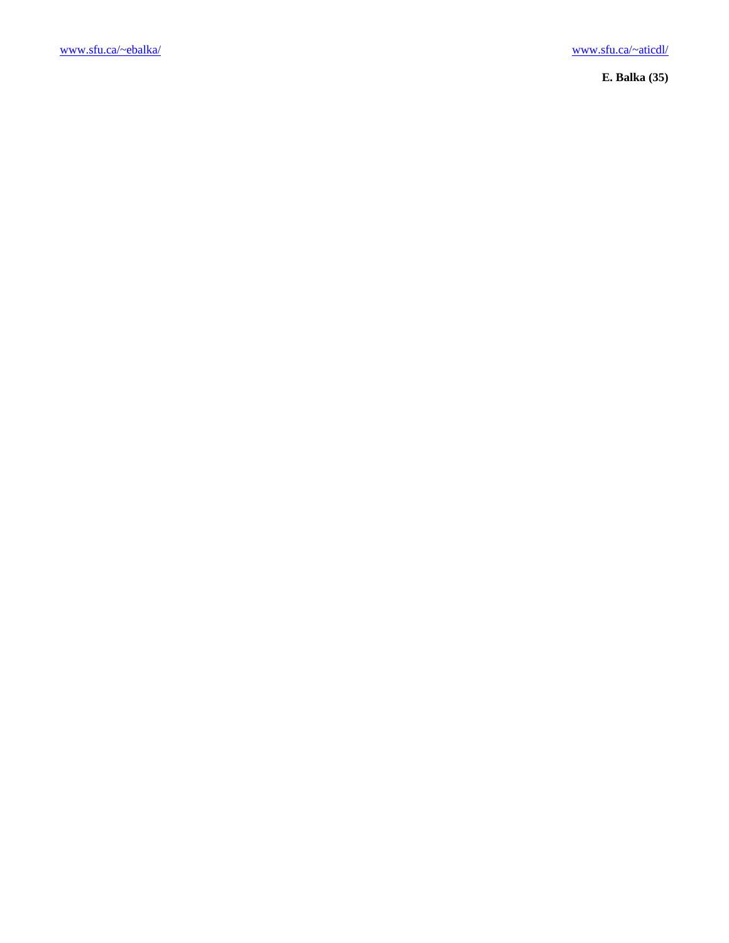**E. Balka (35)**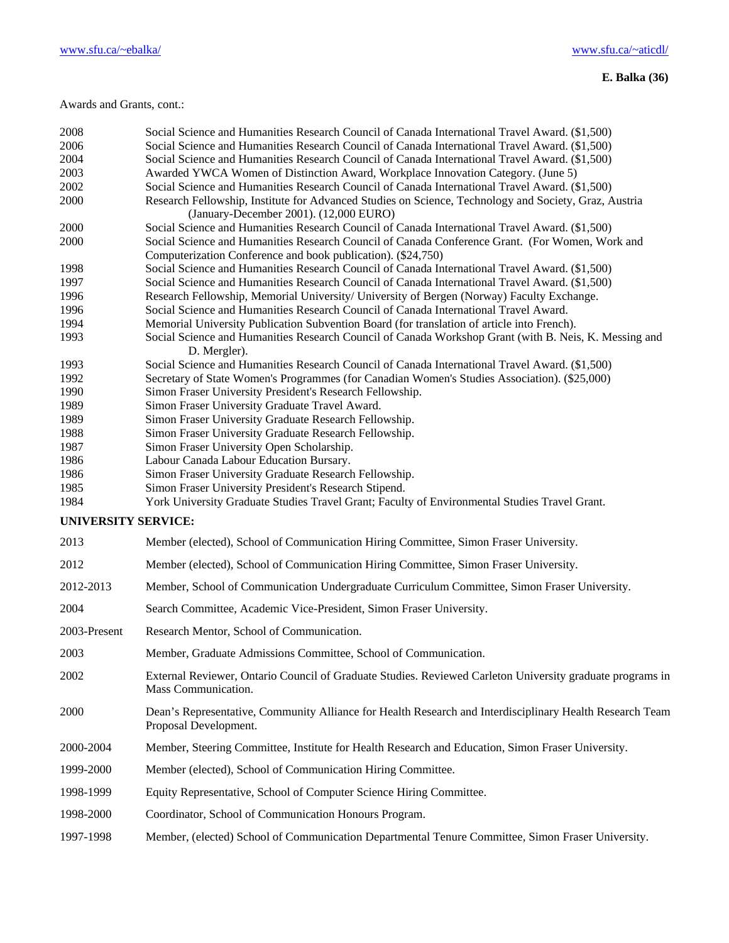Awards and Grants, cont.:

| 2008                       | Social Science and Humanities Research Council of Canada International Travel Award. (\$1,500)                                                                  |
|----------------------------|-----------------------------------------------------------------------------------------------------------------------------------------------------------------|
| 2006                       | Social Science and Humanities Research Council of Canada International Travel Award. (\$1,500)                                                                  |
| 2004                       | Social Science and Humanities Research Council of Canada International Travel Award. (\$1,500)                                                                  |
| 2003                       | Awarded YWCA Women of Distinction Award, Workplace Innovation Category. (June 5)                                                                                |
| 2002                       | Social Science and Humanities Research Council of Canada International Travel Award. (\$1,500)                                                                  |
| 2000                       | Research Fellowship, Institute for Advanced Studies on Science, Technology and Society, Graz, Austria<br>(January-December 2001). (12,000 EURO)                 |
| 2000                       | Social Science and Humanities Research Council of Canada International Travel Award. (\$1,500)                                                                  |
| 2000                       | Social Science and Humanities Research Council of Canada Conference Grant. (For Women, Work and<br>Computerization Conference and book publication). (\$24,750) |
| 1998                       | Social Science and Humanities Research Council of Canada International Travel Award. (\$1,500)                                                                  |
| 1997                       | Social Science and Humanities Research Council of Canada International Travel Award. (\$1,500)                                                                  |
| 1996                       | Research Fellowship, Memorial University/ University of Bergen (Norway) Faculty Exchange.                                                                       |
| 1996                       | Social Science and Humanities Research Council of Canada International Travel Award.                                                                            |
| 1994                       | Memorial University Publication Subvention Board (for translation of article into French).                                                                      |
| 1993                       | Social Science and Humanities Research Council of Canada Workshop Grant (with B. Neis, K. Messing and<br>D. Mergler).                                           |
| 1993                       | Social Science and Humanities Research Council of Canada International Travel Award. (\$1,500)                                                                  |
| 1992                       | Secretary of State Women's Programmes (for Canadian Women's Studies Association). (\$25,000)                                                                    |
| 1990                       | Simon Fraser University President's Research Fellowship.                                                                                                        |
| 1989                       | Simon Fraser University Graduate Travel Award.                                                                                                                  |
| 1989                       | Simon Fraser University Graduate Research Fellowship.                                                                                                           |
| 1988                       | Simon Fraser University Graduate Research Fellowship.                                                                                                           |
| 1987                       | Simon Fraser University Open Scholarship.                                                                                                                       |
| 1986                       | Labour Canada Labour Education Bursary.                                                                                                                         |
| 1986                       | Simon Fraser University Graduate Research Fellowship.                                                                                                           |
| 1985                       | Simon Fraser University President's Research Stipend.                                                                                                           |
| 1984                       | York University Graduate Studies Travel Grant; Faculty of Environmental Studies Travel Grant.                                                                   |
| <b>UNIVERSITY SERVICE:</b> |                                                                                                                                                                 |
|                            |                                                                                                                                                                 |
| 2013                       | Member (elected), School of Communication Hiring Committee, Simon Fraser University.                                                                            |
| 2012                       | Member (elected), School of Communication Hiring Committee, Simon Fraser University.                                                                            |
| 2012-2013                  | Member, School of Communication Undergraduate Curriculum Committee, Simon Fraser University.                                                                    |
| 2004                       | Search Committee, Academic Vice-President, Simon Fraser University.                                                                                             |
| 2003-Present               | Research Mentor, School of Communication.                                                                                                                       |
| 2003                       | Member, Graduate Admissions Committee, School of Communication.                                                                                                 |
| 2002                       | External Reviewer, Ontario Council of Graduate Studies. Reviewed Carleton University graduate programs in<br>Mass Communication.                                |
| 2000                       | Dean's Representative, Community Alliance for Health Research and Interdisciplinary Health Research Team<br>Proposal Development.                               |
| 2000-2004                  | Member, Steering Committee, Institute for Health Research and Education, Simon Fraser University.                                                               |
| 1999-2000                  | Member (elected), School of Communication Hiring Committee.                                                                                                     |
| 1998-1999                  | Equity Representative, School of Computer Science Hiring Committee.                                                                                             |
| 1998-2000                  | Coordinator, School of Communication Honours Program.                                                                                                           |
| 1997-1998                  | Member, (elected) School of Communication Departmental Tenure Committee, Simon Fraser University.                                                               |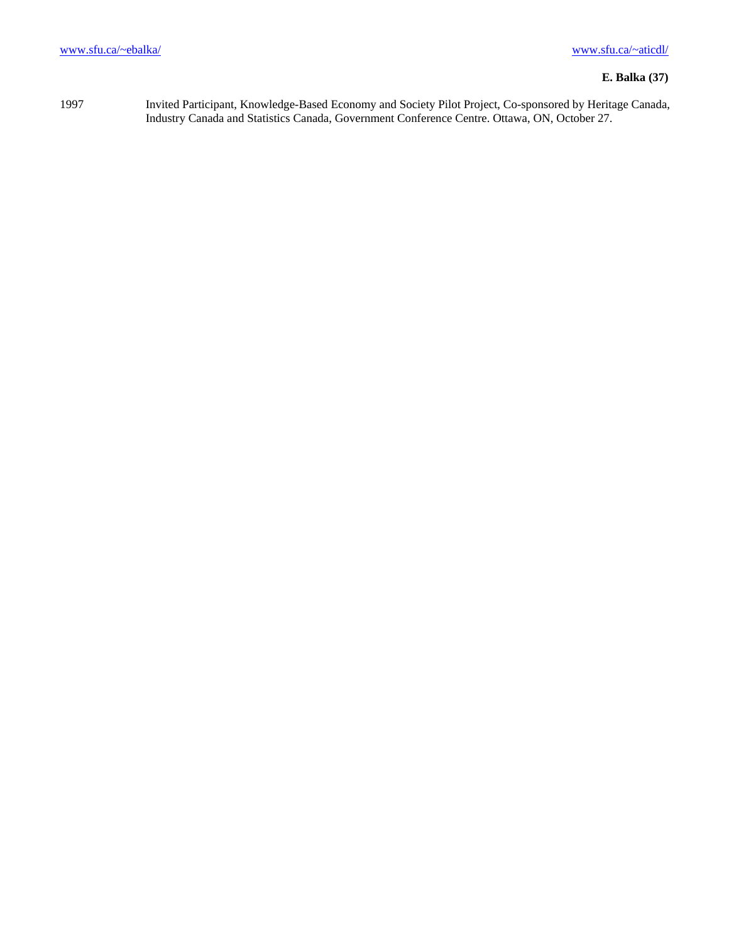### **E. Balka (37)**

1997 Invited Participant, Knowledge-Based Economy and Society Pilot Project, Co-sponsored by Heritage Canada, Industry Canada and Statistics Canada, Government Conference Centre. Ottawa, ON, October 27.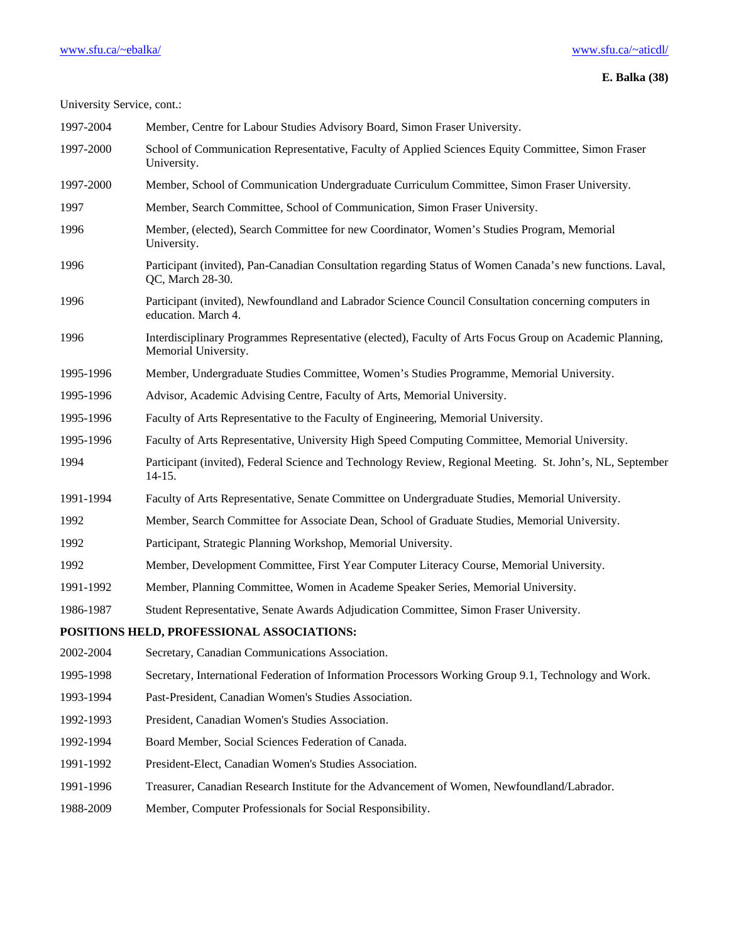| University Service, cont.: |                                                                                                                                  |  |
|----------------------------|----------------------------------------------------------------------------------------------------------------------------------|--|
| 1997-2004                  | Member, Centre for Labour Studies Advisory Board, Simon Fraser University.                                                       |  |
| 1997-2000                  | School of Communication Representative, Faculty of Applied Sciences Equity Committee, Simon Fraser<br>University.                |  |
| 1997-2000                  | Member, School of Communication Undergraduate Curriculum Committee, Simon Fraser University.                                     |  |
| 1997                       | Member, Search Committee, School of Communication, Simon Fraser University.                                                      |  |
| 1996                       | Member, (elected), Search Committee for new Coordinator, Women's Studies Program, Memorial<br>University.                        |  |
| 1996                       | Participant (invited), Pan-Canadian Consultation regarding Status of Women Canada's new functions. Laval,<br>QC, March 28-30.    |  |
| 1996                       | Participant (invited), Newfoundland and Labrador Science Council Consultation concerning computers in<br>education. March 4.     |  |
| 1996                       | Interdisciplinary Programmes Representative (elected), Faculty of Arts Focus Group on Academic Planning,<br>Memorial University. |  |
| 1995-1996                  | Member, Undergraduate Studies Committee, Women's Studies Programme, Memorial University.                                         |  |
| 1995-1996                  | Advisor, Academic Advising Centre, Faculty of Arts, Memorial University.                                                         |  |
| 1995-1996                  | Faculty of Arts Representative to the Faculty of Engineering, Memorial University.                                               |  |
| 1995-1996                  | Faculty of Arts Representative, University High Speed Computing Committee, Memorial University.                                  |  |
| 1994                       | Participant (invited), Federal Science and Technology Review, Regional Meeting. St. John's, NL, September<br>$14-15.$            |  |
| 1991-1994                  | Faculty of Arts Representative, Senate Committee on Undergraduate Studies, Memorial University.                                  |  |
| 1992                       | Member, Search Committee for Associate Dean, School of Graduate Studies, Memorial University.                                    |  |
| 1992                       | Participant, Strategic Planning Workshop, Memorial University.                                                                   |  |
| 1992                       | Member, Development Committee, First Year Computer Literacy Course, Memorial University.                                         |  |
| 1991-1992                  | Member, Planning Committee, Women in Academe Speaker Series, Memorial University.                                                |  |
| 1986-1987                  | Student Representative, Senate Awards Adjudication Committee, Simon Fraser University.                                           |  |
|                            | POSITIONS HELD, PROFESSIONAL ASSOCIATIONS:                                                                                       |  |
| 2002-2004                  | Secretary, Canadian Communications Association.                                                                                  |  |
| 1995-1998                  | Secretary, International Federation of Information Processors Working Group 9.1, Technology and Work.                            |  |
| 1993-1994                  | Past-President, Canadian Women's Studies Association.                                                                            |  |
| 1992-1993                  | President, Canadian Women's Studies Association.                                                                                 |  |
| 1992-1994                  | Board Member, Social Sciences Federation of Canada.                                                                              |  |
| 1991-1992                  | President-Elect, Canadian Women's Studies Association.                                                                           |  |
| 1991-1996                  | Treasurer, Canadian Research Institute for the Advancement of Women, Newfoundland/Labrador.                                      |  |
| 1988-2009                  | Member, Computer Professionals for Social Responsibility.                                                                        |  |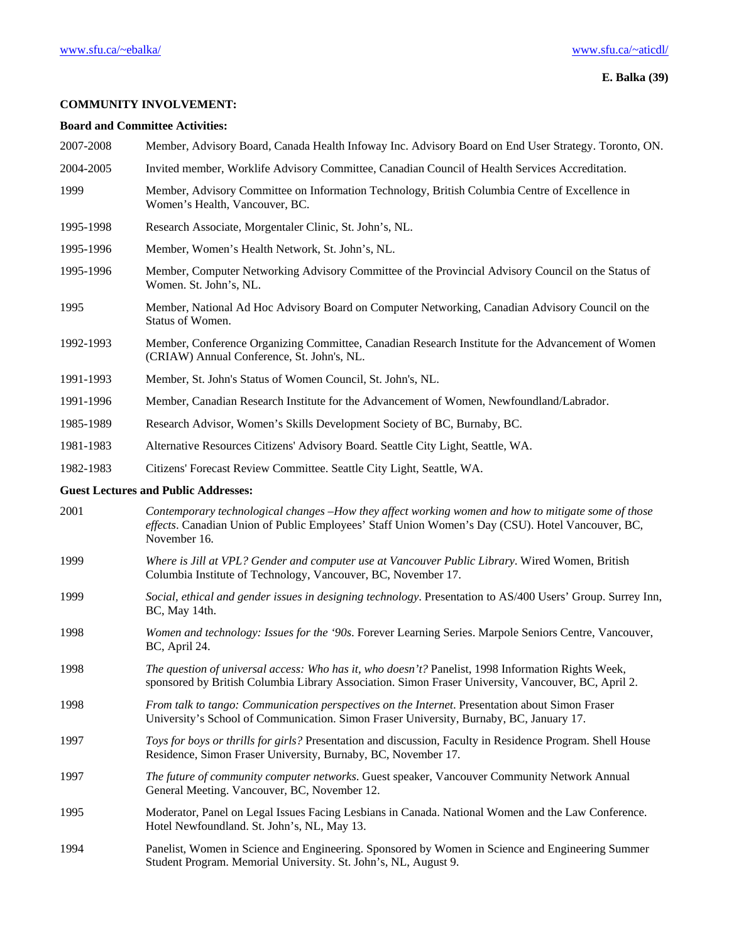#### **COMMUNITY INVOLVEMENT:**

#### **Board and Committee Activities:**

- 2007-2008 Member, Advisory Board, Canada Health Infoway Inc. Advisory Board on End User Strategy. Toronto, ON.
- 2004-2005 Invited member, Worklife Advisory Committee, Canadian Council of Health Services Accreditation.
- 1999 Member, Advisory Committee on Information Technology, British Columbia Centre of Excellence in Women's Health, Vancouver, BC.
- 1995-1998 Research Associate, Morgentaler Clinic, St. John's, NL.
- 1995-1996 Member, Women's Health Network, St. John's, NL.
- 1995-1996 Member, Computer Networking Advisory Committee of the Provincial Advisory Council on the Status of Women. St. John's, NL.
- 1995 Member, National Ad Hoc Advisory Board on Computer Networking, Canadian Advisory Council on the Status of Women.
- 1992-1993 Member, Conference Organizing Committee, Canadian Research Institute for the Advancement of Women (CRIAW) Annual Conference, St. John's, NL.
- 1991-1993 Member, St. John's Status of Women Council, St. John's, NL.
- 1991-1996 Member, Canadian Research Institute for the Advancement of Women, Newfoundland/Labrador.
- 1985-1989 Research Advisor, Women's Skills Development Society of BC, Burnaby, BC.
- 1981-1983 Alternative Resources Citizens' Advisory Board. Seattle City Light, Seattle, WA.
- 1982-1983 Citizens' Forecast Review Committee. Seattle City Light, Seattle, WA.

#### **Guest Lectures and Public Addresses:**

2001 *Contemporary technological changes –How they affect working women and how to mitigate some of those effects*. Canadian Union of Public Employees' Staff Union Women's Day (CSU). Hotel Vancouver, BC, November 16. 1999 *Where is Jill at VPL? Gender and computer use at Vancouver Public Library*. Wired Women, British Columbia Institute of Technology, Vancouver, BC, November 17. 1999 *Social, ethical and gender issues in designing technology*. Presentation to AS/400 Users' Group. Surrey Inn, BC, May 14th. 1998 *Women and technology: Issues for the '90s*. Forever Learning Series. Marpole Seniors Centre, Vancouver, BC, April 24. 1998 *The question of universal access: Who has it, who doesn't?* Panelist, 1998 Information Rights Week, sponsored by British Columbia Library Association. Simon Fraser University, Vancouver, BC, April 2. 1998 *From talk to tango: Communication perspectives on the Internet*. Presentation about Simon Fraser University's School of Communication. Simon Fraser University, Burnaby, BC, January 17. 1997 *Toys for boys or thrills for girls?* Presentation and discussion, Faculty in Residence Program. Shell House Residence, Simon Fraser University, Burnaby, BC, November 17. 1997 *The future of community computer networks*. Guest speaker, Vancouver Community Network Annual General Meeting. Vancouver, BC, November 12. 1995 Moderator, Panel on Legal Issues Facing Lesbians in Canada. National Women and the Law Conference. Hotel Newfoundland. St. John's, NL, May 13. 1994 Panelist, Women in Science and Engineering. Sponsored by Women in Science and Engineering Summer Student Program. Memorial University. St. John's, NL, August 9.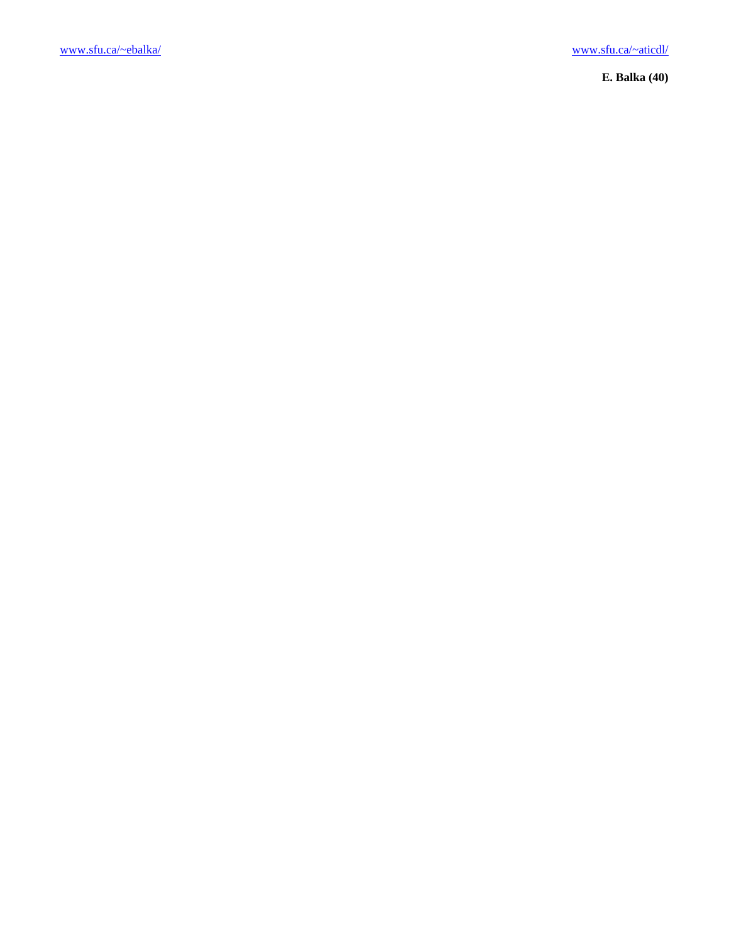**E. Balka (40)**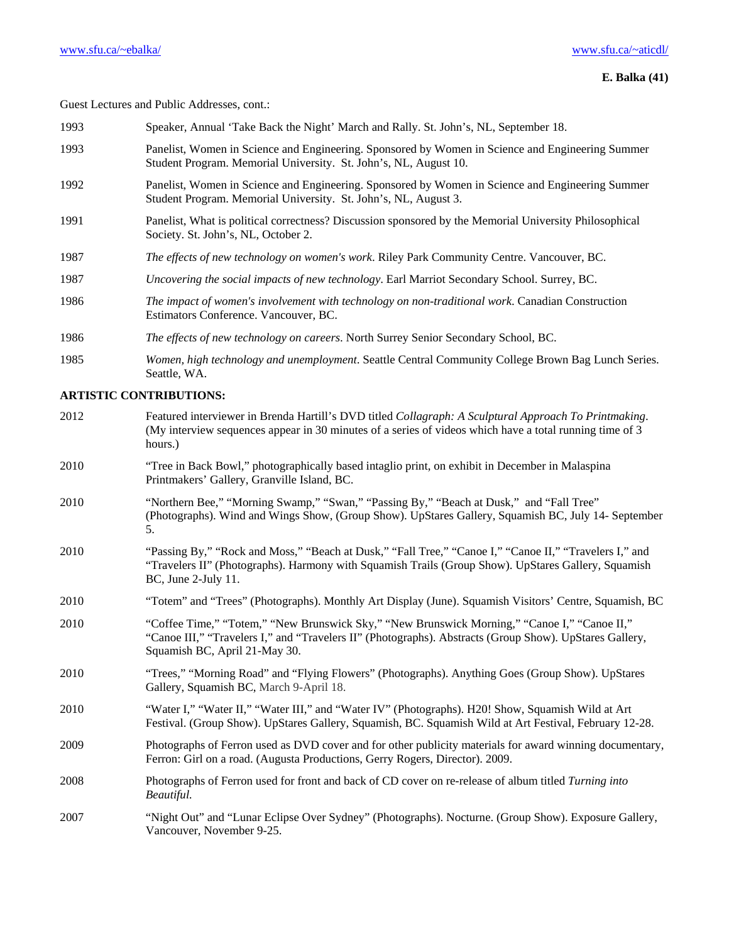#### **E. Balka (41)**

Guest Lectures and Public Addresses, cont.:

- 1993 Speaker, Annual 'Take Back the Night' March and Rally. St. John's, NL, September 18.
- 1993 Panelist, Women in Science and Engineering. Sponsored by Women in Science and Engineering Summer Student Program. Memorial University. St. John's, NL, August 10.
- 1992 Panelist, Women in Science and Engineering. Sponsored by Women in Science and Engineering Summer Student Program. Memorial University. St. John's, NL, August 3.
- 1991 Panelist, What is political correctness? Discussion sponsored by the Memorial University Philosophical Society. St. John's, NL, October 2.
- 1987 *The effects of new technology on women's work*. Riley Park Community Centre. Vancouver, BC.
- 1987 *Uncovering the social impacts of new technology*. Earl Marriot Secondary School. Surrey, BC.
- 1986 *The impact of women's involvement with technology on non-traditional work*. Canadian Construction Estimators Conference. Vancouver, BC.
- 1986 *The effects of new technology on careers*. North Surrey Senior Secondary School, BC.
- 1985 *Women, high technology and unemployment*. Seattle Central Community College Brown Bag Lunch Series. Seattle, WA.

### **ARTISTIC CONTRIBUTIONS:**

- 2012 Featured interviewer in Brenda Hartill's DVD titled *Collagraph: A Sculptural Approach To Printmaking*. (My interview sequences appear in 30 minutes of a series of videos which have a total running time of 3 hours.)
- 2010 "Tree in Back Bowl," photographically based intaglio print, on exhibit in December in Malaspina Printmakers' Gallery, Granville Island, BC.
- 2010 "Northern Bee," "Morning Swamp," "Swan," "Passing By," "Beach at Dusk," and "Fall Tree" (Photographs). Wind and Wings Show, (Group Show). UpStares Gallery, Squamish BC, July 14- September 5.
- 2010 "Passing By," "Rock and Moss," "Beach at Dusk," "Fall Tree," "Canoe I," "Canoe II," "Travelers I," and "Travelers II" (Photographs). Harmony with Squamish Trails (Group Show). UpStares Gallery, Squamish BC, June 2-July 11.
- 2010 "Totem" and "Trees" (Photographs). Monthly Art Display (June). Squamish Visitors' Centre, Squamish, BC
- 2010 "Coffee Time," "Totem," "New Brunswick Sky," "New Brunswick Morning," "Canoe I," "Canoe II," "Canoe III," "Travelers I," and "Travelers II" (Photographs). Abstracts (Group Show). UpStares Gallery, Squamish BC, April 21-May 30.
- 2010 "Trees," "Morning Road" and "Flying Flowers" (Photographs). Anything Goes (Group Show). UpStares Gallery, Squamish BC, March 9-April 18.
- 2010 "Water I," "Water II," "Water III," and "Water IV" (Photographs). H20! Show, Squamish Wild at Art Festival. (Group Show). UpStares Gallery, Squamish, BC. Squamish Wild at Art Festival, February 12-28.
- 2009 Photographs of Ferron used as DVD cover and for other publicity materials for award winning documentary, Ferron: Girl on a road. (Augusta Productions, Gerry Rogers, Director). 2009.
- 2008 Photographs of Ferron used for front and back of CD cover on re-release of album titled *Turning into Beautiful.*
- 2007 "Night Out" and "Lunar Eclipse Over Sydney" (Photographs). Nocturne. (Group Show). Exposure Gallery, Vancouver, November 9-25.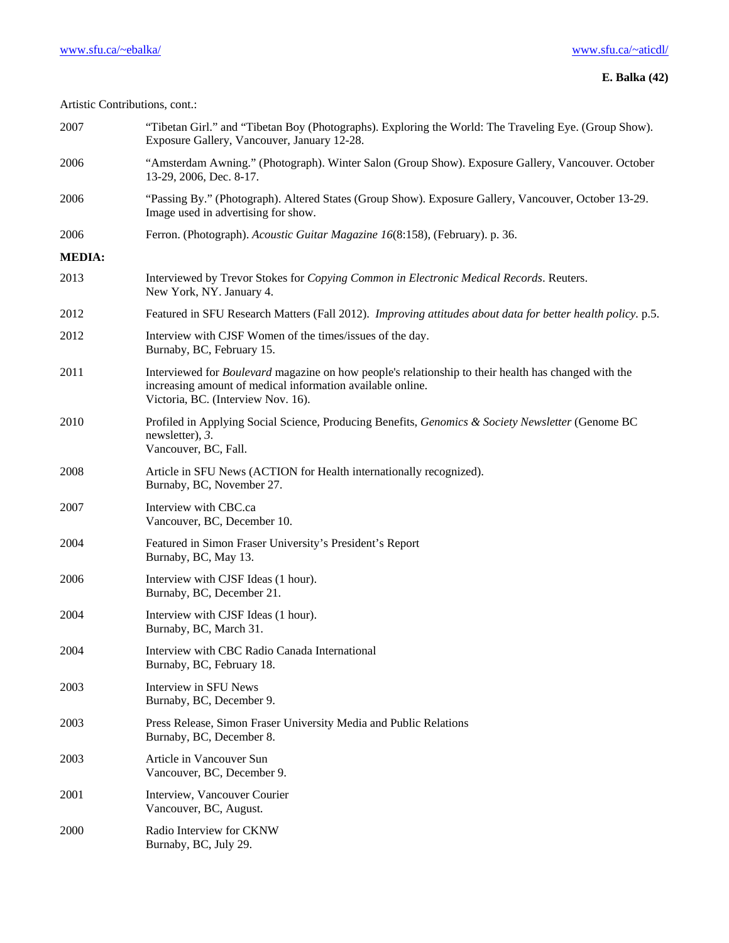Artistic Contributions, cont.:

| 2007          | "Tibetan Girl." and "Tibetan Boy (Photographs). Exploring the World: The Traveling Eye. (Group Show).                                                                                                           |
|---------------|-----------------------------------------------------------------------------------------------------------------------------------------------------------------------------------------------------------------|
|               | Exposure Gallery, Vancouver, January 12-28.                                                                                                                                                                     |
| 2006          | "Amsterdam Awning." (Photograph). Winter Salon (Group Show). Exposure Gallery, Vancouver. October<br>13-29, 2006, Dec. 8-17.                                                                                    |
| 2006          | "Passing By." (Photograph). Altered States (Group Show). Exposure Gallery, Vancouver, October 13-29.<br>Image used in advertising for show.                                                                     |
| 2006          | Ferron. (Photograph). Acoustic Guitar Magazine 16(8:158), (February). p. 36.                                                                                                                                    |
| <b>MEDIA:</b> |                                                                                                                                                                                                                 |
| 2013          | Interviewed by Trevor Stokes for Copying Common in Electronic Medical Records. Reuters.<br>New York, NY. January 4.                                                                                             |
| 2012          | Featured in SFU Research Matters (Fall 2012). Improving attitudes about data for better health policy. p.5.                                                                                                     |
| 2012          | Interview with CJSF Women of the times/issues of the day.<br>Burnaby, BC, February 15.                                                                                                                          |
| 2011          | Interviewed for <i>Boulevard</i> magazine on how people's relationship to their health has changed with the<br>increasing amount of medical information available online.<br>Victoria, BC. (Interview Nov. 16). |
| 2010          | Profiled in Applying Social Science, Producing Benefits, <i>Genomics &amp; Society Newsletter</i> (Genome BC)<br>newsletter), $3$ .<br>Vancouver, BC, Fall.                                                     |
| 2008          | Article in SFU News (ACTION for Health internationally recognized).<br>Burnaby, BC, November 27.                                                                                                                |
| 2007          | Interview with CBC.ca<br>Vancouver, BC, December 10.                                                                                                                                                            |
| 2004          | Featured in Simon Fraser University's President's Report<br>Burnaby, BC, May 13.                                                                                                                                |
| 2006          | Interview with CJSF Ideas (1 hour).<br>Burnaby, BC, December 21.                                                                                                                                                |
| 2004          | Interview with CJSF Ideas (1 hour).<br>Burnaby, BC, March 31.                                                                                                                                                   |
| 2004          | Interview with CBC Radio Canada International<br>Burnaby, BC, February 18.                                                                                                                                      |
| 2003          | Interview in SFU News<br>Burnaby, BC, December 9.                                                                                                                                                               |
| 2003          | Press Release, Simon Fraser University Media and Public Relations<br>Burnaby, BC, December 8.                                                                                                                   |
| 2003          | Article in Vancouver Sun<br>Vancouver, BC, December 9.                                                                                                                                                          |
| 2001          | Interview, Vancouver Courier<br>Vancouver, BC, August.                                                                                                                                                          |
| 2000          | Radio Interview for CKNW<br>Burnaby, BC, July 29.                                                                                                                                                               |
|               |                                                                                                                                                                                                                 |